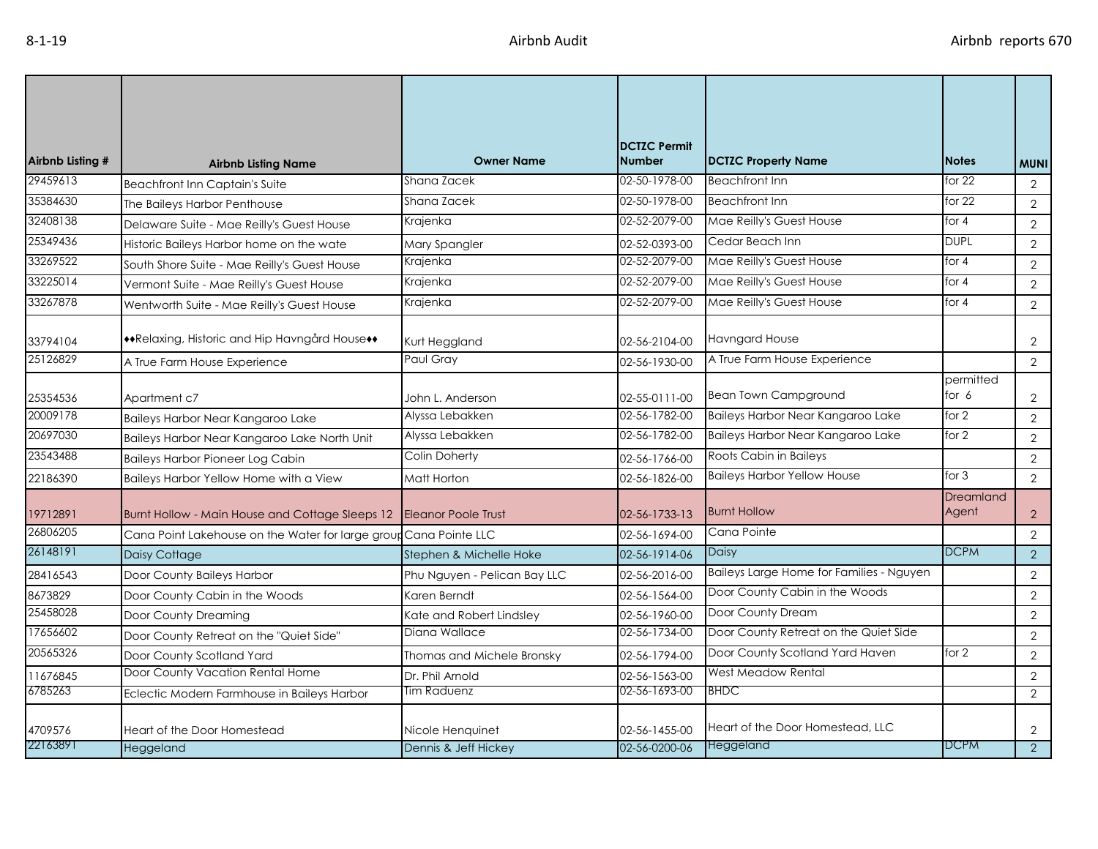| Airbnb Listing # | <b>Airbnb Listing Name</b>                                        | <b>Owner Name</b>            | <b>DCTZC Permit</b><br><b>Number</b> | <b>DCTZC Property Name</b>               | <b>Notes</b>         | <b>MUNI</b>    |
|------------------|-------------------------------------------------------------------|------------------------------|--------------------------------------|------------------------------------------|----------------------|----------------|
| 29459613         | <b>Beachfront Inn Captain's Suite</b>                             | Shana Zacek                  | 02-50-1978-00                        | <b>Beachfront Inn</b>                    | for $22$             | $\overline{2}$ |
| 35384630         | The Baileys Harbor Penthouse                                      | Shana Zacek                  | 02-50-1978-00                        | <b>Beachfront Inn</b>                    | for $22$             | $\overline{2}$ |
| 32408138         | Delaware Suite - Mae Reilly's Guest House                         | Krajenka                     | 02-52-2079-00                        | Mae Reilly's Guest House                 | for $4$              | $\overline{2}$ |
| 25349436         | Historic Baileys Harbor home on the wate                          | Mary Spangler                | 02-52-0393-00                        | Cedar Beach Inn                          | <b>DUPL</b>          | $\overline{2}$ |
| 33269522         | South Shore Suite - Mae Reilly's Guest House                      | Krajenka                     | 02-52-2079-00                        | Mae Reilly's Guest House                 | for $4$              | $\mathbf{2}$   |
| 33225014         | Vermont Suite - Mae Reilly's Guest House                          | Krajenka                     | 02-52-2079-00                        | Mae Reilly's Guest House                 | for $4$              | $\overline{2}$ |
| 33267878         | Wentworth Suite - Mae Reilly's Guest House                        | Krajenka                     | 02-52-2079-00                        | Mae Reilly's Guest House                 | for $4$              | $\overline{2}$ |
| 33794104         | ◆Relaxing, Historic and Hip Havngård House◆◆                      | Kurt Heggland                | 02-56-2104-00                        | <b>Havngard House</b>                    |                      | $\overline{2}$ |
| 25126829         | A True Farm House Experience                                      | Paul Gray                    | 02-56-1930-00                        | A True Farm House Experience             |                      | $\overline{2}$ |
| 25354536         | Apartment c7                                                      | John L. Anderson             | 02-55-0111-00                        | <b>Bean Town Campground</b>              | permitted<br>for $6$ | $\overline{2}$ |
| 20009178         | Baileys Harbor Near Kangaroo Lake                                 | Alyssa Lebakken              | 02-56-1782-00                        | Baileys Harbor Near Kangaroo Lake        | for 2                | $\overline{2}$ |
| 20697030         | Baileys Harbor Near Kangaroo Lake North Unit                      | Alyssa Lebakken              | 02-56-1782-00                        | Baileys Harbor Near Kangaroo Lake        | for 2                | 2              |
| 23543488         | <b>Baileys Harbor Pioneer Log Cabin</b>                           | Colin Doherty                | 02-56-1766-00                        | Roots Cabin in Baileys                   |                      | $\overline{2}$ |
| 22186390         | Baileys Harbor Yellow Home with a View                            | Matt Horton                  | 02-56-1826-00                        | <b>Baileys Harbor Yellow House</b>       | for $3$              | $\overline{2}$ |
| 19712891         | Burnt Hollow - Main House and Cottage Sleeps 12                   | <b>Eleanor Poole Trust</b>   | 02-56-1733-13                        | <b>Burnt Hollow</b>                      | Dreamland<br>Agent   | $\overline{2}$ |
| 26806205         | Cana Point Lakehouse on the Water for large group Cana Pointe LLC |                              | 02-56-1694-00                        | Cana Pointe                              |                      | $\overline{2}$ |
| 26148191         | Daisy Cottage                                                     | Stephen & Michelle Hoke      | 02-56-1914-06                        | Daisy                                    | <b>DCPM</b>          | 2              |
| 28416543         | Door County Baileys Harbor                                        | Phu Nguyen - Pelican Bay LLC | 02-56-2016-00                        | Baileys Large Home for Families - Nguyen |                      | $\overline{2}$ |
| 8673829          | Door County Cabin in the Woods                                    | Karen Berndt                 | 02-56-1564-00                        | Door County Cabin in the Woods           |                      | $\overline{2}$ |
| 25458028         | Door County Dreaming                                              | Kate and Robert Lindsley     | 02-56-1960-00                        | Door County Dream                        |                      | $\overline{2}$ |
| 17656602         | Door County Retreat on the "Quiet Side"                           | Diana Wallace                | 02-56-1734-00                        | Door County Retreat on the Quiet Side    |                      | $\overline{2}$ |
| 20565326         | Door County Scotland Yard                                         | Thomas and Michele Bronsky   | 02-56-1794-00                        | Door County Scotland Yard Haven          | for 2                | $\overline{2}$ |
| 11676845         | Door County Vacation Rental Home                                  | Dr. Phil Arnold              | 02-56-1563-00                        | West Meadow Rental                       |                      | $\overline{2}$ |
| 6785263          | Eclectic Modern Farmhouse in Baileys Harbor                       | Tim Raduenz                  | 02-56-1693-00                        | <b>BHDC</b>                              |                      | 2              |
| 4709576          | Heart of the Door Homestead                                       | Nicole Henquinet             | 02-56-1455-00                        | Heart of the Door Homestead, LLC         |                      | $\overline{2}$ |
| 22163891         | Heggeland                                                         | Dennis & Jeff Hickey         | 02-56-0200-06                        | Heggeland                                | <b>DCPM</b>          | $\overline{2}$ |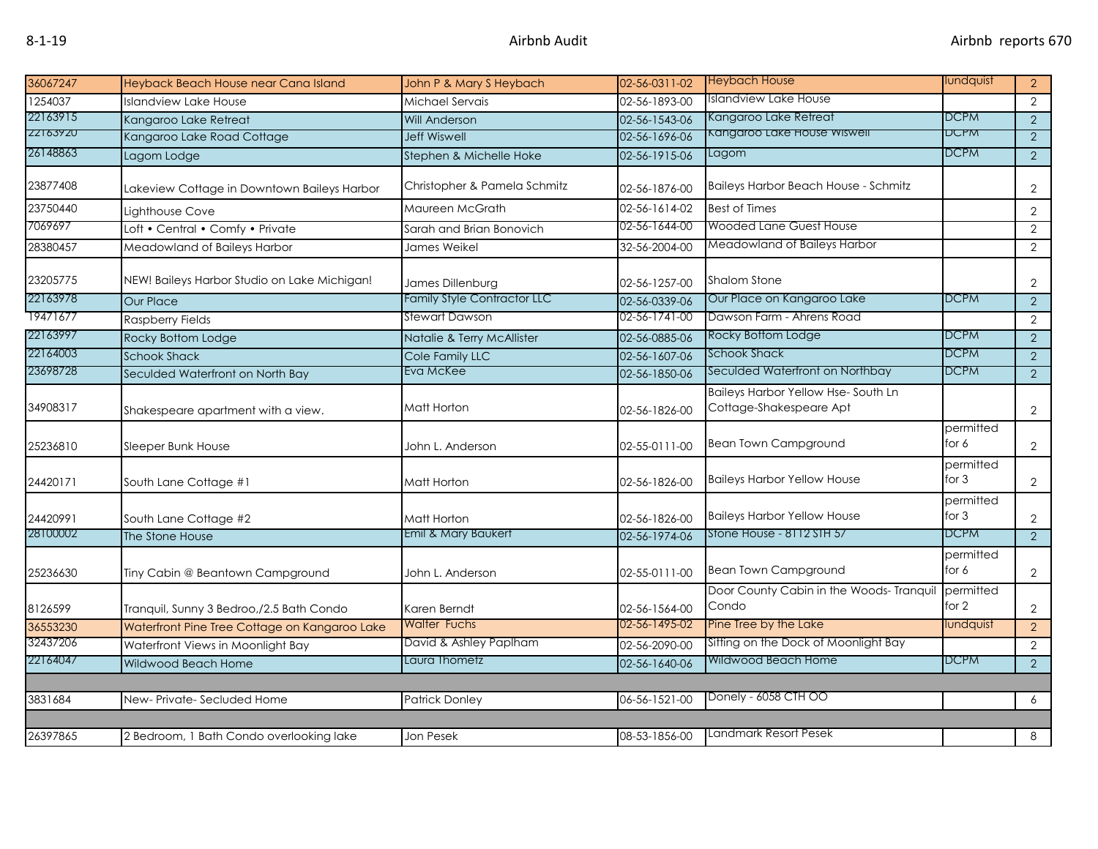| 36067247 | Heyback Beach House near Cana Island          | John P & Mary S Heybach            | 02-56-0311-02 | <b>Heybach House</b>                                          | lundquist            | 2 <sup>1</sup> |
|----------|-----------------------------------------------|------------------------------------|---------------|---------------------------------------------------------------|----------------------|----------------|
| 1254037  | <b>Islandview Lake House</b>                  | Michael Servais                    | 02-56-1893-00 | Islandview Lake House                                         |                      | $\overline{2}$ |
| 22163915 | Kangaroo Lake Retreat                         | <b>Will Anderson</b>               | 02-56-1543-06 | Kangaroo Lake Retreat                                         | <b>DCPM</b>          | $\overline{2}$ |
| ZZ1639ZU | Kangaroo Lake Road Cottage                    | <b>Jeff Wiswell</b>                | 02-56-1696-06 | Kangaroo Lake House wisweii                                   | DCPM                 | $\overline{2}$ |
| 26148863 | Lagom Lodge                                   | Stephen & Michelle Hoke            | 02-56-1915-06 | Lagom                                                         | <b>DCPM</b>          | $\overline{2}$ |
| 23877408 | Lakeview Cottage in Downtown Baileys Harbor   | Christopher & Pamela Schmitz       | 02-56-1876-00 | <b>Baileys Harbor Beach House - Schmitz</b>                   |                      | $\overline{2}$ |
| 23750440 | Lighthouse Cove                               | Maureen McGrath                    | 02-56-1614-02 | <b>Best of Times</b>                                          |                      | $\overline{2}$ |
| 7069697  | Loft • Central • Comfy • Private              | Sarah and Brian Bonovich           | 02-56-1644-00 | Wooded Lane Guest House                                       |                      | $\overline{2}$ |
| 28380457 | Meadowland of Baileys Harbor                  | James Weikel                       | 32-56-2004-00 | Meadowland of Baileys Harbor                                  |                      | $\overline{2}$ |
| 23205775 | NEW! Baileys Harbor Studio on Lake Michigan!  | James Dillenburg                   | 02-56-1257-00 | <b>Shalom Stone</b>                                           |                      | $\overline{2}$ |
| 22163978 | <b>Our Place</b>                              | <b>Family Style Contractor LLC</b> | 02-56-0339-06 | Our Place on Kangaroo Lake                                    | <b>DCPM</b>          | $\overline{2}$ |
| 19471677 | <b>Raspberry Fields</b>                       | Stewart Dawson                     | 02-56-1741-00 | Dawson Farm - Ahrens Road                                     |                      | $\mathbf{2}$   |
| 22163997 | Rocky Bottom Lodge                            | Natalie & Terry McAllister         | 02-56-0885-06 | Rocky Bottom Lodge                                            | <b>DCPM</b>          | $\overline{2}$ |
| 22164003 | <b>Schook Shack</b>                           | Cole Family LLC                    | 02-56-1607-06 | Schook Shack                                                  | <b>DCPM</b>          | $\overline{2}$ |
| 23698728 | Seculded Waterfront on North Bay              | Eva McKee                          | 02-56-1850-06 | Seculded Waterfront on Northbay                               | <b>DCPM</b>          | $\overline{2}$ |
| 34908317 | Shakespeare apartment with a view.            | Matt Horton                        | 02-56-1826-00 | Baileys Harbor Yellow Hse-South Ln<br>Cottage-Shakespeare Apt |                      | $\overline{2}$ |
| 25236810 | Sleeper Bunk House                            | John L. Anderson                   | 02-55-0111-00 | <b>Bean Town Campground</b>                                   | permitted<br>for 6   | $\overline{2}$ |
| 24420171 | South Lane Cottage #1                         | Matt Horton                        | 02-56-1826-00 | <b>Baileys Harbor Yellow House</b>                            | permitted<br>for $3$ | $\overline{2}$ |
| 24420991 | South Lane Cottage #2                         | Matt Horton                        | 02-56-1826-00 | <b>Baileys Harbor Yellow House</b>                            | permitted<br>for $3$ | $\overline{2}$ |
| 28100002 | The Stone House                               | Emil & Mary Baukert                | 02-56-1974-06 | Stone House - 8112 STH 57                                     | <b>DCPM</b>          | $\overline{2}$ |
| 25236630 | Tiny Cabin @ Beantown Campground              | John L. Anderson                   | 02-55-0111-00 | <b>Bean Town Campground</b>                                   | permitted<br>for 6   | $\overline{2}$ |
| 8126599  | Tranquil, Sunny 3 Bedroo,/2.5 Bath Condo      | Karen Berndt                       | 02-56-1564-00 | Door County Cabin in the Woods- Tranquil<br>Condo             | permitted<br>for 2   | $\overline{2}$ |
| 36553230 | Waterfront Pine Tree Cottage on Kangaroo Lake | <b>Walter Fuchs</b>                | 02-56-1495-02 | Pine Tree by the Lake                                         | lundquist            | $\overline{2}$ |
| 32437206 | Waterfront Views in Moonlight Bay             | David & Ashley Paplham             | 02-56-2090-00 | Sitting on the Dock of Moonlight Bay                          |                      | $\mathbf{2}$   |
| 22164047 | Wildwood Beach Home                           | Laura Thometz                      | 02-56-1640-06 | Wildwood Beach Home                                           | <b>DCPM</b>          | $\overline{2}$ |
|          |                                               |                                    |               |                                                               |                      |                |
| 3831684  | New-Private-Secluded Home                     | <b>Patrick Donley</b>              | 06-56-1521-00 | Donely - 6058 CTH OO                                          |                      | 6              |
| 26397865 | 2 Bedroom, 1 Bath Condo overlooking lake      | Jon Pesek                          | 08-53-1856-00 | Landmark Resort Pesek                                         |                      | 8              |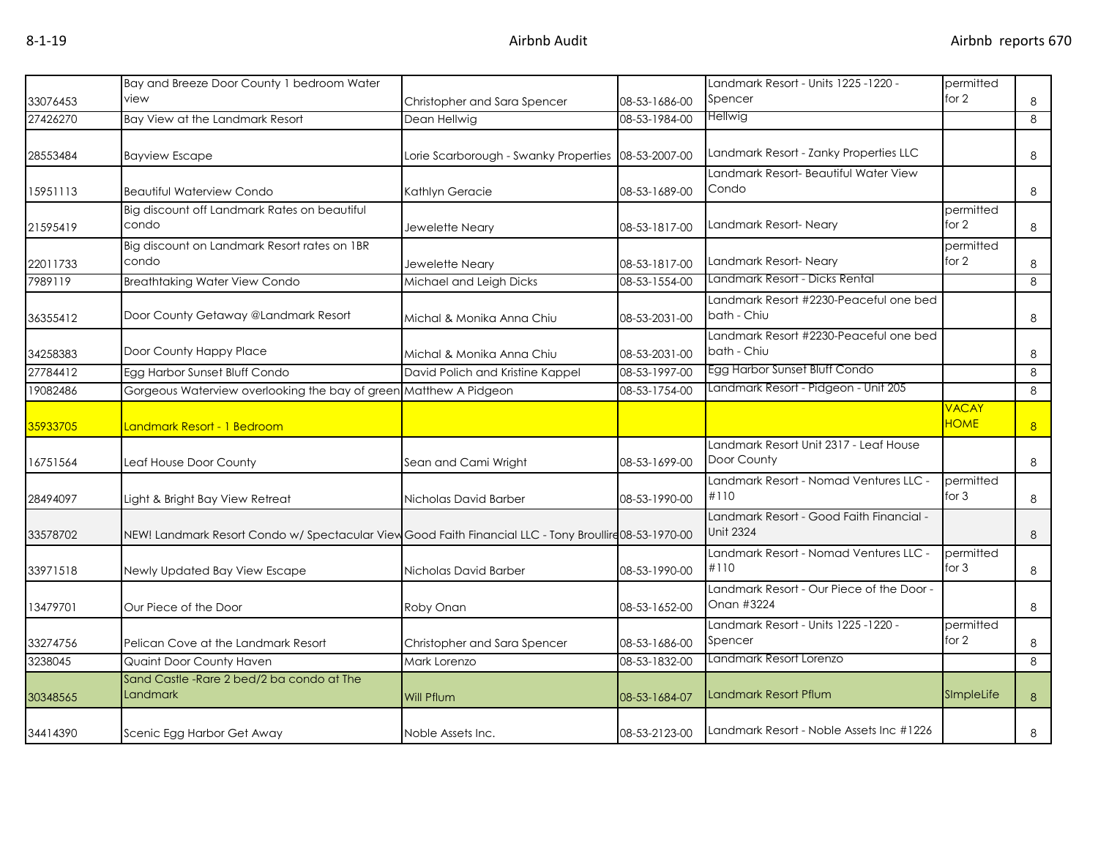|          | Bay and Breeze Door County 1 bedroom Water                                                            |                                       |               | - Landmark Resort - Units 1225 -1220                    | permitted                   |                |
|----------|-------------------------------------------------------------------------------------------------------|---------------------------------------|---------------|---------------------------------------------------------|-----------------------------|----------------|
| 33076453 | view                                                                                                  | Christopher and Sara Spencer          | 08-53-1686-00 | Spencer                                                 | for $2$                     | 8              |
| 27426270 | Bay View at the Landmark Resort                                                                       | Dean Hellwig                          | 08-53-1984-00 | Hellwig                                                 |                             | 8              |
| 28553484 | <b>Bayview Escape</b>                                                                                 | Lorie Scarborough - Swanky Properties | 08-53-2007-00 | Landmark Resort - Zanky Properties LLC                  |                             | 8              |
|          |                                                                                                       |                                       |               | Landmark Resort- Beautiful Water View                   |                             |                |
| 15951113 | <b>Beautiful Waterview Condo</b>                                                                      | Kathlyn Geracie                       | 08-53-1689-00 | Condo                                                   |                             | 8              |
| 21595419 | Big discount off Landmark Rates on beautiful<br>condo                                                 | Jewelette Neary                       | 08-53-1817-00 | Landmark Resort-Neary                                   | permitted<br>for $2$        | 8              |
| 22011733 | Big discount on Landmark Resort rates on 1BR<br>condo                                                 | Jewelette Neary                       | 08-53-1817-00 | Landmark Resort-Neary                                   | permitted<br>for $2$        | 8              |
| 7989119  | <b>Breathtaking Water View Condo</b>                                                                  | Michael and Leigh Dicks               | 08-53-1554-00 | Landmark Resort - Dicks Rental                          |                             | 8              |
| 36355412 | Door County Getaway @Landmark Resort                                                                  | Michal & Monika Anna Chiu             | 08-53-2031-00 | Landmark Resort #2230-Peaceful one bed<br>bath - Chiu   |                             | 8              |
| 34258383 | Door County Happy Place                                                                               | Michal & Monika Anna Chiu             | 08-53-2031-00 | Landmark Resort #2230-Peaceful one bed<br>bath - Chiu   |                             | 8              |
| 27784412 | Egg Harbor Sunset Bluff Condo                                                                         | David Polich and Kristine Kappel      | 08-53-1997-00 | Egg Harbor Sunset Bluff Condo                           |                             | 8              |
| 19082486 | Gorgeous Waterview overlooking the bay of green Matthew A Pidgeon                                     |                                       | 08-53-1754-00 | Landmark Resort - Pidgeon - Unit 205                    |                             | 8              |
| 35933705 | Landmark Resort - 1 Bedroom                                                                           |                                       |               |                                                         | <b>VACAY</b><br><b>HOME</b> | 8 <sup>1</sup> |
| 16751564 | Leaf House Door County                                                                                | Sean and Cami Wright                  | 08-53-1699-00 | Landmark Resort Unit 2317 - Leaf House<br>Door County   |                             | 8              |
| 28494097 | Light & Bright Bay View Retreat                                                                       | Nicholas David Barber                 | 08-53-1990-00 | Landmark Resort - Nomad Ventures LLC -<br>#110          | permitted<br>for $3$        | 8              |
| 33578702 | NEW! Landmark Resort Condo w/ Spectacular View Good Faith Financial LLC - Tony Broullire08-53-1970-00 |                                       |               | Landmark Resort - Good Faith Financial -<br>Unit 2324   |                             | 8              |
| 33971518 | Newly Updated Bay View Escape                                                                         | Nicholas David Barber                 | 08-53-1990-00 | Landmark Resort - Nomad Ventures LLC -<br>#110          | permitted<br>for $3$        | 8              |
| 13479701 | Our Piece of the Door                                                                                 | Roby Onan                             | 08-53-1652-00 | Landmark Resort - Our Piece of the Door -<br>Onan #3224 |                             | 8              |
| 33274756 | Pelican Cove at the Landmark Resort                                                                   | Christopher and Sara Spencer          | 08-53-1686-00 | - Landmark Resort - Units 1225 -1220<br>Spencer         | permitted<br>for $2$        | 8              |
| 3238045  | Quaint Door County Haven                                                                              | Mark Lorenzo                          | 08-53-1832-00 | Landmark Resort Lorenzo                                 |                             | 8              |
| 30348565 | Sand Castle - Rare 2 bed/2 ba condo at The<br><b>Landmark</b>                                         | <b>Will Pflum</b>                     | 08-53-1684-07 | <b>Landmark Resort Pflum</b>                            | SImpleLife                  | 8              |
| 34414390 | Scenic Egg Harbor Get Away                                                                            | Noble Assets Inc.                     | 08-53-2123-00 | Landmark Resort - Noble Assets Inc #1226                |                             | 8              |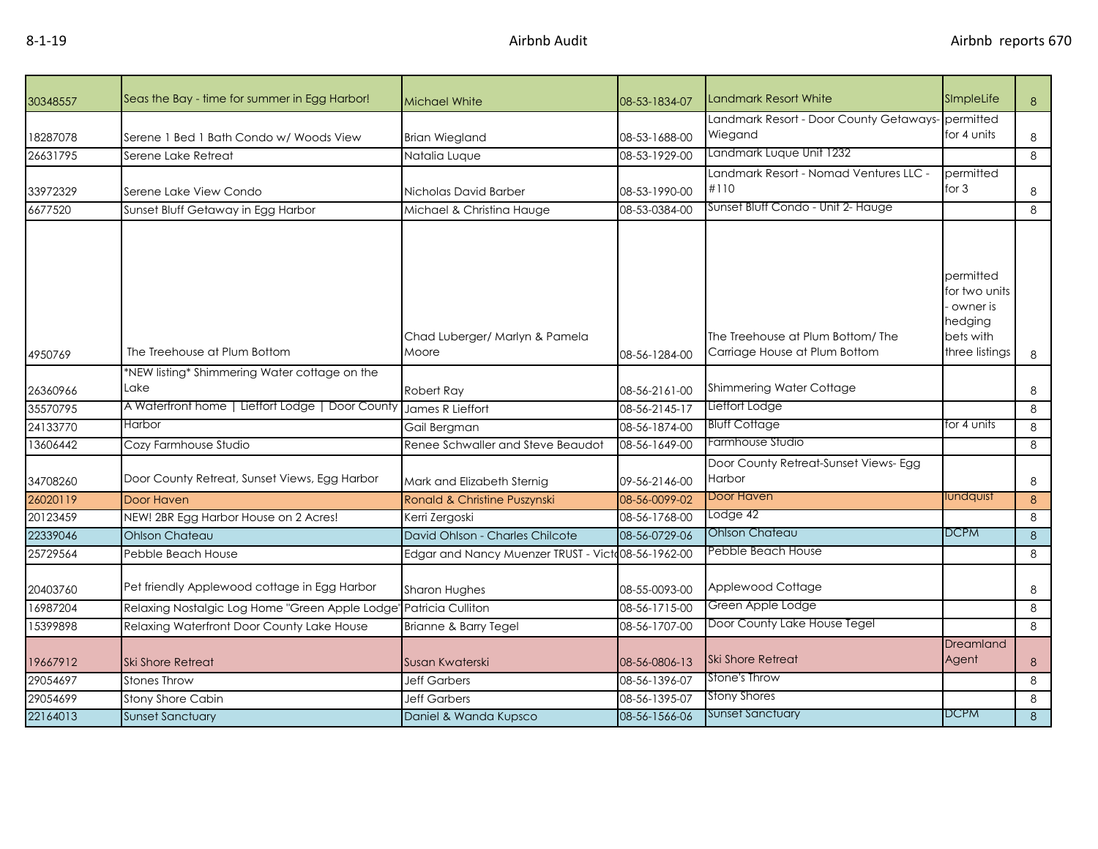| 30348557 | Seas the Bay - time for summer in Egg Harbor!    | <b>Michael White</b>                               | 08-53-1834-07 | <b>Landmark Resort White</b>                                      | SImpleLife                                                                       | 8 |
|----------|--------------------------------------------------|----------------------------------------------------|---------------|-------------------------------------------------------------------|----------------------------------------------------------------------------------|---|
| 18287078 | Serene 1 Bed 1 Bath Condo w/ Woods View          | <b>Brian Wiegland</b>                              | 08-53-1688-00 | Landmark Resort - Door County Getaways-permitted<br>Wiegand       | for 4 units                                                                      | 8 |
| 26631795 | Serene Lake Retreat                              | Natalia Luque                                      | 08-53-1929-00 | Landmark Luque Unit 1232                                          |                                                                                  | 8 |
| 33972329 | Serene Lake View Condo                           | Nicholas David Barber                              | 08-53-1990-00 | Landmark Resort - Nomad Ventures LLC -<br>#110                    | permitted<br>for $3$                                                             | 8 |
| 6677520  | Sunset Bluff Getaway in Egg Harbor               | Michael & Christina Hauge                          | 08-53-0384-00 | Sunset Bluff Condo - Unit 2- Hauge                                |                                                                                  | 8 |
| 4950769  | The Treehouse at Plum Bottom                     | Chad Luberger/ Marlyn & Pamela<br>Moore            | 08-56-1284-00 | The Treehouse at Plum Bottom/The<br>Carriage House at Plum Bottom | permitted<br>for two units<br>owner is<br>hedging<br>bets with<br>three listings | 8 |
|          | *NEW listing* Shimmering Water cottage on the    |                                                    |               |                                                                   |                                                                                  |   |
| 26360966 | Lake                                             | Robert Ray                                         | 08-56-2161-00 | Shimmering Water Cottage                                          |                                                                                  | 8 |
| 35570795 | A Waterfront home   Lieffort Lodge   Door County | James R Lieffort                                   | 08-56-2145-17 | Lieffort Lodge                                                    |                                                                                  | 8 |
| 24133770 | Harbor                                           | Gail Bergman                                       | 08-56-1874-00 | <b>Bluff Cottage</b>                                              | for 4 units                                                                      | 8 |
| 13606442 | Cozy Farmhouse Studio                            | Renee Schwaller and Steve Beaudot                  | 08-56-1649-00 | Farmhouse Studio                                                  |                                                                                  | 8 |
| 34708260 | Door County Retreat, Sunset Views, Egg Harbor    | Mark and Elizabeth Sternig                         | 09-56-2146-00 | Door County Retreat-Sunset Views- Egg<br>Harbor                   |                                                                                  | 8 |
| 26020119 | Door Haven                                       | Ronald & Christine Puszynski                       | 08-56-0099-02 | Door Haven                                                        | lundquist                                                                        | 8 |
| 20123459 | NEW! 2BR Egg Harbor House on 2 Acres!            | Kerri Zergoski                                     | 08-56-1768-00 | Lodge 42                                                          |                                                                                  | 8 |
| 22339046 | <b>Ohlson Chateau</b>                            | David Ohlson - Charles Chilcote                    | 08-56-0729-06 | Ohlson Chateau                                                    | <b>DCPM</b>                                                                      | 8 |
| 25729564 | Pebble Beach House                               | Edgar and Nancy Muenzer TRUST - Victo08-56-1962-00 |               | Pebble Beach House                                                |                                                                                  | 8 |
| 20403760 | Pet friendly Applewood cottage in Egg Harbor     | <b>Sharon Hughes</b>                               | 08-55-0093-00 | Applewood Cottage                                                 |                                                                                  | 8 |
| 16987204 | Relaxing Nostalgic Log Home "Green Apple Lodge"  | Patricia Culliton                                  | 08-56-1715-00 | Green Apple Lodge                                                 |                                                                                  | 8 |
| 15399898 | Relaxing Waterfront Door County Lake House       | Brianne & Barry Tegel                              | 08-56-1707-00 | Door County Lake House Tegel                                      |                                                                                  | 8 |
| 19667912 | <b>Ski Shore Retreat</b>                         | Susan Kwaterski                                    | 08-56-0806-13 | <b>Ski Shore Retreat</b>                                          | Dreamland<br>Agent                                                               | 8 |
| 29054697 | Stones Throw                                     | <b>Jeff Garbers</b>                                | 08-56-1396-07 | Stone's Throw                                                     |                                                                                  | 8 |
| 29054699 | Stony Shore Cabin                                | <b>Jeff Garbers</b>                                | 08-56-1395-07 | <b>Stony Shores</b>                                               |                                                                                  | 8 |
| 22164013 | <b>Sunset Sanctuary</b>                          | Daniel & Wanda Kupsco                              | 08-56-1566-06 | <b>Sunset Sanctuary</b>                                           | <b>DCPM</b>                                                                      | 8 |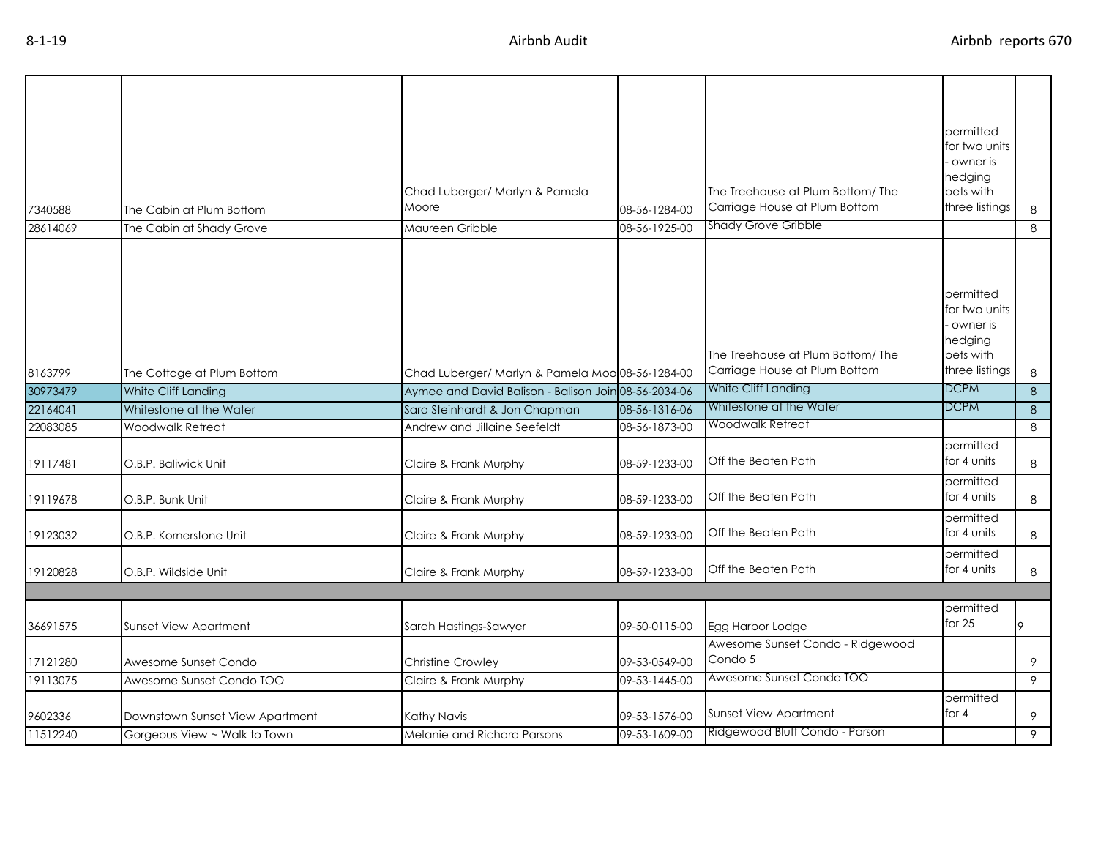| 7340588  | The Cabin at Plum Bottom        | Chad Luberger/ Marlyn & Pamela<br>Moore              | 08-56-1284-00 | The Treehouse at Plum Bottom/ The<br>Carriage House at Plum Bottom | permitted<br>for two units<br>- owner is<br>hedging<br>bets with<br>three listings          | 8 |
|----------|---------------------------------|------------------------------------------------------|---------------|--------------------------------------------------------------------|---------------------------------------------------------------------------------------------|---|
| 28614069 | The Cabin at Shady Grove        | Maureen Gribble                                      | 08-56-1925-00 | Shady Grove Gribble                                                |                                                                                             | 8 |
| 8163799  | The Cottage at Plum Bottom      | Chad Luberger/ Marlyn & Pamela Moo 08-56-1284-00     |               | The Treehouse at Plum Bottom/ The<br>Carriage House at Plum Bottom | <b>I</b> permitted<br>for two units<br>- owner is<br>hedging<br>bets with<br>three listings | 8 |
| 30973479 | White Cliff Landing             | Aymee and David Balison - Balison Join 08-56-2034-06 |               | White Cliff Landing                                                | <b>DCPM</b>                                                                                 | 8 |
| 22164041 | Whitestone at the Water         | Sara Steinhardt & Jon Chapman                        | 08-56-1316-06 | Whitestone at the Water                                            | <b>DCPM</b>                                                                                 | 8 |
| 22083085 | Woodwalk Retreat                | Andrew and Jillaine Seefeldt                         | 08-56-1873-00 | Woodwalk Retreat                                                   |                                                                                             | 8 |
| 19117481 | O.B.P. Baliwick Unit            | Claire & Frank Murphy                                | 08-59-1233-00 | Off the Beaten Path                                                | permitted<br>for 4 units                                                                    | 8 |
| 19119678 | O.B.P. Bunk Unit                | Claire & Frank Murphy                                | 08-59-1233-00 | Off the Beaten Path                                                | permitted<br>for 4 units                                                                    | 8 |
| 19123032 | O.B.P. Kornerstone Unit         | Claire & Frank Murphy                                | 08-59-1233-00 | Off the Beaten Path                                                | permitted<br>for 4 units                                                                    | 8 |
| 19120828 | O.B.P. Wildside Unit            | Claire & Frank Murphy                                | 08-59-1233-00 | Off the Beaten Path                                                | permitted<br>for 4 units                                                                    | 8 |
|          |                                 |                                                      |               |                                                                    |                                                                                             |   |
| 36691575 | Sunset View Apartment           | Sarah Hastings-Sawyer                                | 09-50-0115-00 | Egg Harbor Lodge                                                   | permitted<br>for 25                                                                         | 9 |
| 17121280 | Awesome Sunset Condo            | Christine Crowley                                    | 09-53-0549-00 | Awesome Sunset Condo - Ridgewood<br>Condo 5                        |                                                                                             | 9 |
| 19113075 | Awesome Sunset Condo TOO        | Claire & Frank Murphy                                | 09-53-1445-00 | Awesome Sunset Condo TOO                                           |                                                                                             | 9 |
| 9602336  | Downstown Sunset View Apartment | Kathy Navis                                          | 09-53-1576-00 | <b>Sunset View Apartment</b>                                       | permitted<br>for 4                                                                          | 9 |
| 11512240 | Gorgeous View ~ Walk to Town    | Melanie and Richard Parsons                          | 09-53-1609-00 | Ridgewood Bluff Condo - Parson                                     |                                                                                             | 9 |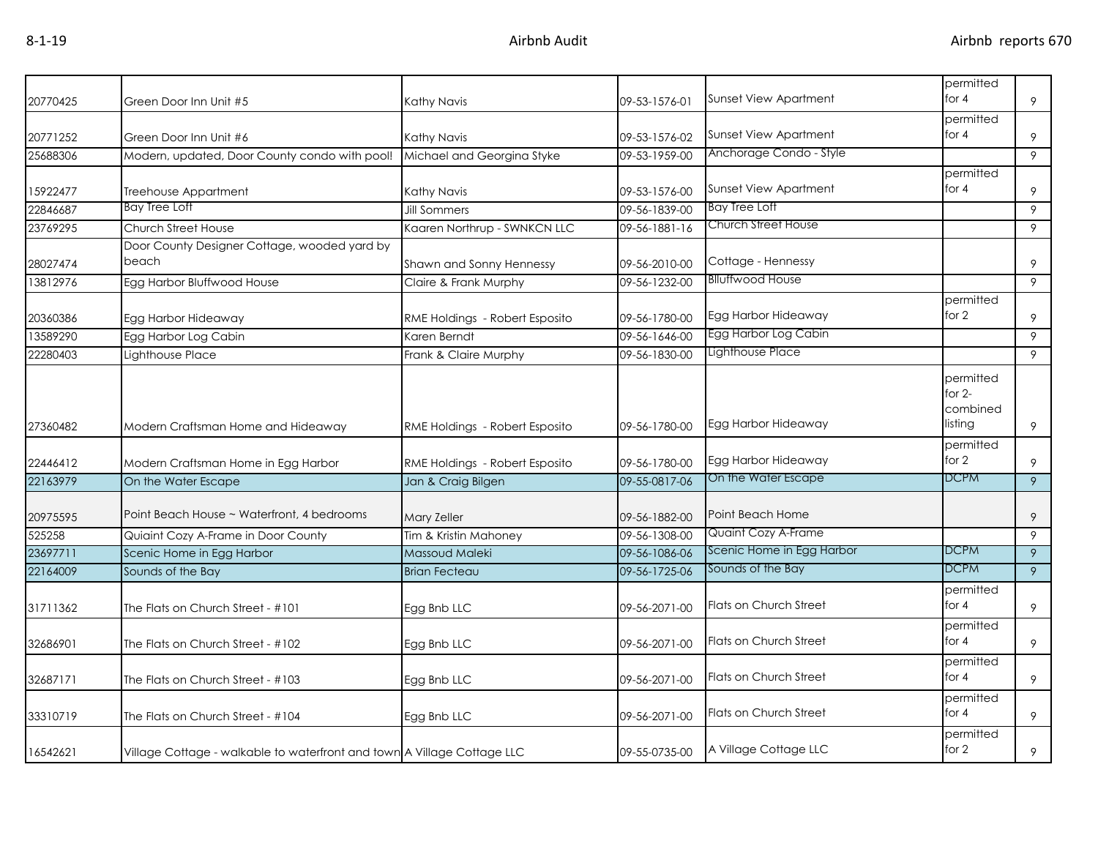| 20770425 | Green Door Inn Unit #5                                                  | Kathy Navis                    | 09-53-1576-01 | Sunset View Apartment         | permitted<br>for $4$                         | 9              |
|----------|-------------------------------------------------------------------------|--------------------------------|---------------|-------------------------------|----------------------------------------------|----------------|
| 20771252 | Green Door Inn Unit #6                                                  | Kathy Navis                    | 09-53-1576-02 | Sunset View Apartment         | permitted<br>for $4$                         | 9              |
| 25688306 | Modern, updated, Door County condo with pool!                           | Michael and Georgina Styke     | 09-53-1959-00 | Anchorage Condo - Style       |                                              | 9              |
| 15922477 | Treehouse Appartment                                                    | Kathy Navis                    | 09-53-1576-00 | <b>Sunset View Apartment</b>  | permitted<br>for $4$                         | 9              |
| 22846687 | <b>Bay Tree Loft</b>                                                    | <b>Jill Sommers</b>            | 09-56-1839-00 | <b>Bay Tree Loft</b>          |                                              | 9              |
| 23769295 | Church Street House                                                     | Kaaren Northrup - SWNKCN LLC   | 09-56-1881-16 | Church Street House           |                                              | 9              |
| 28027474 | Door County Designer Cottage, wooded yard by<br>beach                   | Shawn and Sonny Hennessy       | 09-56-2010-00 | Cottage - Hennessy            |                                              | 9              |
| 13812976 | Egg Harbor Bluffwood House                                              | Claire & Frank Murphy          | 09-56-1232-00 | <b>Blluffwood House</b>       |                                              | 9              |
| 20360386 | Egg Harbor Hideaway                                                     | RME Holdings - Robert Esposito | 09-56-1780-00 | Egg Harbor Hideaway           | permitted<br>for $2$                         | 9              |
| 13589290 | Egg Harbor Log Cabin                                                    | Karen Berndt                   | 09-56-1646-00 | Egg Harbor Log Cabin          |                                              | 9              |
| 22280403 | Lighthouse Place                                                        | Frank & Claire Murphy          | 09-56-1830-00 | Lighthouse Place              |                                              | 9              |
| 27360482 | Modern Craftsman Home and Hideaway                                      | RME Holdings - Robert Esposito | 09-56-1780-00 | Egg Harbor Hideaway           | permitted<br>for $2-$<br>combined<br>listing | 9              |
| 22446412 | Modern Craftsman Home in Egg Harbor                                     | RME Holdings - Robert Esposito | 09-56-1780-00 | Egg Harbor Hideaway           | permitted<br>for 2                           | 9              |
| 22163979 | On the Water Escape                                                     | Jan & Craig Bilgen             | 09-55-0817-06 | On the Water Escape           | <b>DCPM</b>                                  | $\overline{9}$ |
| 20975595 | Point Beach House ~ Waterfront, 4 bedrooms                              | <b>Mary Zeller</b>             | 09-56-1882-00 | Point Beach Home              |                                              | 9              |
| 525258   | Quiaint Cozy A-Frame in Door County                                     | Tim & Kristin Mahoney          | 09-56-1308-00 | <b>Quaint Cozy A-Frame</b>    |                                              | 9              |
| 23697711 | Scenic Home in Egg Harbor                                               | Massoud Maleki                 | 09-56-1086-06 | Scenic Home in Egg Harbor     | <b>DCPM</b>                                  | 9              |
| 22164009 | Sounds of the Bay                                                       | <b>Brian Fecteau</b>           | 09-56-1725-06 | Sounds of the Bay             | <b>DCPM</b>                                  | 9              |
| 31711362 | The Flats on Church Street - #101                                       | Egg Bnb LLC                    | 09-56-2071-00 | Flats on Church Street        | permitted<br>for $4$                         | 9              |
| 32686901 | The Flats on Church Street - #102                                       | Egg Bnb LLC                    | 09-56-2071-00 | Flats on Church Street        | permitted<br>for $4$                         | 9              |
| 32687171 | The Flats on Church Street - #103                                       | Egg Bnb LLC                    | 09-56-2071-00 | <b>Flats on Church Street</b> | permitted<br>for $4$                         | 9              |
| 33310719 | The Flats on Church Street - #104                                       | Egg Bnb LLC                    | 09-56-2071-00 | Flats on Church Street        | permitted<br>for $4$                         | 9              |
| 16542621 | Village Cottage - walkable to waterfront and town A Village Cottage LLC |                                | 09-55-0735-00 | A Village Cottage LLC         | permitted<br>for 2                           | 9              |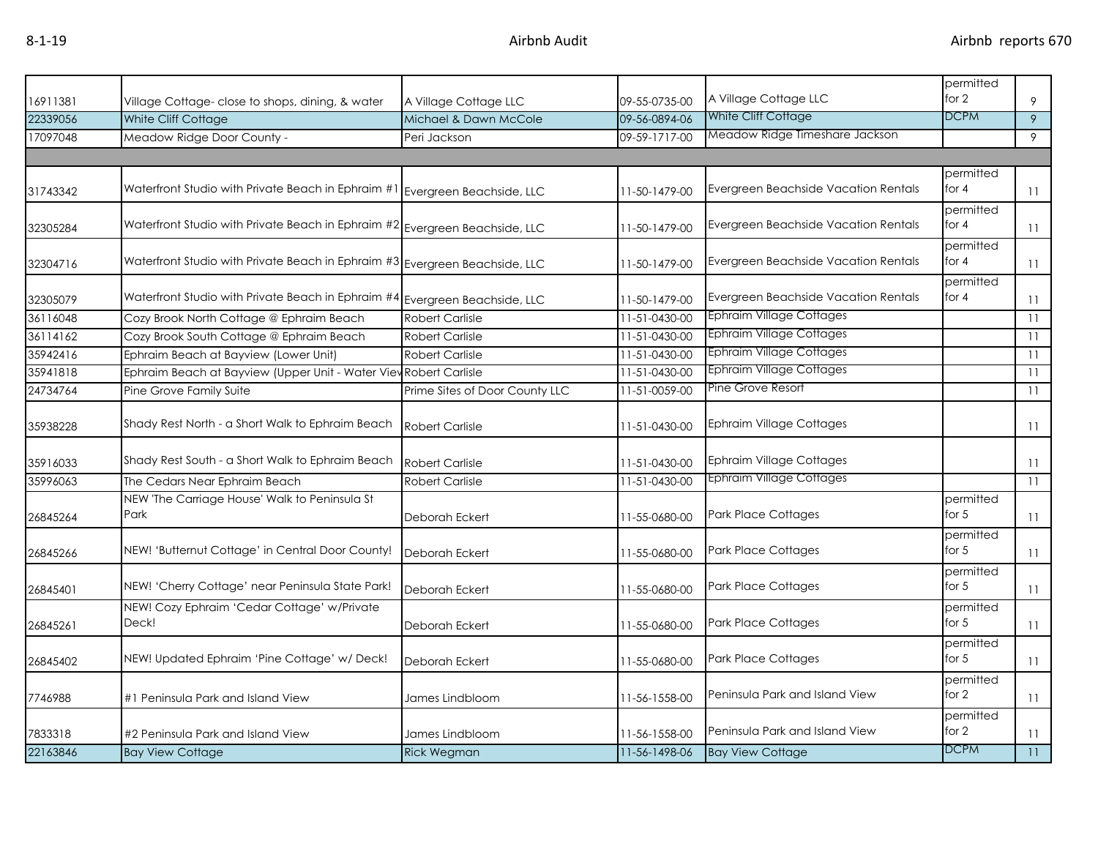| 16911381 |                                                                             | A Village Cottage LLC          | 09-55-0735-00 | A Village Cottage LLC                | permitted<br>for 2   | 9              |
|----------|-----------------------------------------------------------------------------|--------------------------------|---------------|--------------------------------------|----------------------|----------------|
| 22339056 | Village Cottage- close to shops, dining, & water<br>White Cliff Cottage     | Michael & Dawn McCole          | 09-56-0894-06 | White Cliff Cottage                  | <b>DCPM</b>          | $\overline{9}$ |
| 17097048 | Meadow Ridge Door County -                                                  | Peri Jackson                   | 09-59-1717-00 | Meadow Ridge Timeshare Jackson       |                      | 9              |
|          |                                                                             |                                |               |                                      |                      |                |
|          |                                                                             |                                |               |                                      | permitted            |                |
| 31743342 | Waterfront Studio with Private Beach in Ephraim #1                          | Evergreen Beachside, LLC       | 11-50-1479-00 | Evergreen Beachside Vacation Rentals | for $4$              | 11             |
| 32305284 | Waterfront Studio with Private Beach in Ephraim #2 Evergreen Beachside, LLC |                                | 11-50-1479-00 | Evergreen Beachside Vacation Rentals | permitted<br>for 4   | 11             |
| 32304716 | Waterfront Studio with Private Beach in Ephraim #3 Evergreen Beachside, LLC |                                | 11-50-1479-00 | Evergreen Beachside Vacation Rentals | permitted<br>for 4   | 11             |
| 32305079 | Waterfront Studio with Private Beach in Ephraim #4 Evergreen Beachside, LLC |                                | 11-50-1479-00 | Evergreen Beachside Vacation Rentals | permitted<br>for $4$ | 11             |
| 36116048 | Cozy Brook North Cottage @ Ephraim Beach                                    | <b>Robert Carlisle</b>         | 11-51-0430-00 | <b>Ephraim Village Cottages</b>      |                      | 11             |
| 36114162 | Cozy Brook South Cottage @ Ephraim Beach                                    | <b>Robert Carlisle</b>         | 11-51-0430-00 | <b>Ephraim Village Cottages</b>      |                      | 11             |
| 35942416 | Ephraim Beach at Bayview (Lower Unit)                                       | <b>Robert Carlisle</b>         | 11-51-0430-00 | <b>Ephraim Village Cottages</b>      |                      | 11             |
| 35941818 | Ephraim Beach at Bayview (Upper Unit - Water View Robert Carlisle           |                                | 11-51-0430-00 | <b>Ephraim Village Cottages</b>      |                      | 11             |
| 24734764 | Pine Grove Family Suite                                                     | Prime Sites of Door County LLC | 11-51-0059-00 | Pine Grove Resort                    |                      | 11             |
| 35938228 | Shady Rest North - a Short Walk to Ephraim Beach                            | <b>Robert Carlisle</b>         | 11-51-0430-00 | <b>Ephraim Village Cottages</b>      |                      | 11             |
| 35916033 | Shady Rest South - a Short Walk to Ephraim Beach                            | <b>Robert Carlisle</b>         | 11-51-0430-00 | <b>Ephraim Village Cottages</b>      |                      | 11             |
| 35996063 | The Cedars Near Ephraim Beach                                               | <b>Robert Carlisle</b>         | 11-51-0430-00 | Ephraim Village Cottages             |                      | 11             |
| 26845264 | NEW 'The Carriage House' Walk to Peninsula St<br>Park                       | Deborah Eckert                 | 11-55-0680-00 | <b>Park Place Cottages</b>           | permitted<br>for $5$ | 11             |
| 26845266 | NEW! 'Butternut Cottage' in Central Door County!                            | Deborah Eckert                 | 11-55-0680-00 | Park Place Cottages                  | permitted<br>for $5$ | 11             |
| 26845401 | NEW! 'Cherry Cottage' near Peninsula State Park!                            | Deborah Eckert                 | 11-55-0680-00 | <b>Park Place Cottages</b>           | permitted<br>for $5$ | 11             |
| 26845261 | NEW! Cozy Ephraim 'Cedar Cottage' w/Private<br>Deck!                        | Deborah Eckert                 | 11-55-0680-00 | <b>Park Place Cottages</b>           | permitted<br>for $5$ | 11             |
| 26845402 | NEW! Updated Ephraim 'Pine Cottage' w/ Deck!                                | Deborah Eckert                 | 11-55-0680-00 | Park Place Cottages                  | permitted<br>for $5$ | 11             |
| 7746988  | #1 Peninsula Park and Island View                                           | James Lindbloom                | 11-56-1558-00 | Peninsula Park and Island View       | permitted<br>for $2$ | 11             |
| 7833318  | #2 Peninsula Park and Island View                                           | James Lindbloom                | 11-56-1558-00 | Peninsula Park and Island View       | permitted<br>for 2   | 11             |
| 22163846 | <b>Bay View Cottage</b>                                                     | <b>Rick Wegman</b>             | 11-56-1498-06 | <b>Bay View Cottage</b>              | <b>DCPM</b>          | 11             |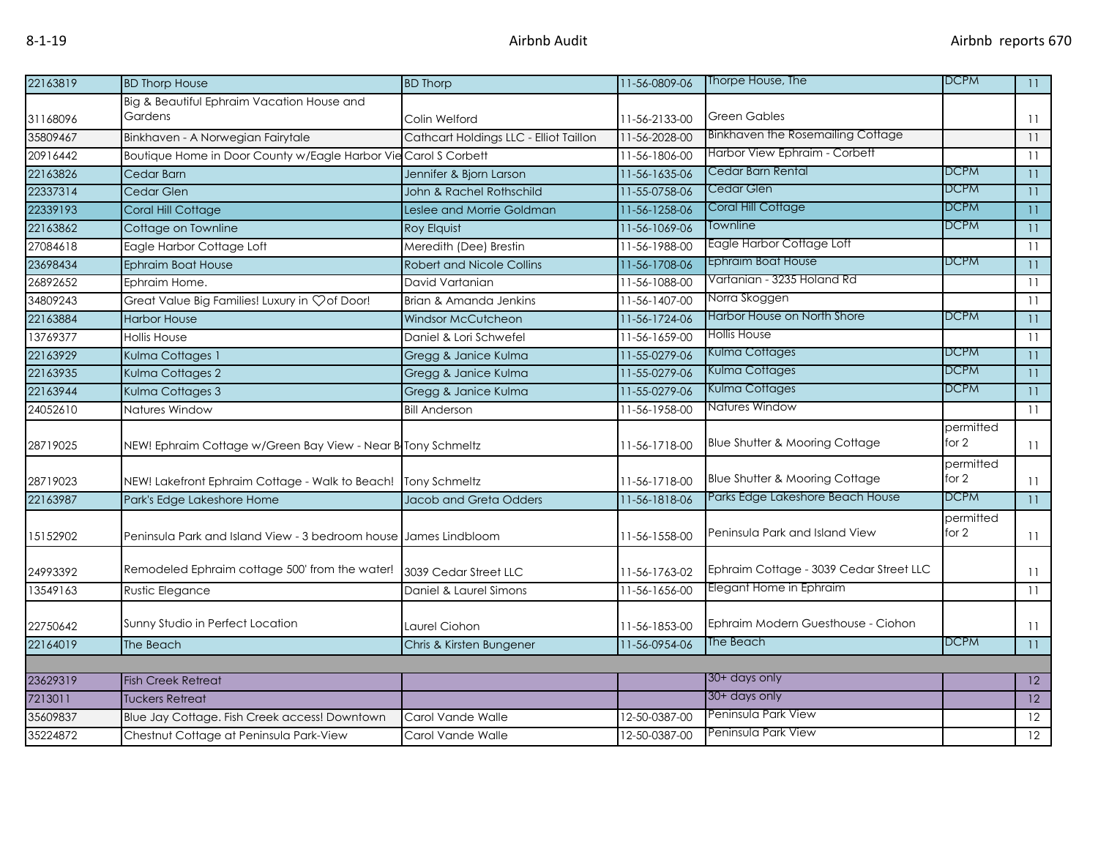| 22163819 | <b>BD Thorp House</b>                                            | <b>BD Thorp</b>                        | 11-56-0809-06 | Thorpe House, The                         | <b>DCPM</b> | $\overline{11}$ |
|----------|------------------------------------------------------------------|----------------------------------------|---------------|-------------------------------------------|-------------|-----------------|
|          | Big & Beautiful Ephraim Vacation House and                       |                                        |               |                                           |             |                 |
| 31168096 | Gardens                                                          | Colin Welford                          | 11-56-2133-00 | <b>Green Gables</b>                       |             | 11              |
| 35809467 | Binkhaven - A Norwegian Fairytale                                | Cathcart Holdings LLC - Elliot Taillon | 11-56-2028-00 | Binkhaven the Rosemailing Cottage         |             | 11              |
| 20916442 | Boutique Home in Door County w/Eagle Harbor Vie Carol S Corbett  |                                        | 11-56-1806-00 | Harbor View Ephraim - Corbett             |             | 11              |
| 22163826 | Cedar Barn                                                       | Jennifer & Bjorn Larson                | 11-56-1635-06 | Cedar Barn Rental                         | <b>DCPM</b> | 11              |
| 22337314 | Cedar Glen                                                       | John & Rachel Rothschild               | 11-55-0758-06 | Cedar Glen                                | <b>DCPM</b> | 11              |
| 22339193 | Coral Hill Cottage                                               | Leslee and Morrie Goldman              | 11-56-1258-06 | Coral Hill Cottage                        | <b>DCPM</b> | $\overline{11}$ |
| 22163862 | Cottage on Townline                                              | Roy Elquist                            | 11-56-1069-06 | Townline                                  | <b>DCPM</b> | 11              |
| 27084618 | Eagle Harbor Cottage Loft                                        | Meredith (Dee) Brestin                 | 11-56-1988-00 | Eagle Harbor Cottage Loft                 |             | 11              |
| 23698434 | <b>Ephraim Boat House</b>                                        | <b>Robert and Nicole Collins</b>       | 11-56-1708-06 | <b>Ephraim Boat House</b>                 | <b>DCPM</b> | 11              |
| 26892652 | Ephraim Home.                                                    | David Vartanian                        | 11-56-1088-00 | Vartanian - 3235 Holand Rd                |             | 11              |
| 34809243 | Great Value Big Families! Luxury in Çof Door!                    | Brian & Amanda Jenkins                 | 11-56-1407-00 | Norra Skoggen                             |             | 11              |
| 22163884 | <b>Harbor House</b>                                              | <b>Windsor McCutcheon</b>              | 11-56-1724-06 | Harbor House on North Shore               | <b>DCPM</b> | 11              |
| 13769377 | <b>Hollis House</b>                                              | Daniel & Lori Schwefel                 | 11-56-1659-00 | <b>Hollis House</b>                       |             | 11              |
| 22163929 | Kulma Cottages 1                                                 | Gregg & Janice Kulma                   | 11-55-0279-06 | Kulma Cottages                            | <b>DCPM</b> | 11              |
| 22163935 | Kulma Cottages 2                                                 | Gregg & Janice Kulma                   | 11-55-0279-06 | Kulma Cottages                            | DCPM        | 11              |
| 22163944 | Kulma Cottages 3                                                 | Gregg & Janice Kulma                   | 11-55-0279-06 | Kulma Cottages                            | DCPM        | 11              |
| 24052610 | Natures Window                                                   | <b>Bill Anderson</b>                   | 11-56-1958-00 | Natures Window                            |             | 11              |
|          |                                                                  |                                        |               |                                           | permitted   |                 |
| 28719025 | NEW! Ephraim Cottage w/Green Bay View - Near B Tony Schmeltz     |                                        | 11-56-1718-00 | Blue Shutter & Mooring Cottage            | for $2$     | 11              |
|          |                                                                  |                                        |               |                                           | permitted   |                 |
| 28719023 | NEW! Lakefront Ephraim Cottage - Walk to Beach!                  | Tony Schmeltz                          | 11-56-1718-00 | <b>Blue Shutter &amp; Mooring Cottage</b> | for 2       | 11              |
| 22163987 | Park's Edge Lakeshore Home                                       | Jacob and Greta Odders                 | 11-56-1818-06 | Parks Edge Lakeshore Beach House          | <b>DCPM</b> | 11              |
|          |                                                                  |                                        |               |                                           | permitted   |                 |
| 15152902 | Peninsula Park and Island View - 3 bedroom house James Lindbloom |                                        | 11-56-1558-00 | Peninsula Park and Island View            | for 2       | 11              |
|          |                                                                  |                                        |               |                                           |             |                 |
| 24993392 | Remodeled Ephraim cottage 500' from the water!                   | 3039 Cedar Street LLC                  | 11-56-1763-02 | Ephraim Cottage - 3039 Cedar Street LLC   |             | 11              |
| 13549163 | <b>Rustic Elegance</b>                                           | Daniel & Laurel Simons                 | 11-56-1656-00 | Elegant Home in Ephraim                   |             | 11              |
|          |                                                                  |                                        |               |                                           |             |                 |
| 22750642 | Sunny Studio in Perfect Location                                 | Laurel Ciohon                          | 11-56-1853-00 | Ephraim Modern Guesthouse - Ciohon        |             | 11              |
| 22164019 | The Beach                                                        | Chris & Kirsten Bungener               | 11-56-0954-06 | The Beach                                 | <b>DCPM</b> | 11              |
|          |                                                                  |                                        |               |                                           |             |                 |
| 23629319 | <b>Fish Creek Retreat</b>                                        |                                        |               | 30+ days only                             |             | 12              |
| 7213011  | <b>Tuckers Retreat</b>                                           |                                        |               | 30+ days only                             |             | 12              |
| 35609837 | Blue Jay Cottage. Fish Creek access! Downtown                    | Carol Vande Walle                      | 12-50-0387-00 | Peninsula Park View                       |             | 12              |
| 35224872 | Chestnut Cottage at Peninsula Park-View                          | Carol Vande Walle                      | 12-50-0387-00 | Peninsula Park View                       |             | 12              |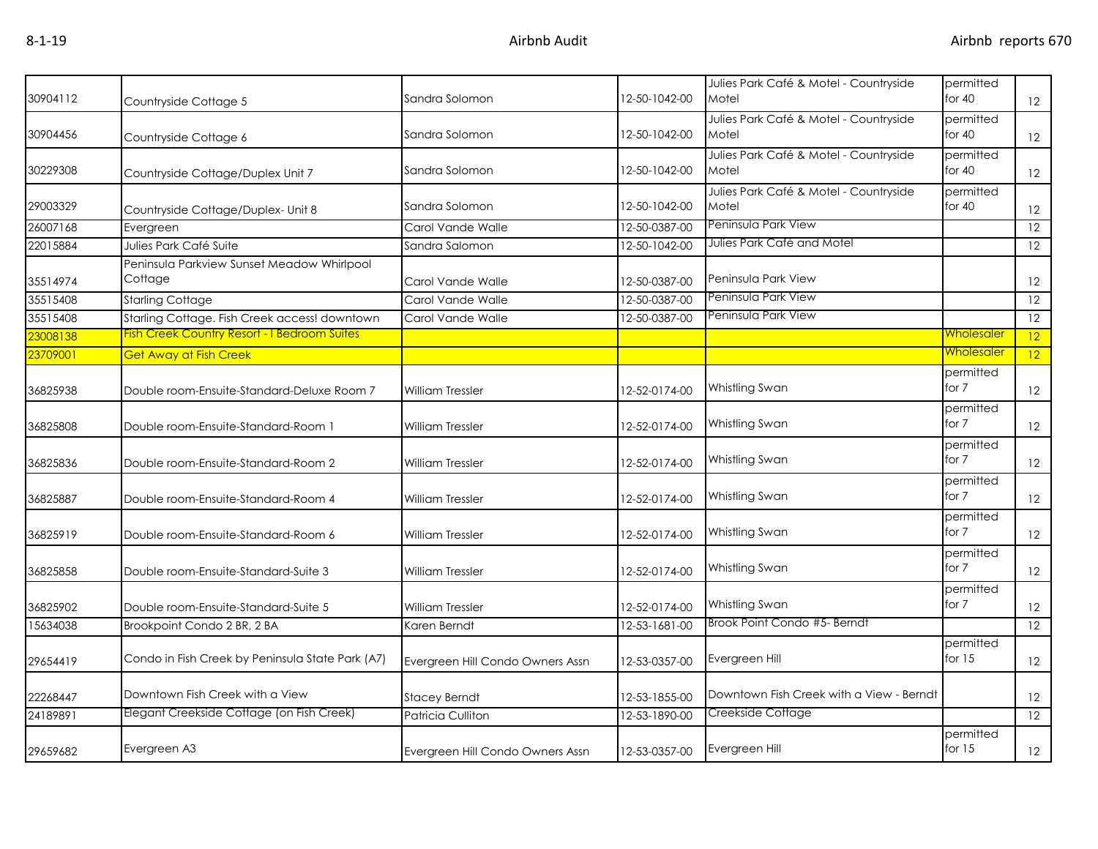| 30904112 | Countryside Cottage 5                                 | Sandra Solomon                   | 12-50-1042-00 | Julies Park Café & Motel - Countryside<br>Motel | permitted<br>for $40$ | 12              |
|----------|-------------------------------------------------------|----------------------------------|---------------|-------------------------------------------------|-----------------------|-----------------|
| 30904456 | Countryside Cottage 6                                 | Sandra Solomon                   | 12-50-1042-00 | Julies Park Café & Motel - Countryside<br>Motel | permitted<br>for $40$ | 12              |
| 30229308 | Countryside Cottage/Duplex Unit 7                     | Sandra Solomon                   | 12-50-1042-00 | Julies Park Café & Motel - Countryside<br>Motel | permitted<br>for $40$ | 12              |
| 29003329 | Countryside Cottage/Duplex- Unit 8                    | Sandra Solomon                   | 12-50-1042-00 | Julies Park Café & Motel - Countryside<br>Motel | permitted<br>for $40$ | 12              |
| 26007168 | Evergreen                                             | Carol Vande Walle                | 12-50-0387-00 | Peninsula Park View                             |                       | 12              |
| 22015884 | Julies Park Café Suite                                | Sandra Salomon                   | 12-50-1042-00 | Julies Park Café and Motel                      |                       | $\overline{12}$ |
| 35514974 | Peninsula Parkview Sunset Meadow Whirlpool<br>Cottage | Carol Vande Walle                | 12-50-0387-00 | Peninsula Park View                             |                       | 12              |
| 35515408 | <b>Starling Cottage</b>                               | Carol Vande Walle                | 12-50-0387-00 | Peninsula Park View                             |                       | 12              |
| 35515408 | Starling Cottage. Fish Creek access! downtown         | Carol Vande Walle                | 12-50-0387-00 | Peninsula Park View                             |                       | 12              |
| 23008138 | <b>Fish Creek Country Resort - I Bedroom Suites</b>   |                                  |               |                                                 | <b>Wholesaler</b>     | 12              |
| 23709001 | <b>Get Away at Fish Creek</b>                         |                                  |               |                                                 | <u>Wholesaler</u>     | 12              |
| 36825938 | Double room-Ensuite-Standard-Deluxe Room 7            | <b>William Tressler</b>          | 12-52-0174-00 | Whistling Swan                                  | permitted<br>for 7    | 12              |
| 36825808 | Double room-Ensuite-Standard-Room 1                   | <b>William Tressler</b>          | 12-52-0174-00 | Whistling Swan                                  | permitted<br>for 7    | 12              |
| 36825836 | Double room-Ensuite-Standard-Room 2                   | <b>William Tressler</b>          | 12-52-0174-00 | Whistling Swan                                  | permitted<br>for 7    | 12              |
| 36825887 | Double room-Ensuite-Standard-Room 4                   | William Tressler                 | 12-52-0174-00 | Whistling Swan                                  | permitted<br>for 7    | 12              |
| 36825919 | Double room-Ensuite-Standard-Room 6                   | William Tressler                 | 12-52-0174-00 | Whistling Swan                                  | permitted<br>for 7    | 12              |
| 36825858 | Double room-Ensuite-Standard-Suite 3                  | <b>William Tressler</b>          | 12-52-0174-00 | Whistling Swan                                  | permitted<br>for 7    | 12              |
| 36825902 | Double room-Ensuite-Standard-Suite 5                  | William Tressler                 | 12-52-0174-00 | Whistling Swan                                  | permitted<br>for 7    | 12              |
| 15634038 | Brookpoint Condo 2 BR, 2 BA                           | Karen Berndt                     | 12-53-1681-00 | Brook Point Condo #5- Berndt                    |                       | $\overline{12}$ |
| 29654419 | Condo in Fish Creek by Peninsula State Park (A7)      | Evergreen Hill Condo Owners Assn | 12-53-0357-00 | Evergreen Hill                                  | permitted<br>for $15$ | 12              |
| 22268447 | Downtown Fish Creek with a View                       | <b>Stacey Berndt</b>             | 12-53-1855-00 | Downtown Fish Creek with a View - Berndt        |                       | 12              |
| 24189891 | Elegant Creekside Cottage (on Fish Creek)             | Patricia Culliton                | 12-53-1890-00 | Creekside Cottage                               |                       | $\overline{12}$ |
| 29659682 | Evergreen A3                                          | Evergreen Hill Condo Owners Assn | 12-53-0357-00 | Evergreen Hill                                  | permitted<br>for $15$ | 12              |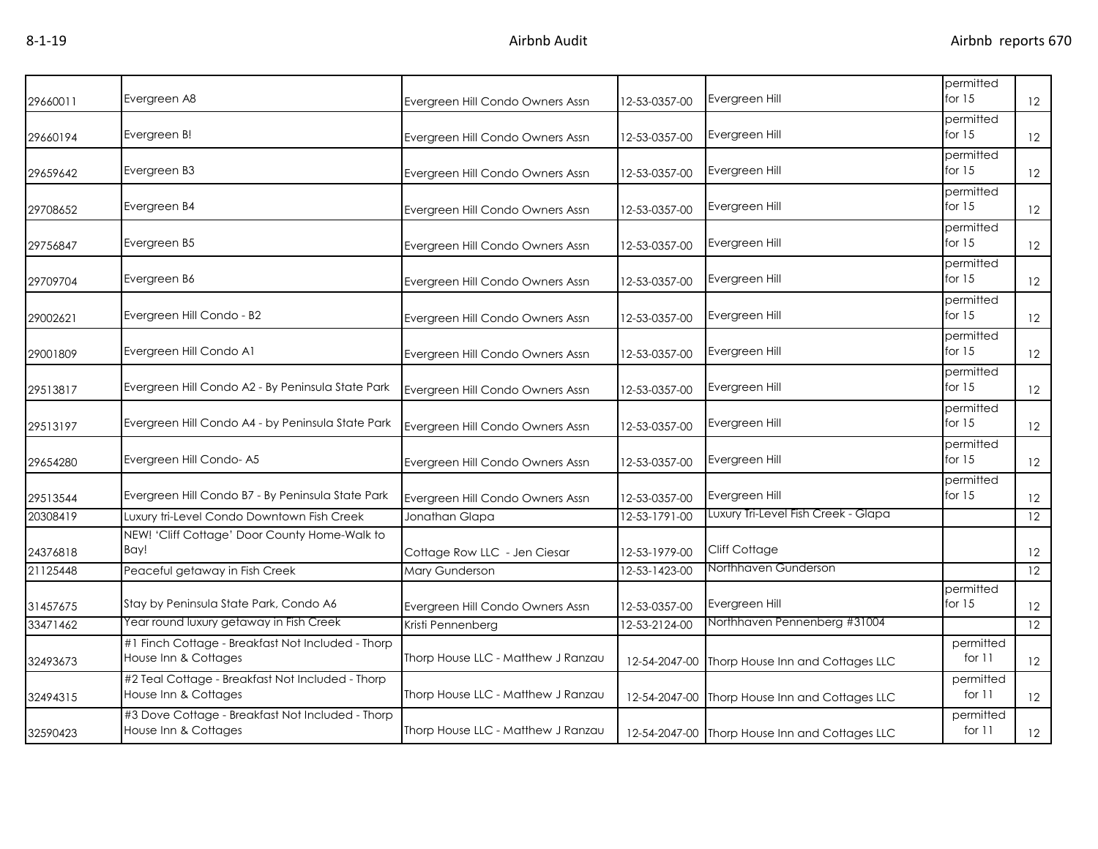| 29660011 | Evergreen A8                                                              | Evergreen Hill Condo Owners Assn   | 12-53-0357-00 | Evergreen Hill                                 | permitted<br>for $15$ | 12 |
|----------|---------------------------------------------------------------------------|------------------------------------|---------------|------------------------------------------------|-----------------------|----|
| 29660194 | Evergreen B!                                                              | Evergreen Hill Condo Owners Assn   | 12-53-0357-00 | Evergreen Hill                                 | permitted<br>for $15$ | 12 |
| 29659642 | Evergreen B3                                                              | Evergreen Hill Condo Owners Assn   | 12-53-0357-00 | Evergreen Hill                                 | permitted<br>for 15   | 12 |
| 29708652 | Evergreen B4                                                              | Evergreen Hill Condo Owners Assn   | 12-53-0357-00 | Evergreen Hill                                 | permitted<br>for $15$ | 12 |
| 29756847 | Evergreen B5                                                              | Evergreen Hill Condo Owners Assn   | 12-53-0357-00 | Evergreen Hill                                 | permitted<br>for $15$ | 12 |
| 29709704 | Evergreen B6                                                              | Evergreen Hill Condo Owners Assn   | 12-53-0357-00 | Evergreen Hill                                 | permitted<br>for $15$ | 12 |
| 29002621 | Evergreen Hill Condo - B2                                                 | Evergreen Hill Condo Owners Assn   | 12-53-0357-00 | Evergreen Hill                                 | permitted<br>for $15$ | 12 |
| 29001809 | Evergreen Hill Condo A1                                                   | Evergreen Hill Condo Owners Assn   | 12-53-0357-00 | Evergreen Hill                                 | permitted<br>for $15$ | 12 |
| 29513817 | Evergreen Hill Condo A2 - By Peninsula State Park                         | Evergreen Hill Condo Owners Assn   | 12-53-0357-00 | Evergreen Hill                                 | permitted<br>for $15$ | 12 |
| 29513197 | Evergreen Hill Condo A4 - by Peninsula State Park                         | Evergreen Hill Condo Owners Assn   | 12-53-0357-00 | Evergreen Hill                                 | permitted<br>for $15$ | 12 |
| 29654280 | Evergreen Hill Condo-A5                                                   | Evergreen Hill Condo Owners Assn   | 12-53-0357-00 | Evergreen Hill                                 | permitted<br>for $15$ | 12 |
| 29513544 | Evergreen Hill Condo B7 - By Peninsula State Park                         | Evergreen Hill Condo Owners Assn   | 12-53-0357-00 | Evergreen Hill                                 | permitted<br>for $15$ | 12 |
| 20308419 | Luxury tri-Level Condo Downtown Fish Creek                                | Jonathan Glapa                     | 12-53-1791-00 | Luxury Tri-Level Fish Creek - Glapa            |                       | 12 |
| 24376818 | NEW! 'Cliff Cottage' Door County Home-Walk to<br>Bav!                     | Cottage Row LLC - Jen Ciesar       | 12-53-1979-00 | Cliff Cottage                                  |                       | 12 |
| 21125448 | Peaceful getaway in Fish Creek                                            | Mary Gunderson                     | 12-53-1423-00 | Northhaven Gunderson                           |                       | 12 |
| 31457675 | Stay by Peninsula State Park, Condo A6                                    | Evergreen Hill Condo Owners Assn   | 12-53-0357-00 | Evergreen Hill                                 | permitted<br>for $15$ | 12 |
| 33471462 | Year round luxury getaway in Fish Creek                                   | Kristi Pennenberg                  | 12-53-2124-00 | Northhaven Pennenberg #31004                   |                       | 12 |
| 32493673 | #1 Finch Cottage - Breakfast Not Included - Thorp<br>House Inn & Cottages | Thorp House LLC - Matthew J Ranzau | 12-54-2047-00 | Thorp House Inn and Cottages LLC               | permitted<br>for $11$ | 12 |
| 32494315 | #2 Teal Cottage - Breakfast Not Included - Thorp<br>House Inn & Cottages  | Thorp House LLC - Matthew J Ranzau | 12-54-2047-00 | Thorp House Inn and Cottages LLC               | permitted<br>for $11$ | 12 |
| 32590423 | #3 Dove Cottage - Breakfast Not Included - Thorp<br>House Inn & Cottages  | Thorp House LLC - Matthew J Ranzau |               | 12-54-2047-00 Thorp House Inn and Cottages LLC | permitted<br>for $11$ | 12 |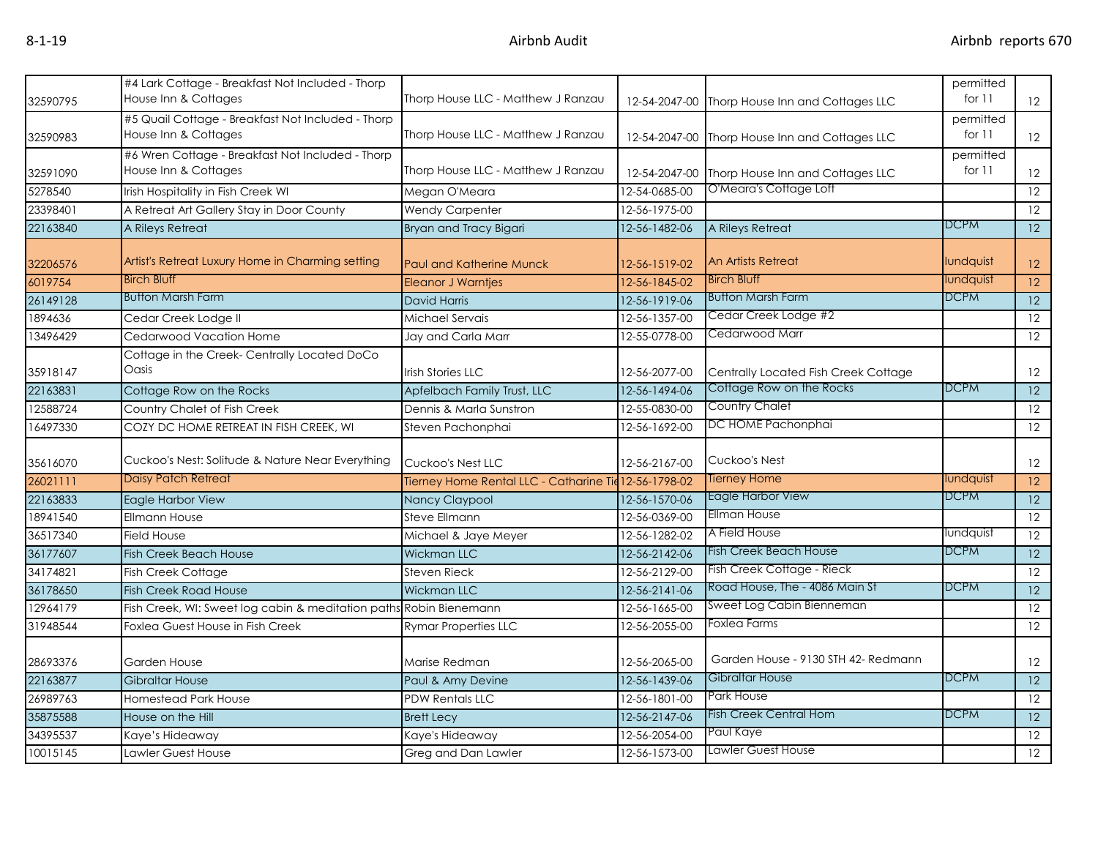| 32590795 | #4 Lark Cottage - Breakfast Not Included - Thorp<br>House Inn & Cottages  | Thorp House LLC - Matthew J Ranzau                    |               | 12-54-2047-00 Thorp House Inn and Cottages LLC | permitted<br>for $11$ | 12                |
|----------|---------------------------------------------------------------------------|-------------------------------------------------------|---------------|------------------------------------------------|-----------------------|-------------------|
| 32590983 | #5 Quail Cottage - Breakfast Not Included - Thorp<br>House Inn & Cottages | Thorp House LLC - Matthew J Ranzau                    |               | 12-54-2047-00 Thorp House Inn and Cottages LLC | permitted<br>for $11$ | 12                |
| 32591090 | #6 Wren Cottage - Breakfast Not Included - Thorp<br>House Inn & Cottages  | Thorp House LLC - Matthew J Ranzau                    |               | 12-54-2047-00 Thorp House Inn and Cottages LLC | permitted<br>for $11$ | 12                |
| 5278540  | Irish Hospitality in Fish Creek WI                                        | Megan O'Meara                                         | 12-54-0685-00 | O'Meara's Cottage Loft                         |                       | 12                |
| 23398401 | A Retreat Art Gallery Stay in Door County                                 | <b>Wendy Carpenter</b>                                | 12-56-1975-00 |                                                |                       | 12                |
| 22163840 | A Rileys Retreat                                                          | Bryan and Tracy Bigari                                | 12-56-1482-06 | A Rileys Retreat                               | <b>DCPM</b>           | 12                |
| 32206576 | Artist's Retreat Luxury Home in Charming setting                          | <b>Paul and Katherine Munck</b>                       | 12-56-1519-02 | <b>An Artists Retreat</b>                      | lundquist             | 12                |
| 6019754  | <b>Birch Bluff</b>                                                        | <b>Eleanor J Warntjes</b>                             | 12-56-1845-02 | <b>Birch Bluff</b>                             | lundquist             | $\overline{12}$   |
| 26149128 | <b>Button Marsh Farm</b>                                                  | <b>David Harris</b>                                   | 12-56-1919-06 | <b>Button Marsh Farm</b>                       | DCPM                  | 12                |
| 1894636  | Cedar Creek Lodge II                                                      | Michael Servais                                       | 12-56-1357-00 | Cedar Creek Lodge #2                           |                       | 12                |
| 13496429 | Cedarwood Vacation Home                                                   | Jay and Carla Marr                                    | 12-55-0778-00 | Cedarwood Marr                                 |                       | $\overline{12}$   |
|          | Cottage in the Creek- Centrally Located DoCo                              |                                                       |               |                                                |                       |                   |
| 35918147 | Oasis                                                                     | <b>Irish Stories LLC</b>                              | 12-56-2077-00 | Centrally Located Fish Creek Cottage           |                       | $12 \overline{ }$ |
| 22163831 | Cottage Row on the Rocks                                                  | Apfelbach Family Trust, LLC                           | 12-56-1494-06 | Cottage Row on the Rocks                       | <b>DCPM</b>           | $\overline{12}$   |
| 12588724 | Country Chalet of Fish Creek                                              | Dennis & Marla Sunstron                               | 12-55-0830-00 | Country Chalet                                 |                       | 12                |
| 16497330 | COZY DC HOME RETREAT IN FISH CREEK, WI                                    | Steven Pachonphai                                     | 12-56-1692-00 | DC HOME Pachonphai                             |                       | 12                |
| 35616070 | Cuckoo's Nest: Solitude & Nature Near Everything                          | Cuckoo's Nest LLC                                     | 12-56-2167-00 | Cuckoo's Nest                                  |                       | 12                |
| 26021111 | Daisy Patch Retreat                                                       | Tierney Home Rental LLC - Catharine Tie 12-56-1798-02 |               | Tierney Home                                   | lundquist             | 12                |
| 22163833 | Eagle Harbor View                                                         | Nancy Claypool                                        | 12-56-1570-06 | <b>Eagle Harbor View</b>                       | <b>DCPM</b>           | 12                |
| 18941540 | <b>Ellmann House</b>                                                      | <b>Steve Ellmann</b>                                  | 12-56-0369-00 | <b>Ellman House</b>                            |                       | 12                |
| 36517340 | <b>Field House</b>                                                        | Michael & Jaye Meyer                                  | 12-56-1282-02 | A Field House                                  | lundquist             | 12                |
| 36177607 | <b>Fish Creek Beach House</b>                                             | <b>Wickman LLC</b>                                    | 12-56-2142-06 | <b>Fish Creek Beach House</b>                  | <b>DCPM</b>           | 12                |
| 34174821 | Fish Creek Cottage                                                        | <b>Steven Rieck</b>                                   | 12-56-2129-00 | Fish Creek Cottage - Rieck                     |                       | $\overline{12}$   |
| 36178650 | <b>Fish Creek Road House</b>                                              | Wickman LLC                                           | 12-56-2141-06 | Road House, The - 4086 Main St                 | <b>DCPM</b>           | $\overline{12}$   |
| 12964179 | Fish Creek, WI: Sweet log cabin & meditation paths Robin Bienemann        |                                                       | 12-56-1665-00 | Sweet Log Cabin Bienneman                      |                       | $\overline{12}$   |
| 31948544 | Foxlea Guest House in Fish Creek                                          | <b>Rymar Properties LLC</b>                           | 12-56-2055-00 | Foxlea Farms                                   |                       | 12                |
| 28693376 | Garden House                                                              | Marise Redman                                         | 12-56-2065-00 | Garden House - 9130 STH 42- Redmann            |                       | 12                |
| 22163877 | <b>Gibraltar House</b>                                                    | Paul & Amy Devine                                     | 12-56-1439-06 | Gibraltar House                                | <b>DCPM</b>           | 12                |
| 26989763 | <b>Homestead Park House</b>                                               | <b>PDW Rentals LLC</b>                                | 12-56-1801-00 | <b>Park House</b>                              |                       | 12                |
| 35875588 | House on the Hill                                                         | <b>Brett Lecy</b>                                     | 12-56-2147-06 | Fish Creek Central Hom                         | DCPM                  | $\overline{12}$   |
| 34395537 | Kaye's Hideaway                                                           | Kaye's Hideaway                                       | 12-56-2054-00 | Paul Kaye                                      |                       | 12                |
| 10015145 | Lawler Guest House                                                        | Greg and Dan Lawler                                   | 12-56-1573-00 | Lawler Guest House                             |                       | 12                |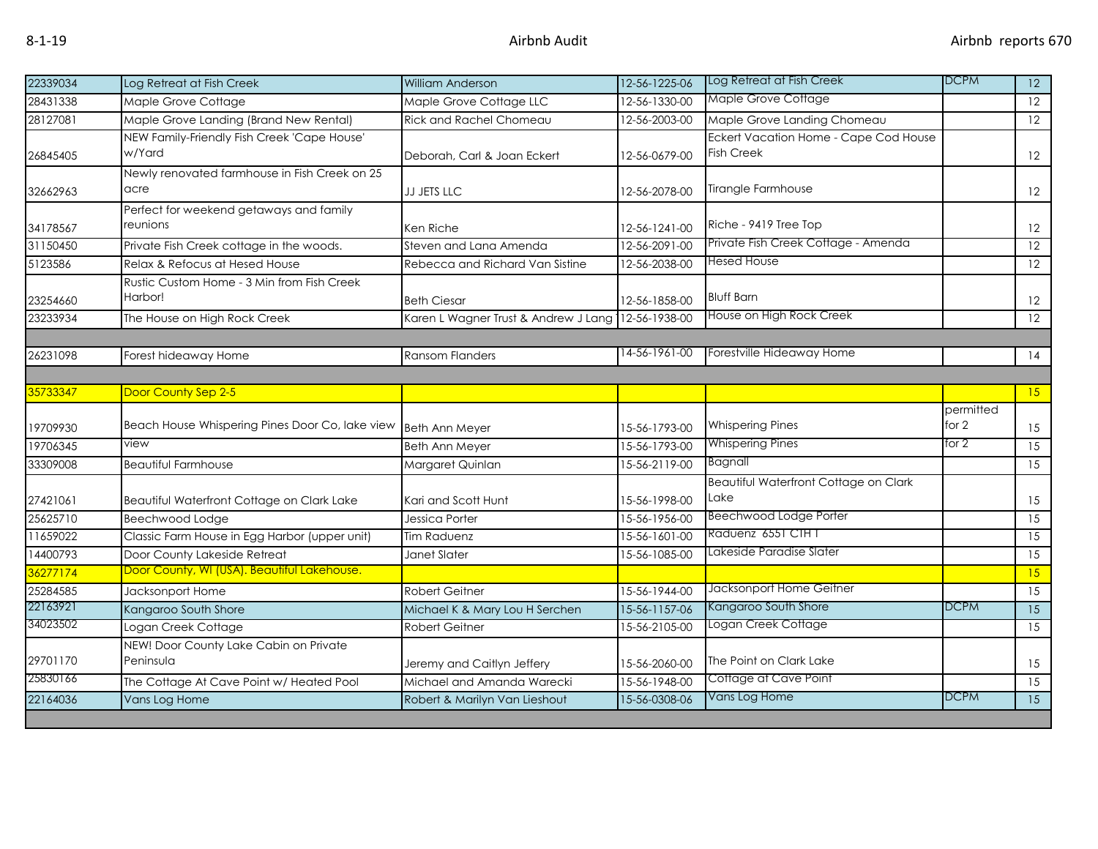| 22339034             | Log Retreat at Fish Creek                                                             | William Anderson                                           | 12-56-1225-06                  | Log Retreat at Fish Creek                                  | <b>DCPM</b>        | $\overline{12}$ |
|----------------------|---------------------------------------------------------------------------------------|------------------------------------------------------------|--------------------------------|------------------------------------------------------------|--------------------|-----------------|
| 28431338             | Maple Grove Cottage                                                                   | Maple Grove Cottage LLC                                    | 12-56-1330-00                  | Maple Grove Cottage                                        |                    | $\overline{12}$ |
| 28127081             | Maple Grove Landing (Brand New Rental)                                                | <b>Rick and Rachel Chomeau</b>                             | 12-56-2003-00                  | Maple Grove Landing Chomeau                                |                    | 12              |
| 26845405             | NEW Family-Friendly Fish Creek 'Cape House'<br>w/Yard                                 | Deborah, Carl & Joan Eckert                                | 12-56-0679-00                  | Eckert Vacation Home - Cape Cod House<br><b>Fish Creek</b> |                    | 12              |
| 32662963             | Newly renovated farmhouse in Fish Creek on 25<br>acre                                 | JJ JETS LLC                                                | 12-56-2078-00                  | Tirangle Farmhouse                                         |                    | 12              |
| 34178567             | Perfect for weekend getaways and family<br>reunions                                   | Ken Riche                                                  | 12-56-1241-00                  | Riche - 9419 Tree Top                                      |                    | 12              |
| 31150450             | Private Fish Creek cottage in the woods.                                              | Steven and Lana Amenda                                     | 12-56-2091-00                  | Private Fish Creek Cottage - Amenda                        |                    | $\overline{12}$ |
| 5123586              | Relax & Refocus at Hesed House                                                        | Rebecca and Richard Van Sistine                            | 12-56-2038-00                  | <b>Hesed House</b>                                         |                    | 12              |
| 23254660<br>23233934 | Rustic Custom Home - 3 Min from Fish Creek<br>Harbor!<br>The House on High Rock Creek | <b>Beth Ciesar</b><br>Karen L Wagner Trust & Andrew J Lang | 12-56-1858-00<br>12-56-1938-00 | <b>Bluff Barn</b><br>House on High Rock Creek              |                    | 12<br>12        |
|                      |                                                                                       |                                                            |                                |                                                            |                    |                 |
| 26231098             | Forest hideaway Home                                                                  | <b>Ransom Flanders</b>                                     | 14-56-1961-00                  | Forestville Hideaway Home                                  |                    | 14              |
|                      |                                                                                       |                                                            |                                |                                                            |                    |                 |
| 35733347             | Door County Sep 2-5                                                                   |                                                            |                                |                                                            |                    | 15              |
| 19709930             | Beach House Whispering Pines Door Co, lake view                                       | <b>Beth Ann Meyer</b>                                      | 15-56-1793-00                  | <b>Whispering Pines</b>                                    | permitted<br>for 2 | 15              |
| 19706345             | view                                                                                  | <b>Beth Ann Meyer</b>                                      | 15-56-1793-00                  | <b>Whispering Pines</b>                                    | for 2              | 15              |
| 33309008             | <b>Beautiful Farmhouse</b>                                                            | Margaret Quinlan                                           | 15-56-2119-00                  | Bagnall                                                    |                    | 15              |
| 27421061             | Beautiful Waterfront Cottage on Clark Lake                                            | Kari and Scott Hunt                                        | 15-56-1998-00                  | Beautiful Waterfront Cottage on Clark<br>Lake              |                    | 15              |
| 25625710             | Beechwood Lodge                                                                       | Jessica Porter                                             | 15-56-1956-00                  | <b>Beechwood Lodge Porter</b>                              |                    | 15              |
| 11659022             | Classic Farm House in Egg Harbor (upper unit)                                         | Tim Raduenz                                                | 15-56-1601-00                  | Raduenz 6551 CTH T                                         |                    | 15              |
| 14400793             | Door County Lakeside Retreat                                                          | Janet Slater                                               | 15-56-1085-00                  | Lakeside Paradise Slater                                   |                    | 15              |
| 36277174             | Door County, WI (USA). Beautiful Lakehouse.                                           |                                                            |                                |                                                            |                    | 15              |
| 25284585             | Jacksonport Home                                                                      | Robert Geitner                                             | 15-56-1944-00                  | Jacksonport Home Geitner                                   |                    | $\overline{15}$ |
| 22163921             | Kangaroo South Shore                                                                  | Michael K & Mary Lou H Serchen                             | 15-56-1157-06                  | Kangaroo South Shore                                       | <b>DCPM</b>        | $\overline{15}$ |
| 34023502             | Logan Creek Cottage                                                                   | <b>Robert Geitner</b>                                      | 15-56-2105-00                  | Logan Creek Cottage                                        |                    | 15              |
| 29701170             | NEW! Door County Lake Cabin on Private<br>Peninsula                                   | Jeremy and Caitlyn Jeffery                                 | 15-56-2060-00                  | The Point on Clark Lake                                    |                    | 15              |
| 25830166             | The Cottage At Cave Point w/ Heated Pool                                              | Michael and Amanda Warecki                                 | 15-56-1948-00                  | Cottage at Cave Point                                      |                    | $\overline{15}$ |
| 22164036             | Vans Log Home                                                                         | Robert & Marilyn Van Lieshout                              | 15-56-0308-06                  | Vans Log Home                                              | <b>DCPM</b>        | 15              |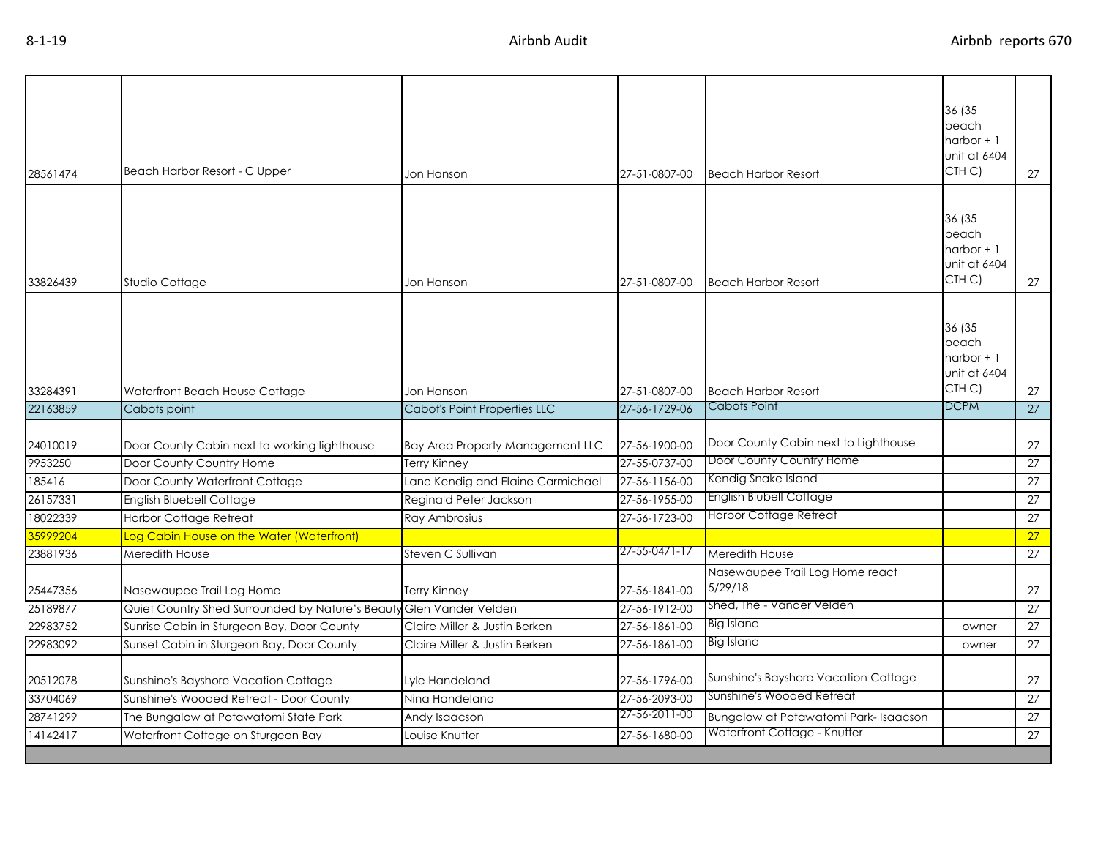| 28561474             | Beach Harbor Resort - C Upper                                               | Jon Hanson                          | 27-51-0807-00 | <b>Beach Harbor Resort</b>                 | 36 (35<br>beach<br>harbor $+1$<br>unit at 6404<br>CTH C) | 27              |
|----------------------|-----------------------------------------------------------------------------|-------------------------------------|---------------|--------------------------------------------|----------------------------------------------------------|-----------------|
| 33826439             | Studio Cottage                                                              | Jon Hanson                          | 27-51-0807-00 | <b>Beach Harbor Resort</b>                 | 36 (35<br>beach<br>harbor $+1$<br>unit at 6404<br>CTH C) | 27              |
| 33284391             | Waterfront Beach House Cottage                                              | Jon Hanson                          | 27-51-0807-00 | <b>Beach Harbor Resort</b>                 | 36 (35<br>beach<br>harbor $+1$<br>unit at 6404<br>CTH C) | 27              |
| 22163859             | Cabots point                                                                | <b>Cabot's Point Properties LLC</b> | 27-56-1729-06 | Cabots Point                               | <b>DCPM</b>                                              | 27              |
| 24010019             | Door County Cabin next to working lighthouse                                | Bay Area Property Management LLC    | 27-56-1900-00 | Door County Cabin next to Lighthouse       |                                                          | 27              |
| 9953250              | Door County Country Home                                                    | <b>Terry Kinney</b>                 | 27-55-0737-00 | Door County Country Home                   |                                                          | 27              |
| 185416               | Door County Waterfront Cottage                                              | Lane Kendig and Elaine Carmichael   | 27-56-1156-00 | Kendig Snake Island                        |                                                          | 27              |
| 26157331             | <b>English Bluebell Cottage</b>                                             | Reginald Peter Jackson              | 27-56-1955-00 | English Blubell Cottage                    |                                                          | 27              |
| 18022339             | Harbor Cottage Retreat                                                      | Ray Ambrosius                       | 27-56-1723-00 | Harbor Cottage Retreat                     |                                                          | 27              |
| 35999204             | Log Cabin House on the Water (Waterfront)                                   |                                     |               |                                            |                                                          | 27              |
| 23881936             | Meredith House                                                              | Steven C Sullivan                   | 27-55-0471-17 | Meredith House                             |                                                          | 27              |
| 25447356             | Nasewaupee Trail Log Home                                                   | Terry Kinney                        | 27-56-1841-00 | Nasewaupee Trail Log Home react<br>5/29/18 |                                                          | 27              |
| 25189877             | Quiet Country Shed Surrounded by Nature's Beauty Glen Vander Velden         |                                     | 27-56-1912-00 | Shed, The - Vander Velden                  |                                                          | 27              |
| 22983752             | Sunrise Cabin in Sturgeon Bay, Door County                                  | Claire Miller & Justin Berken       | 27-56-1861-00 | <b>Big Island</b>                          | owner                                                    | 27              |
| 22983092             | Sunset Cabin in Sturgeon Bay, Door County                                   | Claire Miller & Justin Berken       | 27-56-1861-00 | Big Island                                 | owner                                                    | 27              |
| 20512078             | Sunshine's Bayshore Vacation Cottage                                        | Lyle Handeland                      | 27-56-1796-00 | Sunshine's Bayshore Vacation Cottage       |                                                          | 27              |
| 33704069             | Sunshine's Wooded Retreat - Door County                                     | Nina Handeland                      | 27-56-2093-00 | Sunshine's Wooded Retreat                  |                                                          | 27              |
|                      |                                                                             |                                     | 27-56-2011-00 | Bungalow at Potawatomi Park-Isaacson       |                                                          | $\overline{27}$ |
| 28741299<br>14142417 | The Bungalow at Potawatomi State Park<br>Waterfront Cottage on Sturgeon Bay | Andy Isaacson                       |               | Waterfront Cottage - Knutter               |                                                          |                 |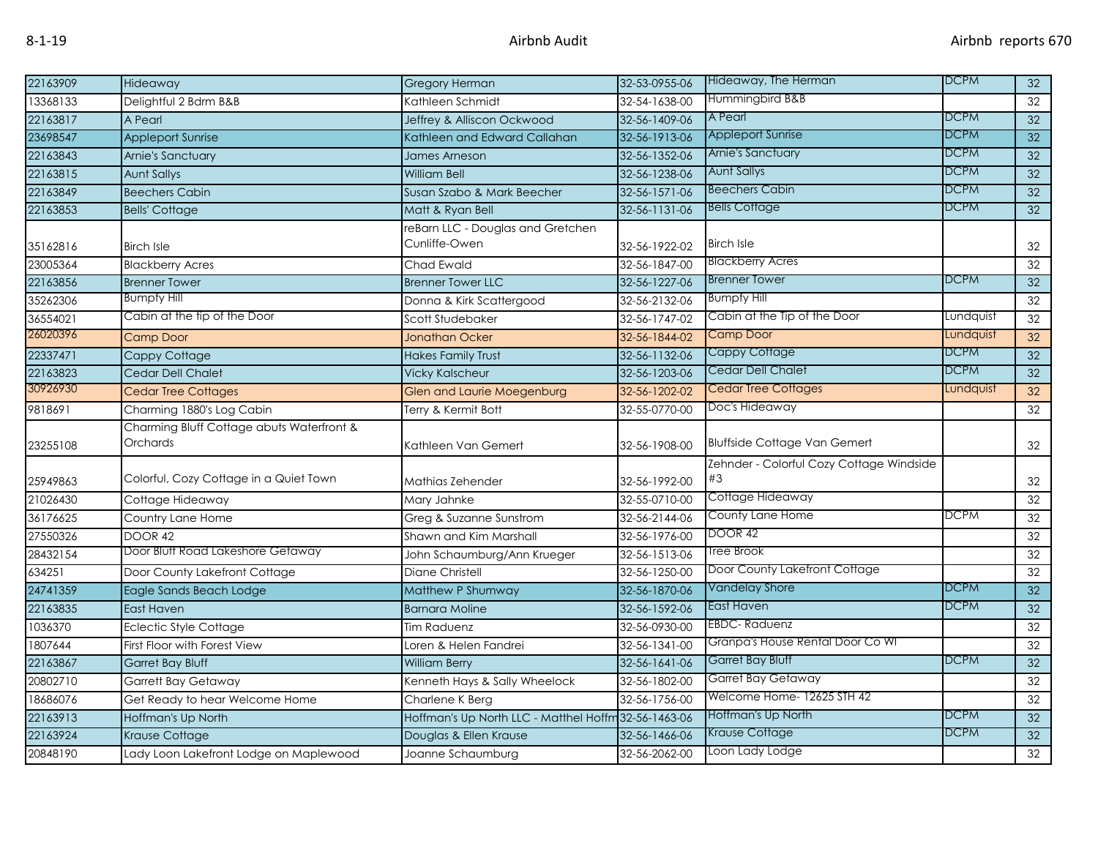| 22163909             | Hideaway                                              | <b>Gregory Herman</b>                                | 32-53-0955-06 | Hideaway, The Herman                           | <b>DCPM</b> | 32              |
|----------------------|-------------------------------------------------------|------------------------------------------------------|---------------|------------------------------------------------|-------------|-----------------|
| 13368133             | Delightful 2 Bdrm B&B                                 | Kathleen Schmidt                                     | 32-54-1638-00 | Hummingbird B&B                                |             | 32              |
| 22163817             | A Pearl                                               | Jeffrey & Alliscon Ockwood                           | 32-56-1409-06 | A Pearl                                        | <b>DCPM</b> | 32              |
| 23698547             | <b>Appleport Sunrise</b>                              | Kathleen and Edward Callahan                         | 32-56-1913-06 | <b>Appleport Sunrise</b>                       | <b>DCPM</b> | 32              |
| 22163843             | <b>Arnie's Sanctuary</b>                              | <b>James Arneson</b>                                 | 32-56-1352-06 | <b>Arnie's Sanctuary</b>                       | <b>DCPM</b> | 32              |
| 22163815             | <b>Aunt Sallys</b>                                    | <b>William Bell</b>                                  | 32-56-1238-06 | <b>Aunt Sallys</b>                             | <b>DCPM</b> | 32              |
| 22163849             | <b>Beechers Cabin</b>                                 | Susan Szabo & Mark Beecher                           | 32-56-1571-06 | <b>Beechers Cabin</b>                          | <b>DCPM</b> | 32              |
| 22163853             | <b>Bells' Cottage</b>                                 | Matt & Ryan Bell                                     | 32-56-1131-06 | <b>Bells Cottage</b>                           | <b>DCPM</b> | $\overline{32}$ |
| 35162816             | <b>Birch Isle</b>                                     | reBarn LLC - Douglas and Gretchen<br>Cunliffe-Owen   | 32-56-1922-02 | <b>Birch Isle</b>                              |             | 32              |
| 23005364             | <b>Blackberry Acres</b>                               | <b>Chad Ewald</b>                                    | 32-56-1847-00 | <b>Blackberry Acres</b>                        |             | 32              |
| 22163856             | <b>Brenner Tower</b>                                  | <b>Brenner Tower LLC</b>                             | 32-56-1227-06 | <b>Brenner Tower</b>                           | <b>DCPM</b> | 32              |
| 35262306             | <b>Bumpfy Hill</b>                                    | Donna & Kirk Scattergood                             | 32-56-2132-06 | <b>Bumpfy Hill</b>                             |             | 32              |
| 36554021             | Cabin at the tip of the Door                          | Scott Studebaker                                     | 32-56-1747-02 | Cabin at the Tip of the Door                   | Lundquist   | 32              |
| 26020396             | Camp Door                                             | <b>Jonathan Ocker</b>                                | 32-56-1844-02 | Camp Door                                      | Lundquist   | 32              |
| 22337471             | Cappy Cottage                                         | <b>Hakes Family Trust</b>                            | 32-56-1132-06 | Cappy Cottage                                  | <b>DCPM</b> | 32              |
| 22163823             | <b>Cedar Dell Chalet</b>                              | <b>Vicky Kalscheur</b>                               | 32-56-1203-06 | Cedar Dell Chalet                              | <b>DCPM</b> | 32              |
| 30926930             | <b>Cedar Tree Cottages</b>                            | <b>Glen and Laurie Moegenburg</b>                    | 32-56-1202-02 | Cedar Tree Cottages                            | Lundquist   | 32              |
| 9818691              | Charming 1880's Log Cabin                             | Terry & Kermit Bott                                  | 32-55-0770-00 | Doc's Hideaway                                 |             | 32              |
| 23255108             | Charming Bluff Cottage abuts Waterfront &<br>Orchards | Kathleen Van Gemert                                  | 32-56-1908-00 | <b>Bluffside Cottage Van Gemert</b>            |             | 32              |
| 25949863             | Colorful, Cozy Cottage in a Quiet Town                | Mathias Zehender                                     | 32-56-1992-00 | Zehnder - Colorful Cozy Cottage Windside<br>#3 |             | 32              |
| 21026430             | Cottage Hideaway                                      | Mary Jahnke                                          | 32-55-0710-00 | Cottage Hideaway                               |             | 32              |
| 36176625             | Country Lane Home                                     | Greg & Suzanne Sunstrom                              | 32-56-2144-06 | County Lane Home                               | <b>DCPM</b> | 32              |
| 27550326             | DOOR 42                                               | Shawn and Kim Marshall                               | 32-56-1976-00 | <b>DOOR 42</b>                                 |             | 32              |
| 28432154             | Door Bluff Road Lakeshore Getaway                     | John Schaumburg/Ann Krueger                          | 32-56-1513-06 | Tree Brook                                     |             | 32              |
| 634251               |                                                       |                                                      |               |                                                |             |                 |
| 24741359             | Door County Lakefront Cottage                         | <b>Diane Christell</b>                               | 32-56-1250-00 | Door County Lakefront Cottage                  |             | 32              |
|                      | Eagle Sands Beach Lodge                               | Matthew P Shumway                                    | 32-56-1870-06 | Vandelay Shore                                 | <b>DCPM</b> | 32              |
|                      | <b>East Haven</b>                                     | <b>Barnara Moline</b>                                | 32-56-1592-06 | East Haven                                     | <b>DCPM</b> | 32              |
| 1036370              | <b>Eclectic Style Cottage</b>                         | Tim Raduenz                                          | 32-56-0930-00 | <b>EBDC-Raduenz</b>                            |             | 32              |
| 1807644              | First Floor with Forest View                          | Loren & Helen Fandrei                                | 32-56-1341-00 | Granpa's House Rental Door Co WI               |             | 32              |
| 22163835<br>22163867 | <b>Garret Bay Bluff</b>                               | <b>William Berry</b>                                 | 32-56-1641-06 | Garret Bay Bluff                               | <b>DCPM</b> | 32              |
| 20802710             | <b>Garrett Bay Getaway</b>                            | Kenneth Hays & Sally Wheelock                        | 32-56-1802-00 | Garret Bay Getaway                             |             | 32              |
| 18686076             | Get Ready to hear Welcome Home                        | Charlene K Berg                                      | 32-56-1756-00 | Welcome Home- 12625 STH 42                     |             | 32              |
| 22163913             | Hoffman's Up North                                    | Hoffman's Up North LLC - Matthel Hoffm 32-56-1463-06 |               | Hoffman's Up North                             | <b>DCPM</b> | 32              |
| 22163924             | Krause Cottage                                        | Douglas & Ellen Krause                               | 32-56-1466-06 | Krause Cottage<br>Loon Lady Lodge              | <b>DCPM</b> | 32              |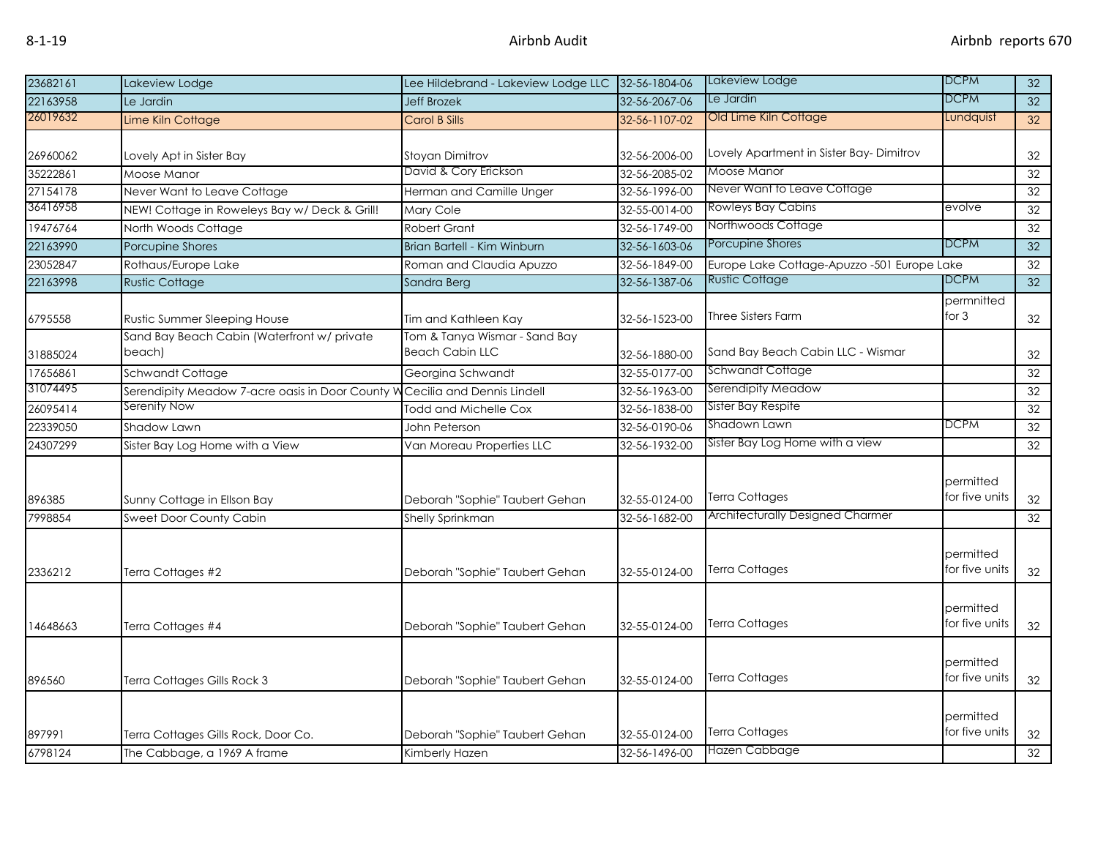| 23682161 | Lakeview Lodge                                        | Lee Hildebrand - Lakeview Lodge LLC                     | 32-56-1804-06 | Lakeview Lodge                              | <b>DCPM</b>                 | 32              |
|----------|-------------------------------------------------------|---------------------------------------------------------|---------------|---------------------------------------------|-----------------------------|-----------------|
| 22163958 | Le Jardin                                             | <b>Jeff Brozek</b>                                      | 32-56-2067-06 | Le Jardin                                   | DCPM                        | 32              |
| 26019632 | Lime Kiln Cottage                                     | Carol B Sills                                           | 32-56-1107-02 | Old Lime Kiln Cottage                       | Lundquist                   | 32              |
| 26960062 | Lovely Apt in Sister Bay                              | Stoyan Dimitrov                                         | 32-56-2006-00 | Lovely Apartment in Sister Bay-Dimitrov     |                             | 32              |
| 35222861 | Moose Manor                                           | David & Cory Erickson                                   | 32-56-2085-02 | Moose Manor                                 |                             | $\overline{32}$ |
| 27154178 | Never Want to Leave Cottage                           | Herman and Camille Unger                                | 32-56-1996-00 | Never Want to Leave Cottage                 |                             | 32              |
| 36416958 | NEW! Cottage in Roweleys Bay w/ Deck & Grill!         | Mary Cole                                               | 32-55-0014-00 | Rowleys Bay Cabins                          | evolve                      | 32              |
| 19476764 | North Woods Cottage                                   | Robert Grant                                            | 32-56-1749-00 | Northwoods Cottage                          |                             | 32              |
| 22163990 | <b>Porcupine Shores</b>                               | Brian Bartell - Kim Winburn                             | 32-56-1603-06 | Porcupine Shores                            | <b>DCPM</b>                 | $\overline{32}$ |
| 23052847 | Rothaus/Europe Lake                                   | Roman and Claudia Apuzzo                                | 32-56-1849-00 | Europe Lake Cottage-Apuzzo -501 Europe Lake |                             | 32              |
| 22163998 | <b>Rustic Cottage</b>                                 | Sandra Berg                                             | 32-56-1387-06 | <b>Rustic Cottage</b>                       | <b>DCPM</b>                 | 32              |
| 6795558  | Rustic Summer Sleeping House                          | Tim and Kathleen Kay                                    | 32-56-1523-00 | Three Sisters Farm                          | permnitted<br>for $3$       | 32              |
| 31885024 | Sand Bay Beach Cabin (Waterfront w/ private<br>beach) | Tom & Tanya Wismar - Sand Bay<br><b>Beach Cabin LLC</b> | 32-56-1880-00 | Sand Bay Beach Cabin LLC - Wismar           |                             | 32              |
| 17656861 | Schwandt Cottage                                      | Georgina Schwandt                                       | 32-55-0177-00 | Schwandt Cottage                            |                             | 32              |
| 31074495 | Serendipity Meadow 7-acre oasis in Door County W      | Cecilia and Dennis Lindell                              | 32-56-1963-00 | Serendipity Meadow                          |                             | 32              |
| 26095414 | Serenity Now                                          | Todd and Michelle Cox                                   | 32-56-1838-00 | Sister Bay Respite                          |                             | $\overline{32}$ |
| 22339050 | Shadow Lawn                                           | John Peterson                                           | 32-56-0190-06 | Shadown Lawn                                | <b>DCPM</b>                 | 32              |
| 24307299 | Sister Bay Log Home with a View                       | Van Moreau Properties LLC                               | 32-56-1932-00 | Sister Bay Log Home with a view             |                             | $\overline{32}$ |
| 896385   | Sunny Cottage in Ellson Bay                           | Deborah "Sophie" Taubert Gehan                          | 32-55-0124-00 | Terra Cottages                              | permitted<br>for five units | 32              |
| 7998854  | Sweet Door County Cabin                               | <b>Shelly Sprinkman</b>                                 | 32-56-1682-00 | Architecturally Designed Charmer            |                             | $\overline{32}$ |
| 2336212  | Terra Cottages #2                                     | Deborah "Sophie" Taubert Gehan                          | 32-55-0124-00 | Terra Cottages                              | permitted<br>for five units | 32              |
| 4648663  | Terra Cottages #4                                     | Deborah "Sophie" Taubert Gehan                          | 32-55-0124-00 | Terra Cottages                              | permitted<br>for five units | 32              |
| 896560   | Terra Cottages Gills Rock 3                           | Deborah "Sophie" Taubert Gehan                          | 32-55-0124-00 | Terra Cottages                              | permitted<br>for five units | 32              |
| 897991   | Terra Cottages Gills Rock, Door Co.                   | Deborah "Sophie" Taubert Gehan                          | 32-55-0124-00 | Terra Cottages                              | permitted<br>for five units | 32              |
| 6798124  | The Cabbage, a 1969 A frame                           | Kimberly Hazen                                          | 32-56-1496-00 | Hazen Cabbage                               |                             | 32              |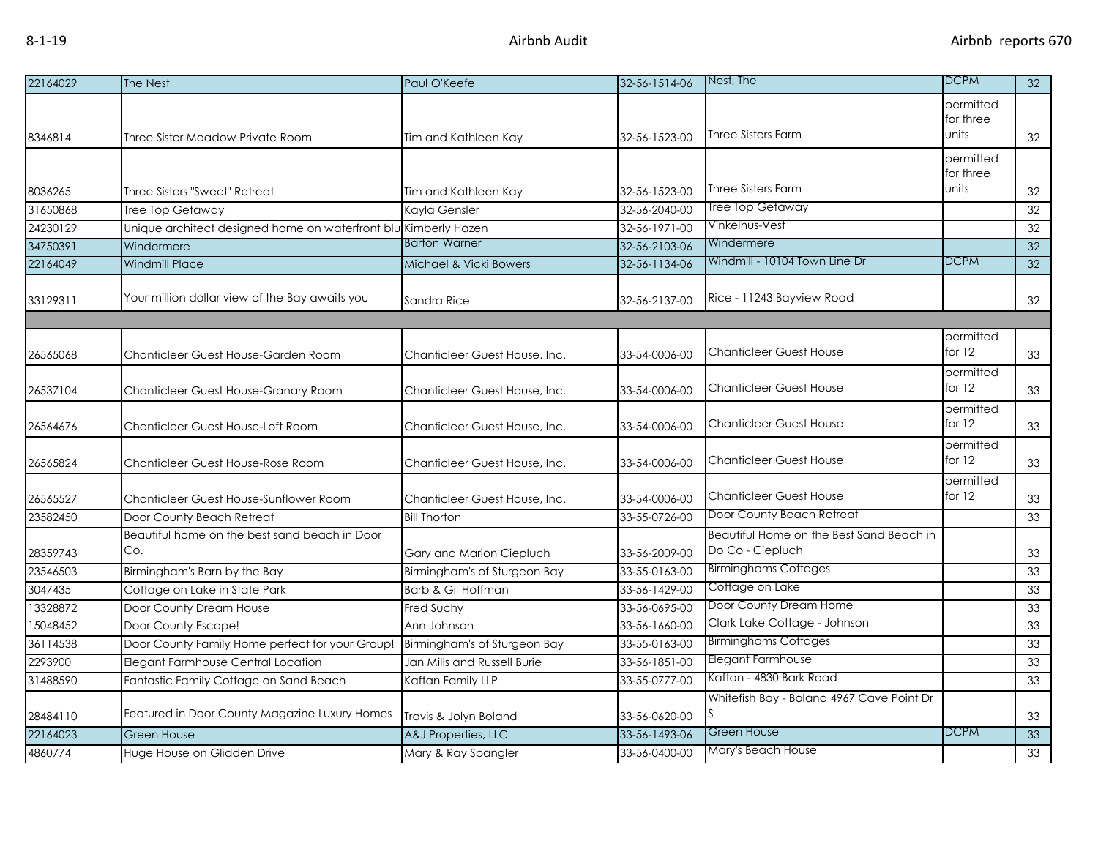| 22164029 | The Nest                                                        | Paul O'Keefe                  | 32-56-1514-06 | Nest, The                                                    | <b>DCPM</b>            | 32 |
|----------|-----------------------------------------------------------------|-------------------------------|---------------|--------------------------------------------------------------|------------------------|----|
|          |                                                                 |                               |               |                                                              | permitted<br>for three |    |
| 8346814  | Three Sister Meadow Private Room                                | Tim and Kathleen Kay          | 32-56-1523-00 | Three Sisters Farm                                           | units                  | 32 |
|          |                                                                 |                               |               |                                                              | permitted<br>for three |    |
| 8036265  | Three Sisters "Sweet" Retreat                                   | Tim and Kathleen Kay          | 32-56-1523-00 | Three Sisters Farm                                           | units                  | 32 |
| 31650868 | Tree Top Getaway                                                | Kayla Gensler                 | 32-56-2040-00 | Tree Top Getaway                                             |                        | 32 |
| 24230129 | Unique architect designed home on waterfront blu Kimberly Hazen |                               | 32-56-1971-00 | Vinkelhus-Vest                                               |                        | 32 |
| 34750391 | Windermere                                                      | <b>Barton Warner</b>          | 32-56-2103-06 | Windermere                                                   |                        | 32 |
| 22164049 | <b>Windmill Place</b>                                           | Michael & Vicki Bowers        | 32-56-1134-06 | Windmill - 10104 Town Line Dr                                | <b>DCPM</b>            | 32 |
| 33129311 | Your million dollar view of the Bay awaits you                  | Sandra Rice                   | 32-56-2137-00 | Rice - 11243 Bayview Road                                    |                        | 32 |
|          |                                                                 |                               |               |                                                              |                        |    |
| 26565068 | Chanticleer Guest House-Garden Room                             | Chanticleer Guest House, Inc. | 33-54-0006-00 | <b>Chanticleer Guest House</b>                               | permitted<br>for $12$  | 33 |
| 26537104 | Chanticleer Guest House-Granary Room                            | Chanticleer Guest House, Inc. | 33-54-0006-00 | Chanticleer Guest House                                      | permitted<br>for $12$  | 33 |
| 26564676 | Chanticleer Guest House-Loft Room                               | Chanticleer Guest House, Inc. | 33-54-0006-00 | <b>Chanticleer Guest House</b>                               | permitted<br>for $12$  | 33 |
| 26565824 | Chanticleer Guest House-Rose Room                               | Chanticleer Guest House, Inc. | 33-54-0006-00 | <b>Chanticleer Guest House</b>                               | permitted<br>for 12    | 33 |
| 26565527 | Chanticleer Guest House-Sunflower Room                          | Chanticleer Guest House, Inc. | 33-54-0006-00 | <b>Chanticleer Guest House</b>                               | permitted<br>for $12$  | 33 |
| 23582450 | Door County Beach Retreat                                       | <b>Bill Thorton</b>           | 33-55-0726-00 | Door County Beach Retreat                                    |                        | 33 |
| 28359743 | Beautiful home on the best sand beach in Door<br>Co.            | Gary and Marion Ciepluch      | 33-56-2009-00 | Beautiful Home on the Best Sand Beach in<br>Do Co - Ciepluch |                        | 33 |
| 23546503 | Birmingham's Barn by the Bay                                    | Birmingham's of Sturgeon Bay  | 33-55-0163-00 | <b>Birminghams Cottages</b>                                  |                        | 33 |
| 3047435  | Cottage on Lake in State Park                                   | Barb & Gil Hoffman            | 33-56-1429-00 | Cottage on Lake                                              |                        | 33 |
| 13328872 | Door County Dream House                                         | Fred Suchy                    | 33-56-0695-00 | Door County Dream Home                                       |                        | 33 |
| 15048452 | Door County Escape!                                             | Ann Johnson                   | 33-56-1660-00 | Clark Lake Cottage - Johnson                                 |                        | 33 |
| 36114538 | Door County Family Home perfect for your Group!                 | Birmingham's of Sturgeon Bay  | 33-55-0163-00 | <b>Birminghams Cottages</b>                                  |                        | 33 |
| 2293900  | Elegant Farmhouse Central Location                              | Jan Mills and Russell Burie   | 33-56-1851-00 | Elegant Farmhouse                                            |                        | 33 |
| 31488590 | Fantastic Family Cottage on Sand Beach                          | Kaftan Family LLP             | 33-55-0777-00 | Kaftan - 4830 Bark Road                                      |                        | 33 |
| 28484110 | Featured in Door County Magazine Luxury Homes                   | Travis & Jolyn Boland         | 33-56-0620-00 | Whitefish Bay - Boland 4967 Cave Point Dr                    |                        | 33 |
| 22164023 | <b>Green House</b>                                              | A&J Properties, LLC           | 33-56-1493-06 | Green House                                                  | <b>DCPM</b>            | 33 |
| 4860774  | Huge House on Glidden Drive                                     | Mary & Ray Spangler           | 33-56-0400-00 | Mary's Beach House                                           |                        | 33 |
|          |                                                                 |                               |               |                                                              |                        |    |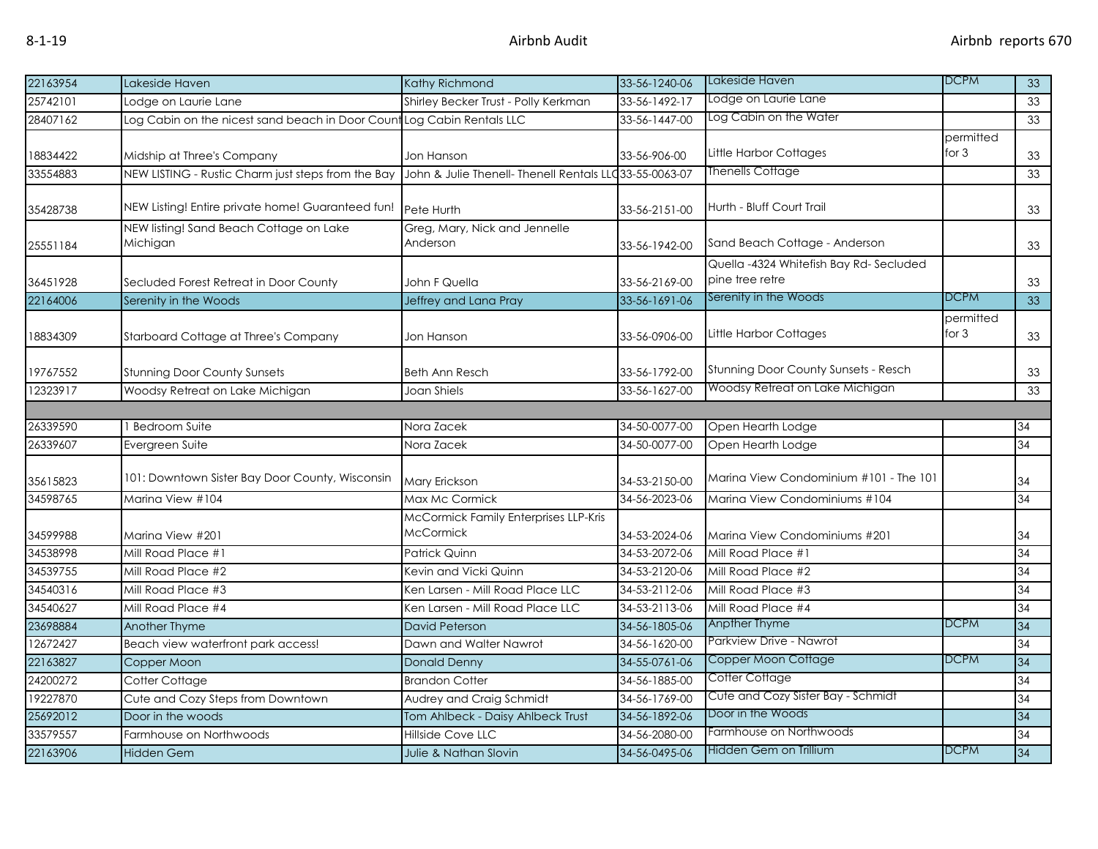| 22163954 | Lakeside Haven                                      | Kathy Richmond                                     | 33-56-1240-06  | Lakeside Haven                                            | <b>DCPM</b>          | 33              |
|----------|-----------------------------------------------------|----------------------------------------------------|----------------|-----------------------------------------------------------|----------------------|-----------------|
| 25742101 | Lodge on Laurie Lane                                | Shirley Becker Trust - Polly Kerkman               | 33-56-1492-17  | Lodge on Laurie Lane                                      |                      | 33              |
| 28407162 | Log Cabin on the nicest sand beach in Door Count    | Log Cabin Rentals LLC                              | 33-56-1447-00  | Log Cabin on the Water                                    |                      | 33              |
| 18834422 | Midship at Three's Company                          | Jon Hanson                                         | 33-56-906-00   | Little Harbor Cottages                                    | permitted<br>for $3$ | 33              |
| 33554883 | NEW LISTING - Rustic Charm just steps from the Bay  | John & Julie Thenell- Thenell Rentals LL           | d33-55-0063-07 | <b>Thenells Cottage</b>                                   |                      | 33              |
| 35428738 | NEW Listing! Entire private home! Guaranteed fun!   | Pete Hurth                                         | 33-56-2151-00  | Hurth - Bluff Court Trail                                 |                      | 33              |
| 25551184 | NEW listing! Sand Beach Cottage on Lake<br>Michigan | Greg, Mary, Nick and Jennelle<br>Anderson          | 33-56-1942-00  | Sand Beach Cottage - Anderson                             |                      | 33              |
| 36451928 | Secluded Forest Retreat in Door County              | John F Quella                                      | 33-56-2169-00  | Quella -4324 Whitefish Bay Rd-Secluded<br>pine tree retre |                      | 33              |
| 22164006 | Serenity in the Woods                               | Jeffrey and Lana Pray                              | 33-56-1691-06  | Serenity in the Woods                                     | <b>DCPM</b>          | $\overline{33}$ |
| 18834309 | Starboard Cottage at Three's Company                | Jon Hanson                                         | 33-56-0906-00  | Little Harbor Cottages                                    | permitted<br>for $3$ | 33              |
| 19767552 | <b>Stunning Door County Sunsets</b>                 | Beth Ann Resch                                     | 33-56-1792-00  | <b>Stunning Door County Sunsets - Resch</b>               |                      | 33              |
| 12323917 | Woodsy Retreat on Lake Michigan                     | Joan Shiels                                        | 33-56-1627-00  | Woodsy Retreat on Lake Michigan                           |                      | 33              |
|          |                                                     |                                                    |                |                                                           |                      |                 |
| 26339590 | <b>Bedroom Suite</b>                                | Nora Zacek                                         | 34-50-0077-00  | Open Hearth Lodge                                         |                      | 34              |
| 26339607 | Evergreen Suite                                     | Nora Zacek                                         | 34-50-0077-00  | Open Hearth Lodge                                         |                      | $\overline{34}$ |
| 35615823 | 101: Downtown Sister Bay Door County, Wisconsin     | Mary Erickson                                      | 34-53-2150-00  | Marina View Condominium #101 - The 101                    |                      | 34              |
| 34598765 | Marina View #104                                    | Max Mc Cormick                                     | 34-56-2023-06  | Marina View Condominiums #104                             |                      | $\overline{34}$ |
| 34599988 | Marina View #201                                    | McCormick Family Enterprises LLP-Kris<br>McCormick | 34-53-2024-06  | Marina View Condominiums #201                             |                      | 34              |
| 34538998 | Mill Road Place #1                                  | <b>Patrick Quinn</b>                               | 34-53-2072-06  | Mill Road Place #1                                        |                      | $\overline{34}$ |
| 34539755 | Mill Road Place #2                                  | Kevin and Vicki Quinn                              | 34-53-2120-06  | Mill Road Place #2                                        |                      | 34              |
| 34540316 | Mill Road Place #3                                  | Ken Larsen - Mill Road Place LLC                   | 34-53-2112-06  | Mill Road Place #3                                        |                      | 34              |
| 34540627 | Mill Road Place #4                                  | Ken Larsen - Mill Road Place LLC                   | 34-53-2113-06  | Mill Road Place #4                                        |                      | 34              |
| 23698884 | Another Thyme                                       | David Peterson                                     | 34-56-1805-06  | Anpther Thyme                                             | <b>DCPM</b>          | 34              |
| 12672427 | Beach view waterfront park access!                  | Dawn and Walter Nawrot                             | 34-56-1620-00  | Parkview Drive - Nawrot                                   |                      | 34              |
| 22163827 | Copper Moon                                         | <b>Donald Denny</b>                                | 34-55-0761-06  | Copper Moon Cottage                                       | DCPM                 | 34              |
| 24200272 | Cotter Cottage                                      | <b>Brandon Cotter</b>                              | 34-56-1885-00  | Cotter Cottage                                            |                      | 34              |
| 19227870 | Cute and Cozy Steps from Downtown                   | Audrey and Craig Schmidt                           | 34-56-1769-00  | Cute and Cozy Sister Bay - Schmidt                        |                      | 34              |
| 25692012 | Door in the woods                                   | Tom Ahlbeck - Daisy Ahlbeck Trust                  | 34-56-1892-06  | Door in the Woods                                         |                      | 34              |
| 33579557 | Farmhouse on Northwoods                             | Hillside Cove LLC                                  | 34-56-2080-00  | Farmhouse on Northwoods                                   |                      | 34              |
| 22163906 | <b>Hidden Gem</b>                                   | Julie & Nathan Slovin                              | 34-56-0495-06  | Hidden Gem on Trillium                                    | <b>DCPM</b>          | 34              |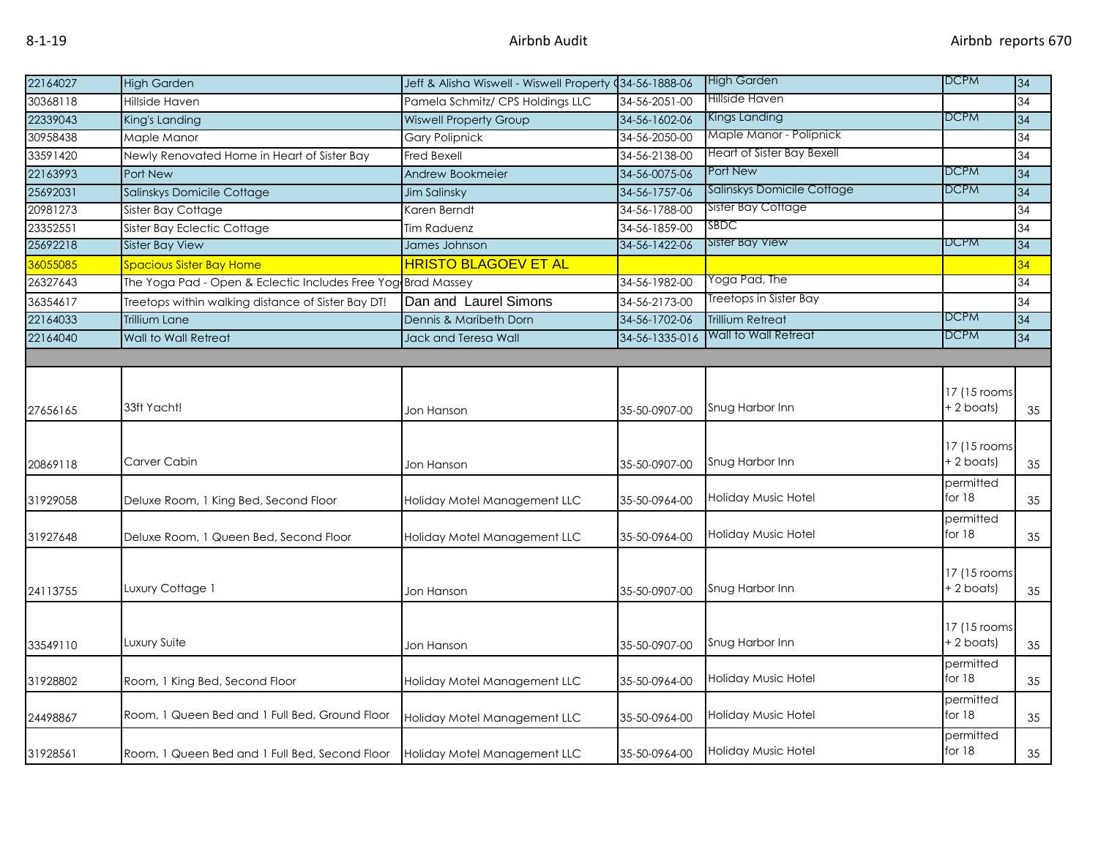| High Garden<br>22164027<br><b>High Garden</b><br>Jeff & Alisha Wiswell - Wiswell Property (34-56-1888-06<br>Hillside Haven<br>30368118<br><b>Hillside Haven</b><br>Pamela Schmitz/ CPS Holdings LLC<br>34-56-2051-00<br>Kings Landing<br>22339043<br><b>Wiswell Property Group</b><br>34-56-1602-06<br>King's Landing<br>Maple Manor - Polipnick<br>30958438<br>34-56-2050-00<br>Maple Manor<br><b>Gary Polipnick</b><br>Heart of Sister Bay Bexell<br>33591420<br>Newly Renovated Home in Heart of Sister Bay<br>Fred Bexell<br>34-56-2138-00<br>Port New<br>22163993<br>Port New<br>34-56-0075-06<br><b>Andrew Bookmeier</b> | <b>DCPM</b><br><b>DCPM</b><br><b>DCPM</b><br><b>DCPM</b> | 34<br>34<br>34<br>34<br>34<br>34<br>34 |
|--------------------------------------------------------------------------------------------------------------------------------------------------------------------------------------------------------------------------------------------------------------------------------------------------------------------------------------------------------------------------------------------------------------------------------------------------------------------------------------------------------------------------------------------------------------------------------------------------------------------------------|----------------------------------------------------------|----------------------------------------|
|                                                                                                                                                                                                                                                                                                                                                                                                                                                                                                                                                                                                                                |                                                          |                                        |
|                                                                                                                                                                                                                                                                                                                                                                                                                                                                                                                                                                                                                                |                                                          |                                        |
|                                                                                                                                                                                                                                                                                                                                                                                                                                                                                                                                                                                                                                |                                                          |                                        |
|                                                                                                                                                                                                                                                                                                                                                                                                                                                                                                                                                                                                                                |                                                          |                                        |
|                                                                                                                                                                                                                                                                                                                                                                                                                                                                                                                                                                                                                                |                                                          |                                        |
|                                                                                                                                                                                                                                                                                                                                                                                                                                                                                                                                                                                                                                |                                                          |                                        |
| Salinskys Domicile Cottage<br>25692031<br>Salinskys Domicile Cottage<br>34-56-1757-06<br>Jim Salinsky                                                                                                                                                                                                                                                                                                                                                                                                                                                                                                                          |                                                          |                                        |
| Sister Bay Cottage<br>20981273<br>Sister Bay Cottage<br>Karen Berndt<br>34-56-1788-00                                                                                                                                                                                                                                                                                                                                                                                                                                                                                                                                          |                                                          | 34                                     |
| $\mathsf{S} \mathsf{B} \mathsf{D} \mathsf{C}$<br>23352551<br>Sister Bay Eclectic Cottage<br>34-56-1859-00<br>Tim Raduenz                                                                                                                                                                                                                                                                                                                                                                                                                                                                                                       |                                                          | 34                                     |
| Sister Bay View<br>25692218<br><b>Sister Bay View</b><br>34-56-1422-06<br>James Johnson                                                                                                                                                                                                                                                                                                                                                                                                                                                                                                                                        | DCPM                                                     | 34                                     |
| <b>HRISTO BLAGOEV ET AL</b><br>36055085<br><b>Spacious Sister Bay Home</b>                                                                                                                                                                                                                                                                                                                                                                                                                                                                                                                                                     |                                                          | 34                                     |
| Yoga Pad, The<br>26327643<br>The Yoga Pad - Open & Eclectic Includes Free Yog Brad Massey<br>34-56-1982-00                                                                                                                                                                                                                                                                                                                                                                                                                                                                                                                     |                                                          | 34                                     |
| Treetops in Sister Bay<br>Dan and Laurel Simons<br>36354617<br>Treetops within walking distance of Sister Bay DT!<br>34-56-2173-00                                                                                                                                                                                                                                                                                                                                                                                                                                                                                             |                                                          | 34                                     |
| 22164033<br><b>Trillium Retreat</b><br><b>Trillium Lane</b><br>Dennis & Maribeth Dorn<br>34-56-1702-06                                                                                                                                                                                                                                                                                                                                                                                                                                                                                                                         | <b>DCPM</b>                                              | 34                                     |
| Wall to Wall Retreat<br>22164040<br>34-56-1335-016<br>Wall to Wall Retreat<br>Jack and Teresa Wall                                                                                                                                                                                                                                                                                                                                                                                                                                                                                                                             | <b>DCPM</b>                                              | 34                                     |
|                                                                                                                                                                                                                                                                                                                                                                                                                                                                                                                                                                                                                                |                                                          |                                        |
|                                                                                                                                                                                                                                                                                                                                                                                                                                                                                                                                                                                                                                |                                                          |                                        |
|                                                                                                                                                                                                                                                                                                                                                                                                                                                                                                                                                                                                                                | 17 (15 rooms)                                            |                                        |
| 33ft Yacht!<br>Snug Harbor Inn<br>27656165<br>Jon Hanson<br>35-50-0907-00                                                                                                                                                                                                                                                                                                                                                                                                                                                                                                                                                      | + 2 boats)                                               | 35                                     |
|                                                                                                                                                                                                                                                                                                                                                                                                                                                                                                                                                                                                                                |                                                          |                                        |
|                                                                                                                                                                                                                                                                                                                                                                                                                                                                                                                                                                                                                                | 17 (15 rooms)                                            |                                        |
| Carver Cabin<br>Snug Harbor Inn<br>35-50-0907-00<br>20869118<br>Jon Hanson                                                                                                                                                                                                                                                                                                                                                                                                                                                                                                                                                     | + 2 boats)                                               | 35                                     |
|                                                                                                                                                                                                                                                                                                                                                                                                                                                                                                                                                                                                                                | permitted                                                |                                        |
| Holiday Music Hotel<br>Deluxe Room, 1 King Bed, Second Floor<br>Holiday Motel Management LLC<br>31929058<br>35-50-0964-00                                                                                                                                                                                                                                                                                                                                                                                                                                                                                                      | for 18                                                   | 35                                     |
|                                                                                                                                                                                                                                                                                                                                                                                                                                                                                                                                                                                                                                | permitted                                                |                                        |
| Holiday Music Hotel<br>31927648<br>Deluxe Room, 1 Queen Bed, Second Floor<br>Holiday Motel Management LLC<br>35-50-0964-00                                                                                                                                                                                                                                                                                                                                                                                                                                                                                                     | for 18                                                   | 35                                     |
|                                                                                                                                                                                                                                                                                                                                                                                                                                                                                                                                                                                                                                |                                                          |                                        |
|                                                                                                                                                                                                                                                                                                                                                                                                                                                                                                                                                                                                                                | 17 (15 rooms                                             |                                        |
| Luxury Cottage 1<br>Snug Harbor Inn<br>24113755<br>Jon Hanson<br>35-50-0907-00                                                                                                                                                                                                                                                                                                                                                                                                                                                                                                                                                 | + 2 boats)                                               | 35                                     |
|                                                                                                                                                                                                                                                                                                                                                                                                                                                                                                                                                                                                                                |                                                          |                                        |
|                                                                                                                                                                                                                                                                                                                                                                                                                                                                                                                                                                                                                                | 17 (15 rooms)                                            |                                        |
| Luxury Suite<br>Snug Harbor Inn<br>33549110<br>35-50-0907-00<br>Jon Hanson                                                                                                                                                                                                                                                                                                                                                                                                                                                                                                                                                     | + 2 boats)                                               | 35                                     |
|                                                                                                                                                                                                                                                                                                                                                                                                                                                                                                                                                                                                                                | permitted                                                |                                        |
| Holiday Music Hotel<br>31928802<br>Room, 1 King Bed, Second Floor<br>Holiday Motel Management LLC<br>35-50-0964-00                                                                                                                                                                                                                                                                                                                                                                                                                                                                                                             | for 18                                                   | 35                                     |
|                                                                                                                                                                                                                                                                                                                                                                                                                                                                                                                                                                                                                                | permitted                                                |                                        |
| Room, 1 Queen Bed and 1 Full Bed, Ground Floor<br>Holiday Music Hotel<br>24498867<br>Holiday Motel Management LLC<br>35-50-0964-00                                                                                                                                                                                                                                                                                                                                                                                                                                                                                             | for 18                                                   | 35                                     |
|                                                                                                                                                                                                                                                                                                                                                                                                                                                                                                                                                                                                                                | permitted                                                |                                        |
| Holiday Music Hotel<br>31928561<br>Room, 1 Queen Bed and 1 Full Bed, Second Floor<br>Holiday Motel Management LLC<br>35-50-0964-00                                                                                                                                                                                                                                                                                                                                                                                                                                                                                             | for $18$                                                 | 35                                     |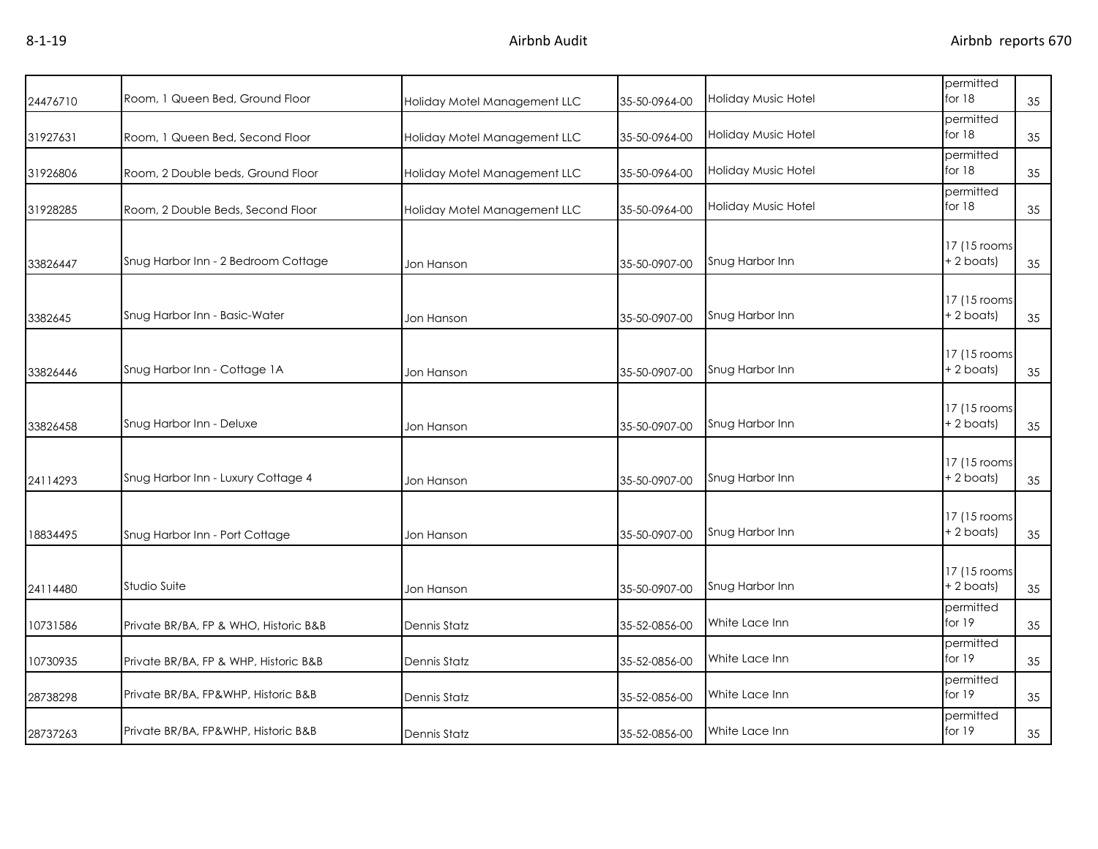| 24476710 | Room, 1 Queen Bed, Ground Floor       | Holiday Motel Management LLC | 35-50-0964-00 | Holiday Music Hotel | permitted<br>for $18$<br>35        |
|----------|---------------------------------------|------------------------------|---------------|---------------------|------------------------------------|
| 31927631 | Room, 1 Queen Bed, Second Floor       | Holiday Motel Management LLC | 35-50-0964-00 | Holiday Music Hotel | permitted<br>for $18$<br>35        |
| 31926806 | Room, 2 Double beds, Ground Floor     | Holiday Motel Management LLC | 35-50-0964-00 | Holiday Music Hotel | permitted<br>for $18$<br>35        |
| 31928285 | Room, 2 Double Beds, Second Floor     | Holiday Motel Management LLC | 35-50-0964-00 | Holiday Music Hotel | permitted<br>for $18$<br>35        |
| 33826447 | Snug Harbor Inn - 2 Bedroom Cottage   | Jon Hanson                   | 35-50-0907-00 | Snug Harbor Inn     | 17 (15 rooms<br>$+ 2$ boats)<br>35 |
| 3382645  | Snug Harbor Inn - Basic-Water         | Jon Hanson                   | 35-50-0907-00 | Snug Harbor Inn     | 17 (15 rooms<br>$+ 2$ boats)<br>35 |
| 33826446 | Snug Harbor Inn - Cottage 1A          | Jon Hanson                   | 35-50-0907-00 | Snug Harbor Inn     | 17 (15 rooms<br>$+ 2$ boats)<br>35 |
| 33826458 | Snug Harbor Inn - Deluxe              | Jon Hanson                   | 35-50-0907-00 | Snug Harbor Inn     | 17 (15 rooms<br>$+ 2$ boats)<br>35 |
| 24114293 | Snug Harbor Inn - Luxury Cottage 4    | Jon Hanson                   | 35-50-0907-00 | Snug Harbor Inn     | 17 (15 rooms<br>$+ 2$ boats)<br>35 |
| 18834495 | Snug Harbor Inn - Port Cottage        | Jon Hanson                   | 35-50-0907-00 | Snug Harbor Inn     | 17 (15 rooms<br>+ 2 boats)<br>35   |
| 24114480 | Studio Suite                          | Jon Hanson                   | 35-50-0907-00 | Snug Harbor Inn     | 17 (15 rooms<br>+ 2 boats)<br>35   |
| 10731586 | Private BR/BA, FP & WHO, Historic B&B | Dennis Statz                 | 35-52-0856-00 | White Lace Inn      | permitted<br>for $19$<br>35        |
| 10730935 | Private BR/BA, FP & WHP, Historic B&B | <b>Dennis Statz</b>          | 35-52-0856-00 | White Lace Inn      | permitted<br>for $19$<br>35        |
| 28738298 | Private BR/BA, FP&WHP, Historic B&B   | Dennis Statz                 | 35-52-0856-00 | White Lace Inn      | permitted<br>for 19<br>35          |
| 28737263 | Private BR/BA, FP&WHP, Historic B&B   | Dennis Statz                 | 35-52-0856-00 | White Lace Inn      | permitted<br>for 19<br>35          |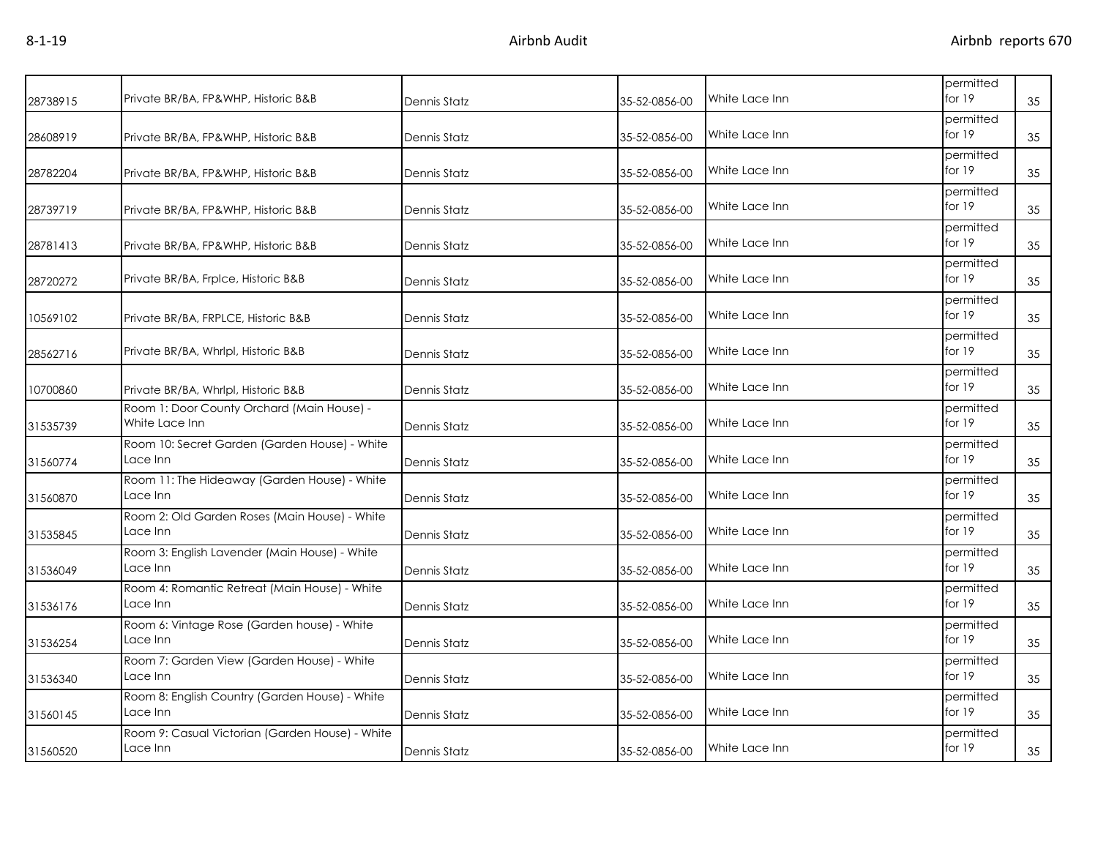| Private BR/BA, FP&WHP, Historic B&B                          | Dennis Statz        | 35-52-0856-00 | White Lace Inn | permitted<br>for $19$ | 35 |
|--------------------------------------------------------------|---------------------|---------------|----------------|-----------------------|----|
| Private BR/BA, FP&WHP, Historic B&B                          | Dennis Statz        | 35-52-0856-00 | White Lace Inn | permitted<br>for $19$ | 35 |
| Private BR/BA, FP&WHP, Historic B&B                          | Dennis Statz        | 35-52-0856-00 | White Lace Inn | permitted<br>for $19$ | 35 |
| Private BR/BA, FP&WHP, Historic B&B                          | Dennis Statz        | 35-52-0856-00 | White Lace Inn | permitted<br>for $19$ | 35 |
| Private BR/BA, FP&WHP, Historic B&B                          | Dennis Statz        | 35-52-0856-00 | White Lace Inn | permitted<br>for $19$ | 35 |
| Private BR/BA, FrpIce, Historic B&B                          | Dennis Statz        | 35-52-0856-00 | White Lace Inn | permitted<br>for 19   | 35 |
| Private BR/BA, FRPLCE, Historic B&B                          | Dennis Statz        | 35-52-0856-00 | White Lace Inn | permitted<br>for $19$ | 35 |
| Private BR/BA, Whrlpl, Historic B&B                          | Dennis Statz        | 35-52-0856-00 | White Lace Inn | permitted<br>for $19$ | 35 |
| Private BR/BA, Whrlpl, Historic B&B                          | Dennis Statz        | 35-52-0856-00 | White Lace Inn | permitted<br>for $19$ | 35 |
| Room 1: Door County Orchard (Main House) -<br>White Lace Inn | Dennis Statz        | 35-52-0856-00 | White Lace Inn | permitted<br>for 19   | 35 |
| Room 10: Secret Garden (Garden House) - White<br>Lace Inn    | Dennis Statz        | 35-52-0856-00 | White Lace Inn | permitted<br>for $19$ | 35 |
| Room 11: The Hideaway (Garden House) - White<br>Lace Inn     | Dennis Statz        | 35-52-0856-00 | White Lace Inn | permitted<br>for 19   | 35 |
| Room 2: Old Garden Roses (Main House) - White<br>Lace Inn    | Dennis Statz        | 35-52-0856-00 | White Lace Inn | permitted<br>for 19   | 35 |
| Room 3: English Lavender (Main House) - White<br>Lace Inn    | <b>Dennis Statz</b> | 35-52-0856-00 | White Lace Inn | permitted<br>for $19$ | 35 |
| Room 4: Romantic Retreat (Main House) - White<br>Lace Inn    | Dennis Statz        | 35-52-0856-00 | White Lace Inn | permitted<br>for $19$ | 35 |
| Room 6: Vintage Rose (Garden house) - White<br>Lace Inn      | <b>Dennis Statz</b> | 35-52-0856-00 | White Lace Inn | permitted<br>for $19$ | 35 |
| Room 7: Garden View (Garden House) - White<br>Lace Inn       | <b>Dennis Statz</b> | 35-52-0856-00 | White Lace Inn | permitted<br>for $19$ | 35 |
| Room 8: English Country (Garden House) - White<br>Lace Inn   | Dennis Statz        | 35-52-0856-00 | White Lace Inn | permitted<br>for $19$ | 35 |
| Room 9: Casual Victorian (Garden House) - White<br>Lace Inn  | <b>Dennis Statz</b> | 35-52-0856-00 | White Lace Inn | permitted<br>for $19$ | 35 |
|                                                              |                     |               |                |                       |    |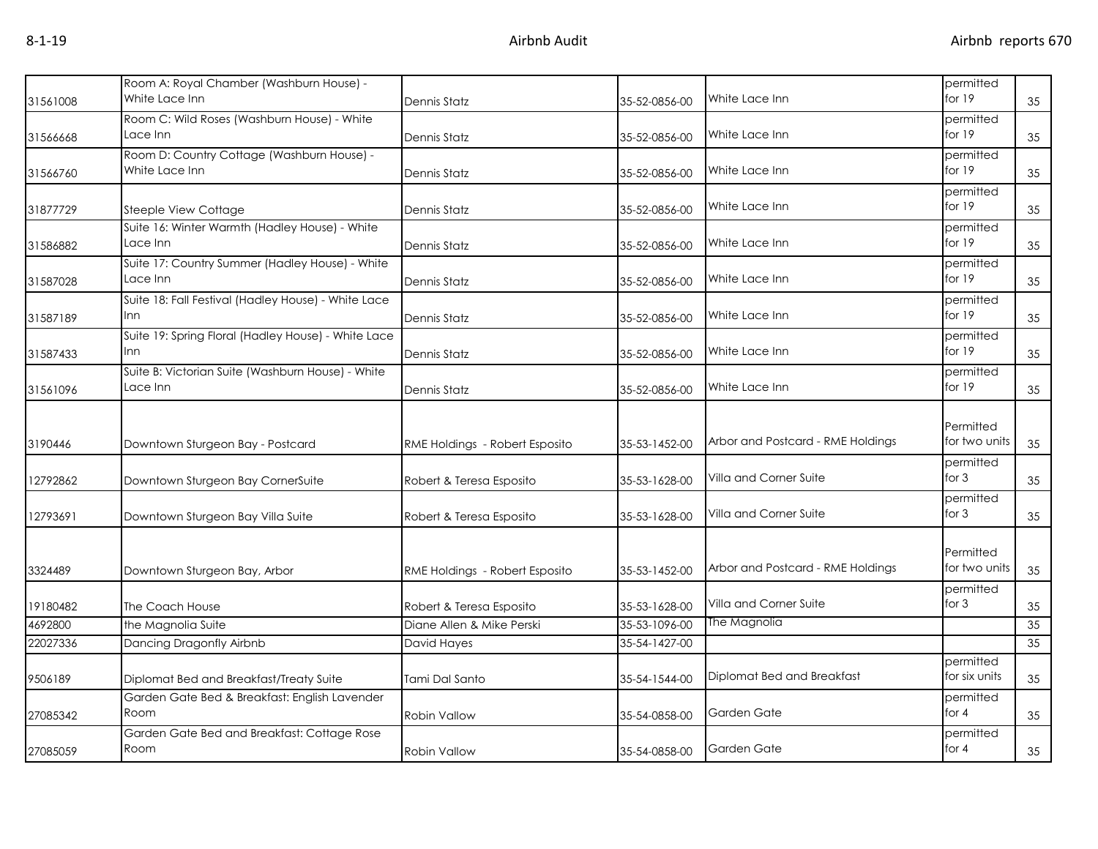|          | Room A: Royal Chamber (Washburn House) -            |                                |               |                                   | permitted     |    |
|----------|-----------------------------------------------------|--------------------------------|---------------|-----------------------------------|---------------|----|
| 31561008 | White Lace Inn                                      | Dennis Statz                   | 35-52-0856-00 | White Lace Inn                    | for 19        | 35 |
|          | Room C: Wild Roses (Washburn House) - White         |                                |               |                                   | permitted     |    |
| 31566668 | Lace Inn                                            | Dennis Statz                   | 35-52-0856-00 | White Lace Inn                    | for $19$      | 35 |
|          | Room D: Country Cottage (Washburn House) -          |                                |               |                                   | permitted     |    |
| 31566760 | White Lace Inn                                      | Dennis Statz                   | 35-52-0856-00 | White Lace Inn                    | for $19$      | 35 |
|          |                                                     |                                |               |                                   | permitted     |    |
| 31877729 | Steeple View Cottage                                | <b>Dennis Statz</b>            | 35-52-0856-00 | White Lace Inn                    | for $19$      | 35 |
|          | Suite 16: Winter Warmth (Hadley House) - White      |                                |               |                                   | permitted     |    |
| 31586882 | Lace Inn                                            | <b>Dennis Statz</b>            | 35-52-0856-00 | White Lace Inn                    | for 19        | 35 |
|          | Suite 17: Country Summer (Hadley House) - White     |                                |               |                                   | permitted     |    |
| 31587028 | Lace Inn                                            | Dennis Statz                   | 35-52-0856-00 | White Lace Inn                    | for $19$      | 35 |
|          | Suite 18: Fall Festival (Hadley House) - White Lace |                                |               |                                   | permitted     |    |
| 31587189 | Inn                                                 | Dennis Statz                   | 35-52-0856-00 | White Lace Inn                    | for $19$      | 35 |
|          | Suite 19: Spring Floral (Hadley House) - White Lace |                                |               |                                   | permitted     |    |
| 31587433 | Inn                                                 | Dennis Statz                   | 35-52-0856-00 | White Lace Inn                    | for $19$      | 35 |
|          | Suite B: Victorian Suite (Washburn House) - White   |                                |               |                                   | permitted     |    |
| 31561096 | Lace Inn                                            | Dennis Statz                   | 35-52-0856-00 | White Lace Inn                    | for 19        | 35 |
|          |                                                     |                                |               |                                   |               |    |
|          |                                                     |                                |               |                                   | Permitted     |    |
| 3190446  | Downtown Sturgeon Bay - Postcard                    | RME Holdings - Robert Esposito | 35-53-1452-00 | Arbor and Postcard - RME Holdings | for two units | 35 |
|          |                                                     |                                |               |                                   | permitted     |    |
| 12792862 | Downtown Sturgeon Bay CornerSuite                   | Robert & Teresa Esposito       | 35-53-1628-00 | Villa and Corner Suite            | for $3$       | 35 |
|          |                                                     |                                |               |                                   | permitted     |    |
| 12793691 | Downtown Sturgeon Bay Villa Suite                   | Robert & Teresa Esposito       | 35-53-1628-00 | Villa and Corner Suite            | for $3$       | 35 |
|          |                                                     |                                |               |                                   |               |    |
|          |                                                     |                                |               |                                   | Permitted     |    |
| 3324489  | Downtown Sturgeon Bay, Arbor                        | RME Holdings - Robert Esposito | 35-53-1452-00 | Arbor and Postcard - RME Holdings | for two units | 35 |
|          |                                                     |                                |               |                                   | permitted     |    |
| 19180482 | The Coach House                                     | Robert & Teresa Esposito       | 35-53-1628-00 | Villa and Corner Suite            | for $3$       | 35 |
| 4692800  | the Magnolia Suite                                  | Diane Allen & Mike Perski      | 35-53-1096-00 | The Magnolia                      |               | 35 |
| 22027336 | Dancing Dragonfly Airbnb                            | David Hayes                    | 35-54-1427-00 |                                   |               | 35 |
|          |                                                     |                                |               |                                   | permitted     |    |
| 9506189  | Diplomat Bed and Breakfast/Treaty Suite             | Tami Dal Santo                 | 35-54-1544-00 | Diplomat Bed and Breakfast        | for six units | 35 |
|          | Garden Gate Bed & Breakfast: English Lavender       |                                |               |                                   | permitted     |    |
| 27085342 | Room                                                | Robin Vallow                   | 35-54-0858-00 | Garden Gate                       | for $4$       | 35 |
|          | Garden Gate Bed and Breakfast: Cottage Rose         |                                |               |                                   | permitted     |    |
| 27085059 | Room                                                | Robin Vallow                   | 35-54-0858-00 | Garden Gate                       | for $4$       | 35 |
|          |                                                     |                                |               |                                   |               |    |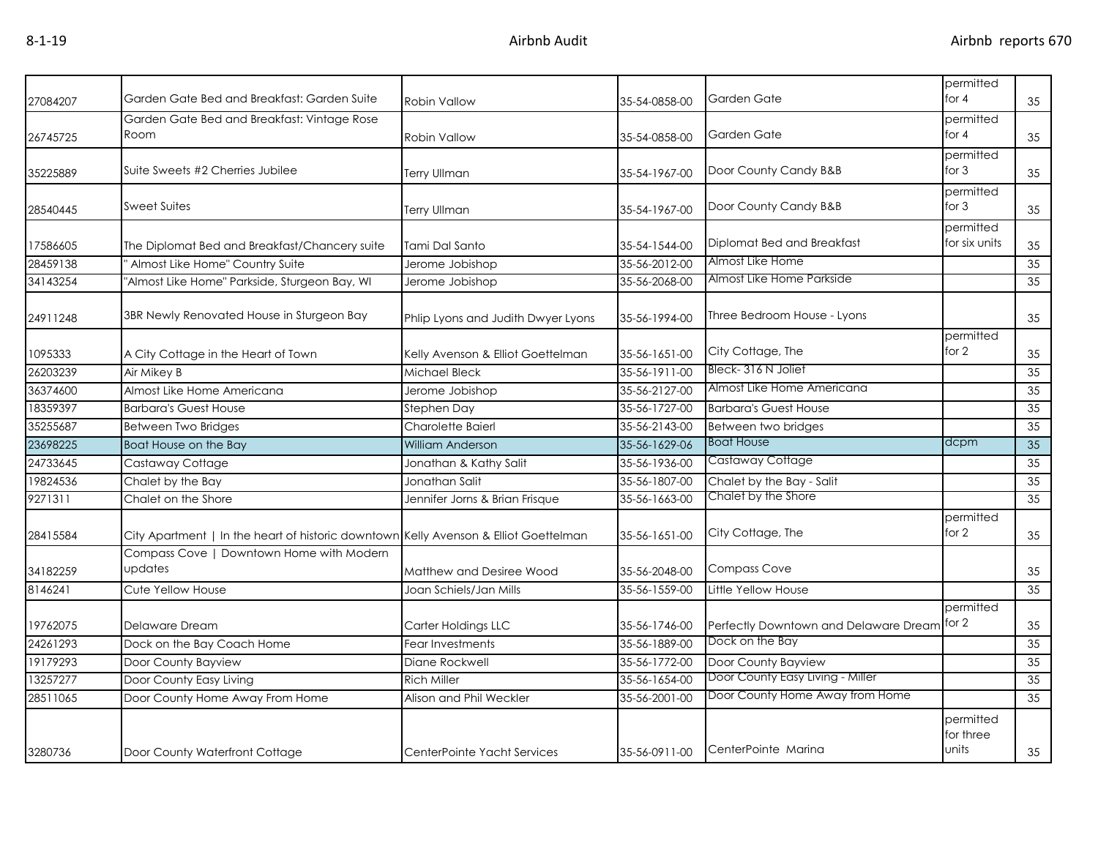| 27084207 | Garden Gate Bed and Breakfast: Garden Suite                                          | <b>Robin Vallow</b>                | 35-54-0858-00 | Garden Gate                                 | permitted<br>for $4$            | 35              |
|----------|--------------------------------------------------------------------------------------|------------------------------------|---------------|---------------------------------------------|---------------------------------|-----------------|
| 26745725 | Garden Gate Bed and Breakfast: Vintage Rose<br>Room                                  | <b>Robin Vallow</b>                | 35-54-0858-00 | Garden Gate                                 | permitted<br>for $4$            | 35              |
|          |                                                                                      |                                    |               |                                             | permitted                       |                 |
| 35225889 | Suite Sweets #2 Cherries Jubilee                                                     | Terry Ullman                       | 35-54-1967-00 | Door County Candy B&B                       | for $3$                         | 35              |
| 28540445 | Sweet Suites                                                                         | <b>Terry Ullman</b>                | 35-54-1967-00 | Door County Candy B&B                       | permitted<br>for $3$            | 35              |
| 17586605 | The Diplomat Bed and Breakfast/Chancery suite                                        | Tami Dal Santo                     | 35-54-1544-00 | Diplomat Bed and Breakfast                  | permitted<br>for six units      | 35              |
| 28459138 | Almost Like Home" Country Suite                                                      | Jerome Jobishop                    | 35-56-2012-00 | Almost Like Home                            |                                 | 35              |
| 34143254 | "Almost Like Home" Parkside, Sturgeon Bay, WI                                        | Jerome Jobishop                    | 35-56-2068-00 | Almost Like Home Parkside                   |                                 | 35              |
| 24911248 | 3BR Newly Renovated House in Sturgeon Bay                                            | Phlip Lyons and Judith Dwyer Lyons | 35-56-1994-00 | Three Bedroom House - Lyons                 |                                 | 35              |
| 1095333  | A City Cottage in the Heart of Town                                                  | Kelly Avenson & Elliot Goettelman  | 35-56-1651-00 | City Cottage, The                           | permitted<br>for 2              | 35              |
| 26203239 | Air Mikey B                                                                          | Michael Bleck                      | 35-56-1911-00 | Bleck-316 N Joliet                          |                                 | 35              |
| 36374600 | Almost Like Home Americana                                                           | Jerome Jobishop                    | 35-56-2127-00 | Almost Like Home Americana                  |                                 | 35              |
| 18359397 | <b>Barbara's Guest House</b>                                                         | Stephen Day                        | 35-56-1727-00 | <b>Barbara's Guest House</b>                |                                 | 35              |
| 35255687 | Between Two Bridges                                                                  | Charolette Baierl                  | 35-56-2143-00 | Between two bridges                         |                                 | 35              |
| 23698225 | Boat House on the Bay                                                                | <b>William Anderson</b>            | 35-56-1629-06 | <b>Boat House</b>                           | dcpm                            | $\overline{35}$ |
| 24733645 | Castaway Cottage                                                                     | Jonathan & Kathy Salit             | 35-56-1936-00 | Castaway Cottage                            |                                 | 35              |
| 19824536 | Chalet by the Bay                                                                    | Jonathan Salit                     | 35-56-1807-00 | Chalet by the Bay - Salit                   |                                 | 35              |
| 9271311  | Chalet on the Shore                                                                  | Jennifer Jorns & Brian Frisque     | 35-56-1663-00 | Chalet by the Shore                         |                                 | 35              |
| 28415584 | City Apartment   In the heart of historic downtown Kelly Avenson & Elliot Goettelman |                                    | 35-56-1651-00 | City Cottage, The                           | permitted<br>for 2              | 35              |
| 34182259 | Compass Cove   Downtown Home with Modern<br>updates                                  | Matthew and Desiree Wood           | 35-56-2048-00 | <b>Compass Cove</b>                         |                                 | 35              |
| 8146241  | Cute Yellow House                                                                    | Joan Schiels/Jan Mills             | 35-56-1559-00 | Little Yellow House                         |                                 | 35              |
| 19762075 | Delaware Dream                                                                       | Carter Holdings LLC                | 35-56-1746-00 | Perfectly Downtown and Delaware Dream for 2 | permitted                       | 35              |
| 24261293 | Dock on the Bay Coach Home                                                           | Fear Investments                   | 35-56-1889-00 | Dock on the Bay                             |                                 | 35              |
| 19179293 | Door County Bayview                                                                  | Diane Rockwell                     | 35-56-1772-00 | Door County Bayview                         |                                 | 35              |
| 13257277 | Door County Easy Living                                                              | <b>Rich Miller</b>                 | 35-56-1654-00 | Door County Easy Living - Miller            |                                 | 35              |
| 28511065 | Door County Home Away From Home                                                      | Alison and Phil Weckler            | 35-56-2001-00 | Door County Home Away from Home             |                                 | 35              |
| 3280736  | Door County Waterfront Cottage                                                       | CenterPointe Yacht Services        | 35-56-0911-00 | CenterPointe Marina                         | permitted<br>for three<br>units | 35              |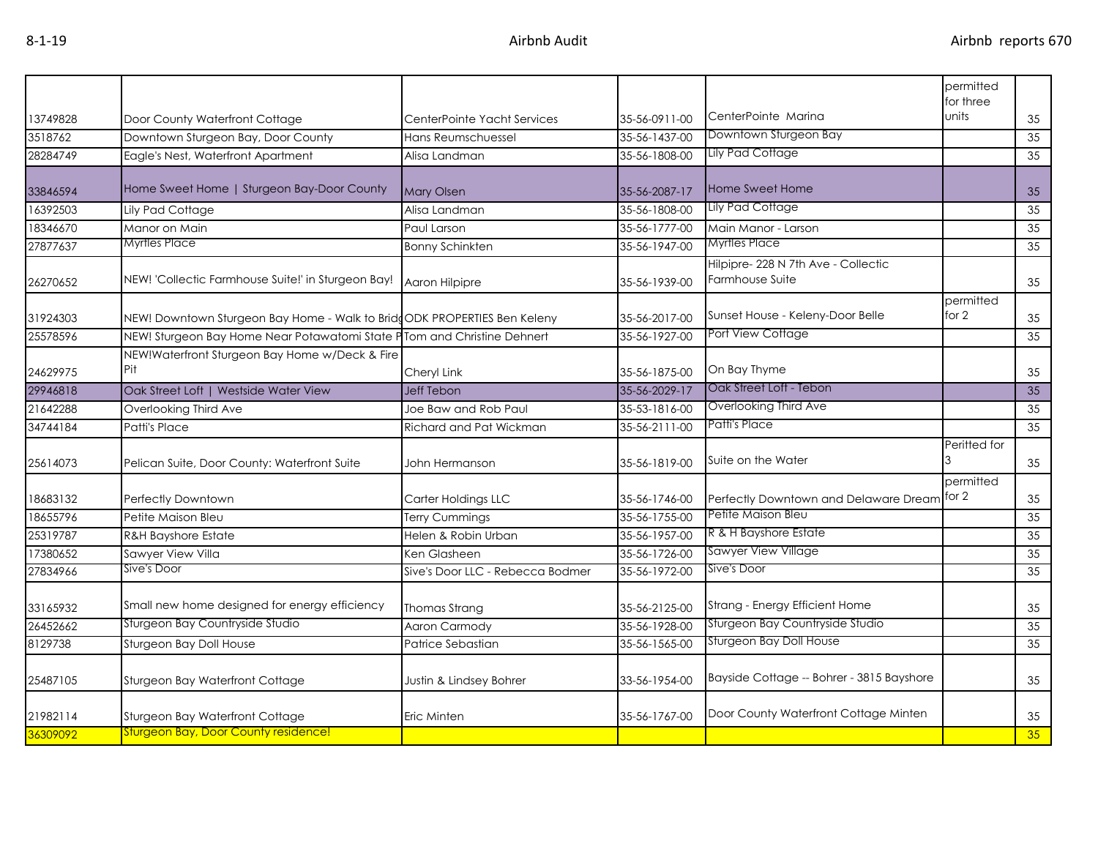|          |                                                                          |                                  |               |                                                       | permitted<br>for three |    |
|----------|--------------------------------------------------------------------------|----------------------------------|---------------|-------------------------------------------------------|------------------------|----|
| 13749828 | Door County Waterfront Cottage                                           | CenterPointe Yacht Services      | 35-56-0911-00 | CenterPointe Marina                                   | units                  | 35 |
| 3518762  | Downtown Sturgeon Bay, Door County                                       | Hans Reumschuessel               | 35-56-1437-00 | Downtown Sturgeon Bay                                 |                        | 35 |
| 28284749 | Eagle's Nest, Waterfront Apartment                                       | Alisa Landman                    | 35-56-1808-00 | <b>Lily Pad Cottage</b>                               |                        | 35 |
|          |                                                                          |                                  |               |                                                       |                        |    |
| 33846594 | Home Sweet Home   Sturgeon Bay-Door County                               | <b>Mary Olsen</b>                | 35-56-2087-17 | Home Sweet Home                                       |                        | 35 |
| 16392503 | Lily Pad Cottage                                                         | Alisa Landman                    | 35-56-1808-00 | Lily Pad Cottage                                      |                        | 35 |
| 18346670 | Manor on Main                                                            | Paul Larson                      | 35-56-1777-00 | Main Manor - Larson                                   |                        | 35 |
| 27877637 | Myrtles Place                                                            | <b>Bonny Schinkten</b>           | 35-56-1947-00 | <b>Myrtles Place</b>                                  |                        | 35 |
| 26270652 | NEW! 'Collectic Farmhouse Suite!' in Sturgeon Bay!                       | Aaron Hilpipre                   | 35-56-1939-00 | Hilpipre-228 N 7th Ave - Collectic<br>Farmhouse Suite |                        | 35 |
| 31924303 | NEW! Downtown Sturgeon Bay Home - Walk to BridgODK PROPERTIES Ben Keleny |                                  | 35-56-2017-00 | Sunset House - Keleny-Door Belle                      | permitted<br>for 2     | 35 |
| 25578596 | NEW! Sturgeon Bay Home Near Potawatomi State PTom and Christine Dehnert  |                                  | 35-56-1927-00 | Port View Cottage                                     |                        | 35 |
|          | NEW!Waterfront Sturgeon Bay Home w/Deck & Fire                           |                                  |               |                                                       |                        |    |
| 24629975 | Pit                                                                      | Cheryl Link                      | 35-56-1875-00 | On Bay Thyme                                          |                        | 35 |
| 29946818 | Oak Street Loft   Westside Water View                                    | <b>Jeff Tebon</b>                | 35-56-2029-17 | Oak Street Loft - Tebon                               |                        | 35 |
| 21642288 | Overlooking Third Ave                                                    | Joe Baw and Rob Paul             | 35-53-1816-00 | Overlooking Third Ave                                 |                        | 35 |
| 34744184 | Patti's Place                                                            | Richard and Pat Wickman          | 35-56-2111-00 | Patti's Place                                         |                        | 35 |
| 25614073 | Pelican Suite, Door County: Waterfront Suite                             | John Hermanson                   | 35-56-1819-00 | Suite on the Water                                    | Peritted for           | 35 |
| 18683132 | Perfectly Downtown                                                       | Carter Holdings LLC              | 35-56-1746-00 | Perfectly Downtown and Delaware Dream                 | permitted<br>for 2     | 35 |
| 18655796 | Petite Maison Bleu                                                       | <b>Terry Cummings</b>            | 35-56-1755-00 | Petite Maison Bleu                                    |                        | 35 |
| 25319787 | <b>R&amp;H Bayshore Estate</b>                                           | Helen & Robin Urban              | 35-56-1957-00 | R & H Bayshore Estate                                 |                        | 35 |
| 17380652 | Sawyer View Villa                                                        | Ken Glasheen                     | 35-56-1726-00 | Sawyer View Village                                   |                        | 35 |
| 27834966 | Sive's Door                                                              | Sive's Door LLC - Rebecca Bodmer | 35-56-1972-00 | Sive's Door                                           |                        | 35 |
| 33165932 | Small new home designed for energy efficiency                            | Thomas Strang                    | 35-56-2125-00 | Strang - Energy Efficient Home                        |                        | 35 |
| 26452662 | Sturgeon Bay Countryside Studio                                          | Aaron Carmody                    | 35-56-1928-00 | Sturgeon Bay Countryside Studio                       |                        | 35 |
| 8129738  | Sturgeon Bay Doll House                                                  | Patrice Sebastian                | 35-56-1565-00 | <b>Sturgeon Bay Doll House</b>                        |                        | 35 |
| 25487105 | Sturgeon Bay Waterfront Cottage                                          | Justin & Lindsey Bohrer          | 33-56-1954-00 | Bayside Cottage -- Bohrer - 3815 Bayshore             |                        | 35 |
| 21982114 | Sturgeon Bay Waterfront Cottage                                          | Eric Minten                      | 35-56-1767-00 | Door County Waterfront Cottage Minten                 |                        | 35 |
| 36309092 | <b>Sturgeon Bay, Door County residence!</b>                              |                                  |               |                                                       |                        | 35 |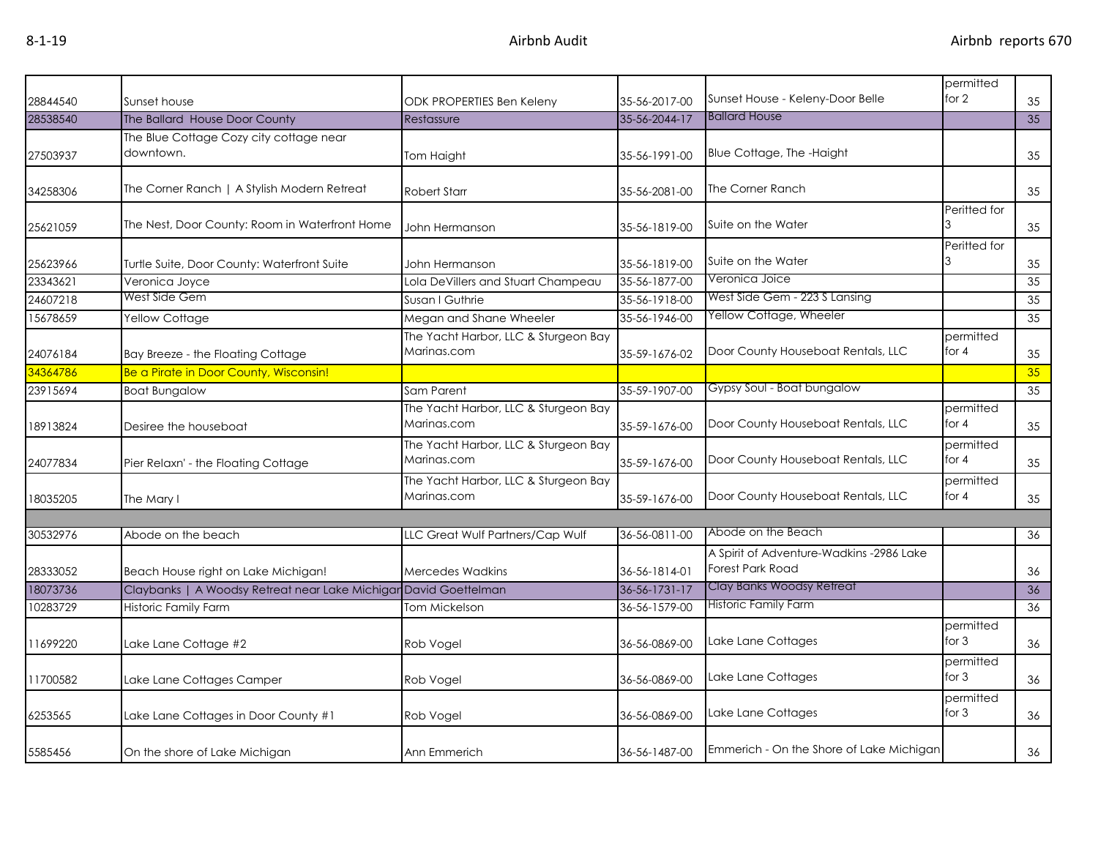|          |                                                                  |                                      |               |                                          | permitted    |    |
|----------|------------------------------------------------------------------|--------------------------------------|---------------|------------------------------------------|--------------|----|
| 28844540 | Sunset house                                                     | <b>ODK PROPERTIES Ben Keleny</b>     | 35-56-2017-00 | Sunset House - Keleny-Door Belle         | for 2        | 35 |
| 28538540 | The Ballard House Door County                                    | Restassure                           | 35-56-2044-17 | <b>Ballard House</b>                     |              | 35 |
|          | The Blue Cottage Cozy city cottage near                          |                                      |               |                                          |              |    |
| 27503937 | downtown.                                                        | Tom Haight                           | 35-56-1991-00 | Blue Cottage, The -Haight                |              | 35 |
|          |                                                                  |                                      |               |                                          |              |    |
| 34258306 | The Corner Ranch   A Stylish Modern Retreat                      | <b>Robert Starr</b>                  | 35-56-2081-00 | The Corner Ranch                         |              | 35 |
|          |                                                                  |                                      |               |                                          | Peritted for |    |
| 25621059 | The Nest, Door County: Room in Waterfront Home                   | John Hermanson                       | 35-56-1819-00 | Suite on the Water                       |              | 35 |
|          |                                                                  |                                      |               |                                          | Peritted for |    |
| 25623966 | Turtle Suite, Door County: Waterfront Suite                      | John Hermanson                       | 35-56-1819-00 | Suite on the Water                       |              | 35 |
| 23343621 | Veronica Joyce                                                   | Lola DeVillers and Stuart Champeau   | 35-56-1877-00 | Veronica Joice                           |              | 35 |
| 24607218 | West Side Gem                                                    | Susan I Guthrie                      | 35-56-1918-00 | West Side Gem - 223 S Lansing            |              | 35 |
| 15678659 | <b>Yellow Cottage</b>                                            | Megan and Shane Wheeler              | 35-56-1946-00 | Yellow Cottage, Wheeler                  |              | 35 |
|          |                                                                  | The Yacht Harbor, LLC & Sturgeon Bay |               |                                          | permitted    |    |
| 24076184 | Bay Breeze - the Floating Cottage                                | Marinas.com                          | 35-59-1676-02 | Door County Houseboat Rentals, LLC       | for $4$      | 35 |
| 34364786 | Be a Pirate in Door County, Wisconsin!                           |                                      |               |                                          |              | 35 |
| 23915694 | <b>Boat Bungalow</b>                                             | Sam Parent                           | 35-59-1907-00 | Gypsy Soul - Boat bungalow               |              | 35 |
|          |                                                                  | The Yacht Harbor, LLC & Sturgeon Bay |               |                                          | permitted    |    |
| 18913824 | Desiree the houseboat                                            | Marinas.com                          | 35-59-1676-00 | Door County Houseboat Rentals, LLC       | for $4$      | 35 |
|          |                                                                  | The Yacht Harbor, LLC & Sturgeon Bay |               |                                          | permitted    |    |
| 24077834 | Pier Relaxn' - the Floating Cottage                              | Marinas.com                          | 35-59-1676-00 | Door County Houseboat Rentals, LLC       | for $4$      | 35 |
|          |                                                                  | The Yacht Harbor, LLC & Sturgeon Bay |               |                                          | permitted    |    |
| 18035205 | The Mary I                                                       | Marinas.com                          | 35-59-1676-00 | Door County Houseboat Rentals, LLC       | for $4$      | 35 |
|          |                                                                  |                                      |               |                                          |              |    |
| 30532976 | Abode on the beach                                               | LLC Great Wulf Partners/Cap Wulf     | 36-56-0811-00 | Abode on the Beach                       |              | 36 |
|          |                                                                  |                                      |               | A Spirit of Adventure-Wadkins -2986 Lake |              |    |
| 28333052 | Beach House right on Lake Michigan!                              | <b>Mercedes Wadkins</b>              | 36-56-1814-01 | <b>Forest Park Road</b>                  |              | 36 |
| 18073736 | Claybanks   A Woodsy Retreat near Lake Michigar David Goettelman |                                      | 36-56-1731-17 | Clay Banks Woodsy Retreat                |              | 36 |
| 10283729 | Historic Family Farm                                             | Tom Mickelson                        | 36-56-1579-00 | <b>Historic Family Farm</b>              |              | 36 |
|          |                                                                  |                                      |               |                                          | permitted    |    |
| 11699220 | Lake Lane Cottage #2                                             | Rob Vogel                            | 36-56-0869-00 | Lake Lane Cottages                       | for $3$      | 36 |
|          |                                                                  |                                      |               |                                          | permitted    |    |
| 11700582 | Lake Lane Cottages Camper                                        | Rob Vogel                            | 36-56-0869-00 | Lake Lane Cottages                       | for $3$      | 36 |
|          |                                                                  |                                      |               |                                          | permitted    |    |
| 6253565  | Lake Lane Cottages in Door County #1                             | Rob Vogel                            | 36-56-0869-00 | Lake Lane Cottages                       | for $3$      | 36 |
|          |                                                                  |                                      |               |                                          |              |    |
| 5585456  | On the shore of Lake Michigan                                    | Ann Emmerich                         | 36-56-1487-00 | Emmerich - On the Shore of Lake Michigan |              | 36 |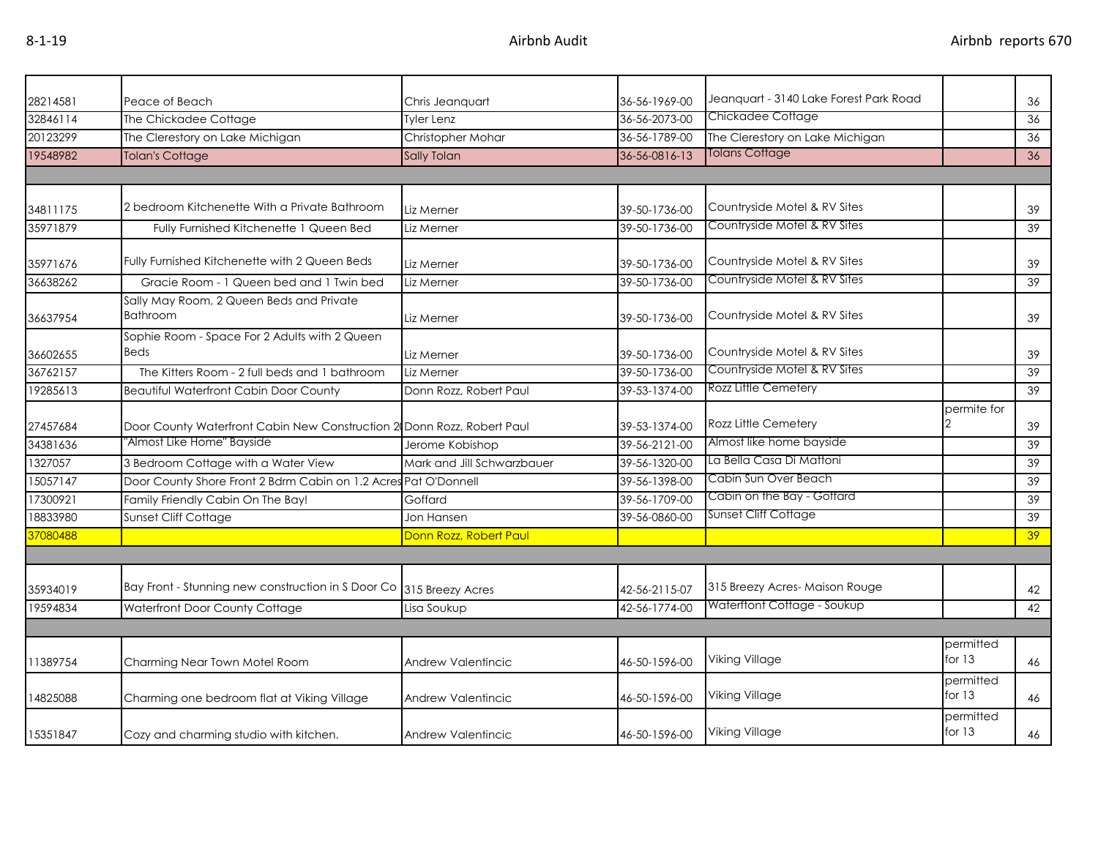| 28214581 | Peace of Beach                                                         | Chris Jeanguart            | 36-56-1969-00 | Jeanquart - 3140 Lake Forest Park Road |                       | 36              |
|----------|------------------------------------------------------------------------|----------------------------|---------------|----------------------------------------|-----------------------|-----------------|
| 32846114 | The Chickadee Cottage                                                  | <b>Tyler Lenz</b>          | 36-56-2073-00 | Chickadee Cottage                      |                       | 36              |
| 20123299 | The Clerestory on Lake Michigan                                        | Christopher Mohar          | 36-56-1789-00 | The Clerestory on Lake Michigan        |                       | 36              |
| 19548982 | <b>Tolan's Cottage</b>                                                 | Sally Tolan                | 36-56-0816-13 | Tolans Cottage                         |                       | 36              |
|          |                                                                        |                            |               |                                        |                       |                 |
| 34811175 | 2 bedroom Kitchenette With a Private Bathroom                          | Liz Merner                 | 39-50-1736-00 | Countryside Motel & RV Sites           |                       | 39              |
| 35971879 | Fully Furnished Kitchenette 1 Queen Bed                                | Liz Merner                 | 39-50-1736-00 | Countryside Motel & RV Sites           |                       | 39              |
| 35971676 | Fully Furnished Kitchenette with 2 Queen Beds                          | Liz Merner                 | 39-50-1736-00 | Countryside Motel & RV Sites           |                       | 39              |
| 36638262 | Gracie Room - 1 Queen bed and 1 Twin bed                               | Liz Merner                 | 39-50-1736-00 | Countryside Motel & RV Sites           |                       | 39              |
| 36637954 | Sally May Room, 2 Queen Beds and Private<br><b>Bathroom</b>            | Liz Merner                 | 39-50-1736-00 | Countryside Motel & RV Sites           |                       | 39              |
| 36602655 | Sophie Room - Space For 2 Adults with 2 Queen<br><b>Beds</b>           | Liz Merner                 | 39-50-1736-00 | Countryside Motel & RV Sites           |                       | 39              |
| 36762157 | The Kitters Room - 2 full beds and 1 bathroom                          | Liz Merner                 | 39-50-1736-00 | Countryside Motel & RV Sites           |                       | 39              |
| 19285613 | <b>Beautiful Waterfront Cabin Door County</b>                          | Donn Rozz, Robert Paul     | 39-53-1374-00 | Rozz Little Cemetery                   |                       | 39              |
| 27457684 | Door County Waterfront Cabin New Construction 2 Donn Rozz, Robert Paul |                            | 39-53-1374-00 | Rozz Little Cemetery                   | permite for           | 39              |
| 34381636 | 'Almost Like Home" Bayside                                             | Jerome Kobishop            | 39-56-2121-00 | Almost like home bayside               |                       | 39              |
| 1327057  | 3 Bedroom Cottage with a Water View                                    | Mark and Jill Schwarzbauer | 39-56-1320-00 | La Bella Casa Di Mattoni               |                       | 39              |
| 15057147 | Door County Shore Front 2 Bdrm Cabin on 1.2 Acres Pat O'Donnell        |                            | 39-56-1398-00 | Cabin Sun Over Beach                   |                       | 39              |
| 17300921 | Family Friendly Cabin On The Bay!                                      | Goffard                    | 39-56-1709-00 | Cabin on the Bay - Goffard             |                       | 39              |
| 18833980 | Sunset Cliff Cottage                                                   | Jon Hansen                 | 39-56-0860-00 | Sunset Cliff Cottage                   |                       | 39              |
| 37080488 |                                                                        | Donn Rozz, Robert Paul     |               |                                        |                       | 39 <sup>°</sup> |
|          |                                                                        |                            |               |                                        |                       |                 |
| 35934019 | Bay Front - Stunning new construction in S Door Co 315 Breezy Acres    |                            | 42-56-2115-07 | 315 Breezy Acres-Maison Rouge          |                       | 42              |
| 19594834 | Waterfront Door County Cottage                                         | Lisa Soukup                | 42-56-1774-00 | Waterftont Cottage - Soukup            |                       | 42              |
|          |                                                                        |                            |               |                                        |                       |                 |
| 11389754 | Charming Near Town Motel Room                                          | <b>Andrew Valentincic</b>  | 46-50-1596-00 | Viking Village                         | permitted<br>for $13$ | 46              |
| 14825088 | Charming one bedroom flat at Viking Village                            | <b>Andrew Valentincic</b>  | 46-50-1596-00 | Viking Village                         | permitted<br>for $13$ | 46              |
| 15351847 | Cozy and charming studio with kitchen.                                 | Andrew Valentincic         | 46-50-1596-00 | <b>Viking Village</b>                  | permitted<br>for $13$ | 46              |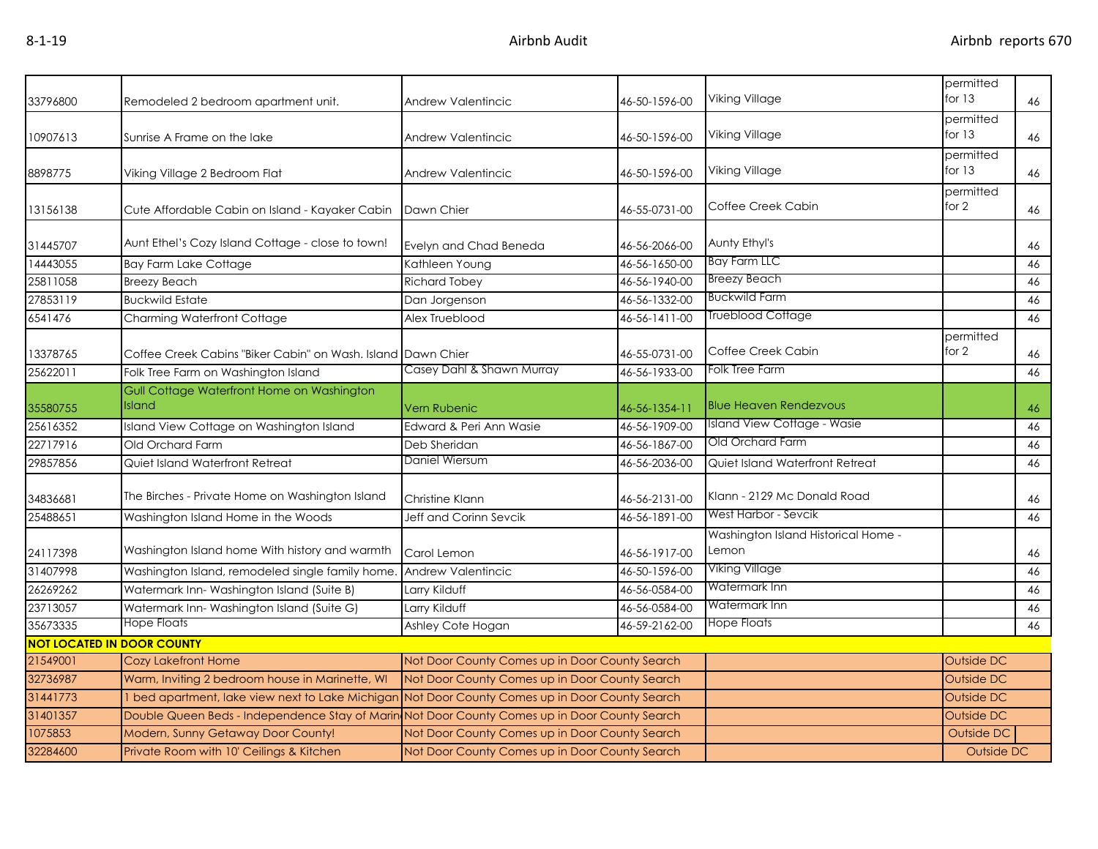| 33796800 | Remodeled 2 bedroom apartment unit.                                                             | Andrew Valentincic                             | 46-50-1596-00 | Viking Village                               | permitted<br>for $13$ | 46 |
|----------|-------------------------------------------------------------------------------------------------|------------------------------------------------|---------------|----------------------------------------------|-----------------------|----|
| 10907613 | Sunrise A Frame on the lake                                                                     | Andrew Valentincic                             | 46-50-1596-00 | Viking Village                               | permitted<br>for $13$ | 46 |
| 8898775  | Viking Village 2 Bedroom Flat                                                                   | Andrew Valentincic                             | 46-50-1596-00 | Viking Village                               | permitted<br>for $13$ | 46 |
| 13156138 | Cute Affordable Cabin on Island - Kayaker Cabin                                                 | Dawn Chier                                     | 46-55-0731-00 | Coffee Creek Cabin                           | permitted<br>for $2$  | 46 |
| 31445707 | Aunt Ethel's Cozy Island Cottage - close to town!                                               | Evelyn and Chad Beneda                         | 46-56-2066-00 | Aunty Ethyl's                                |                       | 46 |
| 14443055 | <b>Bay Farm Lake Cottage</b>                                                                    | Kathleen Young                                 | 46-56-1650-00 | <b>Bay Farm LLC</b>                          |                       | 46 |
| 25811058 | <b>Breezy Beach</b>                                                                             | Richard Tobey                                  | 46-56-1940-00 | <b>Breezy Beach</b>                          |                       | 46 |
| 27853119 | <b>Buckwild Estate</b>                                                                          | Dan Jorgenson                                  | 46-56-1332-00 | <b>Buckwild Farm</b>                         |                       | 46 |
| 6541476  | <b>Charming Waterfront Cottage</b>                                                              | Alex Trueblood                                 | 46-56-1411-00 | <b>Trueblood Cottage</b>                     |                       | 46 |
| 13378765 | Coffee Creek Cabins "Biker Cabin" on Wash. Island Dawn Chier                                    |                                                | 46-55-0731-00 | Coffee Creek Cabin                           | permitted<br>for 2    | 46 |
| 25622011 | Folk Tree Farm on Washington Island                                                             | Casey Dahl & Shawn Murray                      | 46-56-1933-00 | Folk Tree Farm                               |                       | 46 |
| 35580755 | Gull Cottage Waterfront Home on Washington<br>Island                                            | <b>Vern Rubenic</b>                            | 46-56-1354-11 | <b>Blue Heaven Rendezvous</b>                |                       | 46 |
| 25616352 | Island View Cottage on Washington Island                                                        | Edward & Peri Ann Wasie                        | 46-56-1909-00 | <b>Island View Cottage - Wasie</b>           |                       | 46 |
| 22717916 | Old Orchard Farm                                                                                | Deb Sheridan                                   | 46-56-1867-00 | Old Orchard Farm                             |                       | 46 |
| 29857856 | Quiet Island Waterfront Retreat                                                                 | Daniel Wiersum                                 | 46-56-2036-00 | Quiet Island Waterfront Retreat              |                       | 46 |
| 34836681 | The Birches - Private Home on Washington Island                                                 | Christine Klann                                | 46-56-2131-00 | Klann - 2129 Mc Donald Road                  |                       | 46 |
| 25488651 | Washington Island Home in the Woods                                                             | Jeff and Corinn Sevcik                         | 46-56-1891-00 | West Harbor - Sevcik                         |                       | 46 |
| 24117398 | Washington Island home With history and warmth                                                  | Carol Lemon                                    | 46-56-1917-00 | Washington Island Historical Home -<br>Lemon |                       | 46 |
| 31407998 | Washington Island, remodeled single family home.                                                | Andrew Valentincic                             | 46-50-1596-00 | Viking Village                               |                       | 46 |
| 26269262 | Watermark Inn-Washington Island (Suite B)                                                       | Larry Kilduff                                  | 46-56-0584-00 | Watermark Inn                                |                       | 46 |
| 23713057 | Watermark Inn-Washington Island (Suite G)                                                       | Larry Kilduff                                  | 46-56-0584-00 | Watermark Inn                                |                       | 46 |
| 35673335 | Hope Floats                                                                                     | Ashley Cote Hogan                              | 46-59-2162-00 | <b>Hope Floats</b>                           |                       | 46 |
|          | <b>NOT LOCATED IN DOOR COUNTY</b>                                                               |                                                |               |                                              |                       |    |
| 21549001 | <b>Cozy Lakefront Home</b>                                                                      | Not Door County Comes up in Door County Search |               |                                              | Outside DC            |    |
| 32736987 | Warm, Inviting 2 bedroom house in Marinette, WI                                                 | Not Door County Comes up in Door County Search |               |                                              | Outside DC            |    |
| 31441773 | 1 bed apartment, lake view next to Lake Michigan Not Door County Comes up in Door County Search |                                                |               |                                              | Outside DC            |    |
| 31401357 | Double Queen Beds - Independence Stay of Marin Not Door County Comes up in Door County Search   |                                                |               |                                              | Outside DC            |    |
| 1075853  | Modern, Sunny Getaway Door County!                                                              | Not Door County Comes up in Door County Search |               |                                              | <b>Outside DC</b>     |    |
| 32284600 | Private Room with 10' Ceilings & Kitchen                                                        | Not Door County Comes up in Door County Search |               |                                              | Outside DC            |    |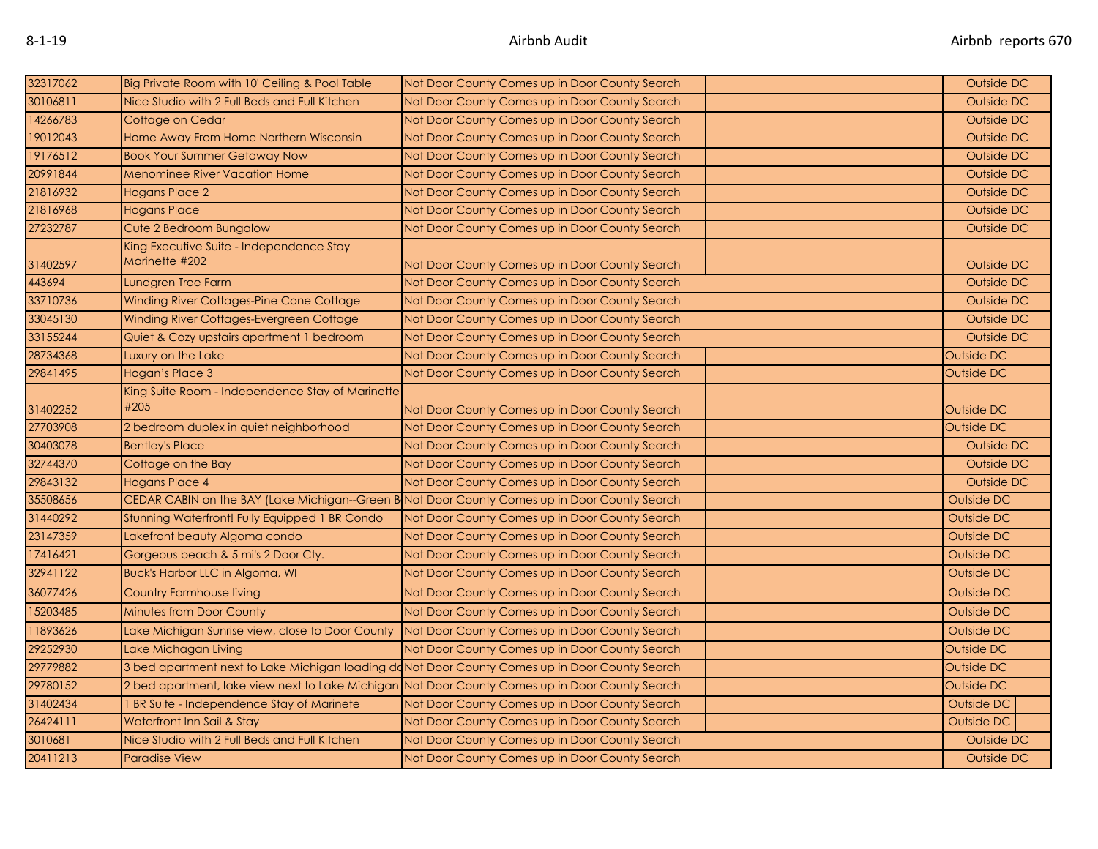| 32317062 | Big Private Room with 10' Ceiling & Pool Table                                                  | Not Door County Comes up in Door County Search                                                | Outside DC        |
|----------|-------------------------------------------------------------------------------------------------|-----------------------------------------------------------------------------------------------|-------------------|
| 30106811 | Nice Studio with 2 Full Beds and Full Kitchen                                                   | Not Door County Comes up in Door County Search                                                | Outside DC        |
| 14266783 | Cottage on Cedar                                                                                | Not Door County Comes up in Door County Search                                                | Outside DC        |
| 19012043 | Home Away From Home Northern Wisconsin                                                          | Not Door County Comes up in Door County Search                                                | Outside DC        |
| 19176512 | <b>Book Your Summer Getaway Now</b>                                                             | Not Door County Comes up in Door County Search                                                | Outside DC        |
| 20991844 | <b>Menominee River Vacation Home</b>                                                            | Not Door County Comes up in Door County Search                                                | Outside DC        |
| 21816932 | Hogans Place 2                                                                                  | Not Door County Comes up in Door County Search                                                | Outside DC        |
| 21816968 | <b>Hogans Place</b>                                                                             | Not Door County Comes up in Door County Search                                                | Outside DC        |
| 27232787 | Cute 2 Bedroom Bungalow                                                                         | Not Door County Comes up in Door County Search                                                | Outside DC        |
| 31402597 | King Executive Suite - Independence Stay<br>Marinette #202                                      | Not Door County Comes up in Door County Search                                                | Outside DC        |
| 443694   | Lundgren Tree Farm                                                                              | Not Door County Comes up in Door County Search                                                | Outside DC        |
| 33710736 | Winding River Cottages-Pine Cone Cottage                                                        | Not Door County Comes up in Door County Search                                                | Outside DC        |
| 33045130 | Winding River Cottages-Evergreen Cottage                                                        | Not Door County Comes up in Door County Search                                                | Outside DC        |
| 33155244 | Quiet & Cozy upstairs apartment 1 bedroom                                                       | Not Door County Comes up in Door County Search                                                | Outside DC        |
| 28734368 | Luxury on the Lake                                                                              | Not Door County Comes up in Door County Search                                                | Outside DC        |
| 29841495 | Hogan's Place 3                                                                                 | Not Door County Comes up in Door County Search                                                | <b>Outside DC</b> |
| 31402252 | King Suite Room - Independence Stay of Marinette<br>#205                                        | Not Door County Comes up in Door County Search                                                | Outside DC        |
| 27703908 | 2 bedroom duplex in quiet neighborhood                                                          | Not Door County Comes up in Door County Search                                                | Outside DC        |
| 30403078 | <b>Bentley's Place</b>                                                                          | Not Door County Comes up in Door County Search                                                | Outside DC        |
| 32744370 | Cottage on the Bay                                                                              | Not Door County Comes up in Door County Search                                                | Outside DC        |
| 29843132 | Hogans Place 4                                                                                  | Not Door County Comes up in Door County Search                                                | Outside DC        |
| 35508656 |                                                                                                 | CEDAR CABIN on the BAY (Lake Michigan--Green B Not Door County Comes up in Door County Search | Outside DC        |
| 31440292 | Stunning Waterfront! Fully Equipped 1 BR Condo                                                  | Not Door County Comes up in Door County Search                                                | Outside DC        |
| 23147359 | Lakefront beauty Algoma condo                                                                   | Not Door County Comes up in Door County Search                                                | Outside DC        |
| 17416421 | Gorgeous beach & 5 mi's 2 Door Cty.                                                             | Not Door County Comes up in Door County Search                                                | Outside DC        |
| 32941122 | Buck's Harbor LLC in Algoma, WI                                                                 | Not Door County Comes up in Door County Search                                                | Outside DC        |
| 36077426 | Country Farmhouse living                                                                        | Not Door County Comes up in Door County Search                                                | Outside DC        |
| 15203485 | <b>Minutes from Door County</b>                                                                 | Not Door County Comes up in Door County Search                                                | Outside DC        |
| 11893626 | Lake Michigan Sunrise view, close to Door County                                                | Not Door County Comes up in Door County Search                                                | Outside DC        |
| 29252930 | Lake Michagan Living                                                                            | Not Door County Comes up in Door County Search                                                | Outside DC        |
| 29779882 | 3 bed apartment next to Lake Michigan loading doNot Door County Comes up in Door County Search  |                                                                                               | Outside DC        |
| 29780152 | 2 bed apartment, lake view next to Lake Michigan Not Door County Comes up in Door County Search |                                                                                               | Outside DC        |
| 31402434 | BR Suite - Independence Stay of Marinete                                                        | Not Door County Comes up in Door County Search                                                | Outside DC        |
| 26424111 | Waterfront Inn Sail & Stay                                                                      | Not Door County Comes up in Door County Search                                                | Outside DC        |
| 3010681  | Nice Studio with 2 Full Beds and Full Kitchen                                                   | Not Door County Comes up in Door County Search                                                | Outside DC        |
| 20411213 | <b>Paradise View</b>                                                                            | Not Door County Comes up in Door County Search                                                | Outside DC        |